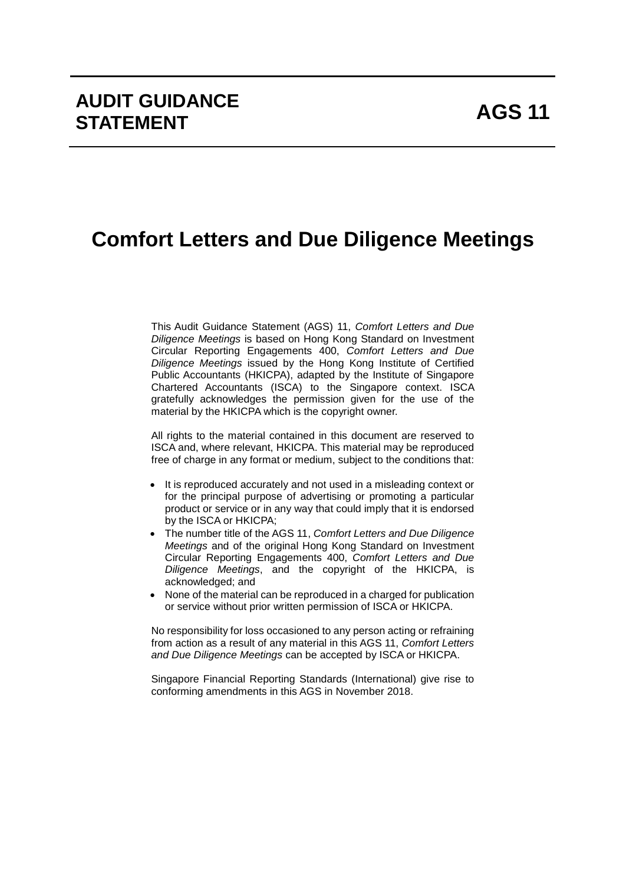# **Comfort Letters and Due Diligence Meetings**

This Audit Guidance Statement (AGS) 11, *Comfort Letters and Due Diligence Meetings* is based on Hong Kong Standard on Investment Circular Reporting Engagements 400, *Comfort Letters and Due Diligence Meetings* issued by the Hong Kong Institute of Certified Public Accountants (HKICPA), adapted by the Institute of Singapore Chartered Accountants (ISCA) to the Singapore context. ISCA gratefully acknowledges the permission given for the use of the material by the HKICPA which is the copyright owner.

All rights to the material contained in this document are reserved to ISCA and, where relevant, HKICPA. This material may be reproduced free of charge in any format or medium, subject to the conditions that:

- It is reproduced accurately and not used in a misleading context or for the principal purpose of advertising or promoting a particular product or service or in any way that could imply that it is endorsed by the ISCA or HKICPA;
- The number title of the AGS 11, *Comfort Letters and Due Diligence Meetings* and of the original Hong Kong Standard on Investment Circular Reporting Engagements 400, *Comfort Letters and Due Diligence Meetings*, and the copyright of the HKICPA, is acknowledged; and
- None of the material can be reproduced in a charged for publication or service without prior written permission of ISCA or HKICPA.

No responsibility for loss occasioned to any person acting or refraining from action as a result of any material in this AGS 11, *Comfort Letters and Due Diligence Meetings* can be accepted by ISCA or HKICPA.

Singapore Financial Reporting Standards (International) give rise to conforming amendments in this AGS in November 2018.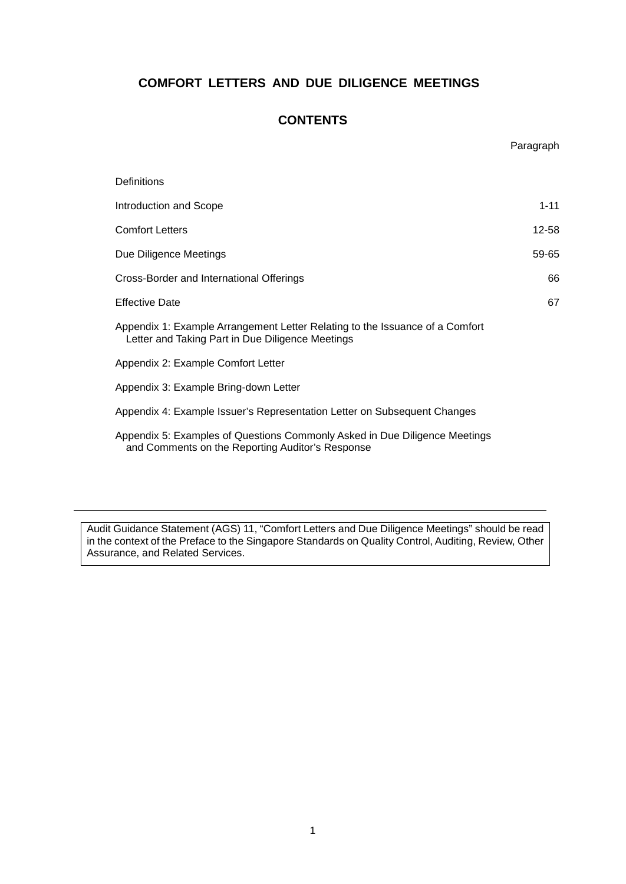# **COMFORT LETTERS AND DUE DILIGENCE MEETINGS**

## **CONTENTS**

|                                                                                                                                  | Paragraph |
|----------------------------------------------------------------------------------------------------------------------------------|-----------|
| Definitions                                                                                                                      |           |
| Introduction and Scope                                                                                                           | $1 - 11$  |
| <b>Comfort Letters</b>                                                                                                           | 12-58     |
| Due Diligence Meetings                                                                                                           | 59-65     |
| Cross-Border and International Offerings                                                                                         | 66        |
| <b>Effective Date</b>                                                                                                            | 67        |
| Appendix 1: Example Arrangement Letter Relating to the Issuance of a Comfort<br>Letter and Taking Part in Due Diligence Meetings |           |
| Appendix 2: Example Comfort Letter                                                                                               |           |
| Appendix 3: Example Bring-down Letter                                                                                            |           |
| Appendix 4: Example Issuer's Representation Letter on Subsequent Changes                                                         |           |
| Appendix 5: Examples of Questions Commonly Asked in Due Diligence Meetings<br>and Comments on the Reporting Auditor's Response   |           |

Audit Guidance Statement (AGS) 11, "Comfort Letters and Due Diligence Meetings" should be read in the context of the Preface to the Singapore Standards on Quality Control, Auditing, Review, Other Assurance, and Related Services.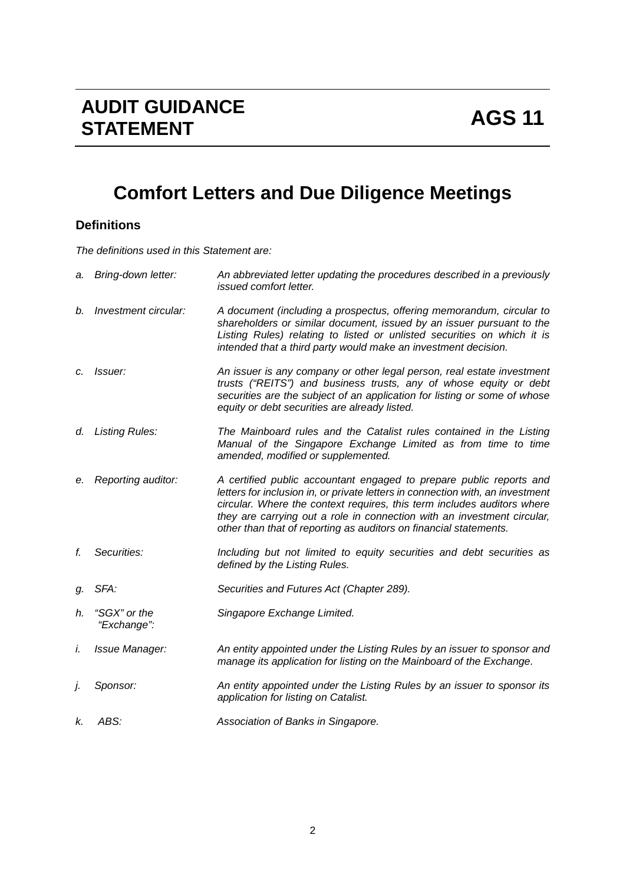# **Comfort Letters and Due Diligence Meetings**

# **Definitions**

*The definitions used in this Statement are:*

| a. | Bring-down letter:          | An abbreviated letter updating the procedures described in a previously<br>issued comfort letter.                                                                                                                                                                                                                                                                                |
|----|-----------------------------|----------------------------------------------------------------------------------------------------------------------------------------------------------------------------------------------------------------------------------------------------------------------------------------------------------------------------------------------------------------------------------|
| b. | Investment circular:        | A document (including a prospectus, offering memorandum, circular to<br>shareholders or similar document, issued by an issuer pursuant to the<br>Listing Rules) relating to listed or unlisted securities on which it is<br>intended that a third party would make an investment decision.                                                                                       |
| c. | <i>Issuer:</i>              | An issuer is any company or other legal person, real estate investment<br>trusts ("REITS") and business trusts, any of whose equity or debt<br>securities are the subject of an application for listing or some of whose<br>equity or debt securities are already listed.                                                                                                        |
| d. | <b>Listing Rules:</b>       | The Mainboard rules and the Catalist rules contained in the Listing<br>Manual of the Singapore Exchange Limited as from time to time<br>amended, modified or supplemented.                                                                                                                                                                                                       |
| е. | Reporting auditor:          | A certified public accountant engaged to prepare public reports and<br>letters for inclusion in, or private letters in connection with, an investment<br>circular. Where the context requires, this term includes auditors where<br>they are carrying out a role in connection with an investment circular,<br>other than that of reporting as auditors on financial statements. |
| f. | Securities:                 | Including but not limited to equity securities and debt securities as<br>defined by the Listing Rules.                                                                                                                                                                                                                                                                           |
| g. | SFA:                        | Securities and Futures Act (Chapter 289).                                                                                                                                                                                                                                                                                                                                        |
| h. | "SGX" or the<br>"Exchange": | Singapore Exchange Limited.                                                                                                                                                                                                                                                                                                                                                      |
| i. | Issue Manager:              | An entity appointed under the Listing Rules by an issuer to sponsor and<br>manage its application for listing on the Mainboard of the Exchange.                                                                                                                                                                                                                                  |
| j. | Sponsor:                    | An entity appointed under the Listing Rules by an issuer to sponsor its<br>application for listing on Catalist.                                                                                                                                                                                                                                                                  |
| к. | ABS:                        | Association of Banks in Singapore.                                                                                                                                                                                                                                                                                                                                               |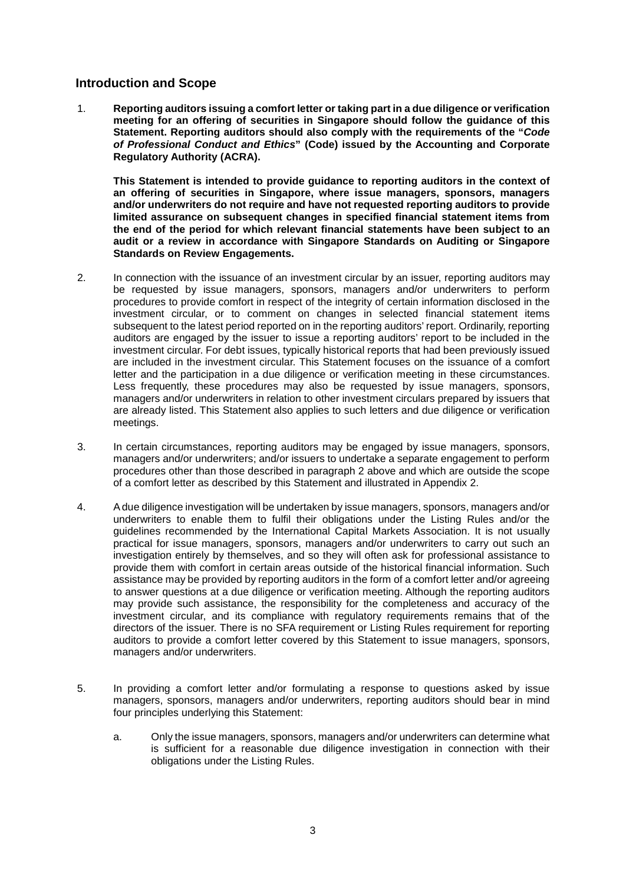## **Introduction and Scope**

1. **Reporting auditors issuing a comfort letter or taking part in a due diligence or verification meeting for an offering of securities in Singapore should follow the guidance of this Statement. Reporting auditors should also comply with the requirements of the "***Code of Professional Conduct and Ethics***" (Code) issued by the Accounting and Corporate Regulatory Authority (ACRA).**

**This Statement is intended to provide guidance to reporting auditors in the context of an offering of securities in Singapore, where issue managers, sponsors, managers and/or underwriters do not require and have not requested reporting auditors to provide limited assurance on subsequent changes in specified financial statement items from the end of the period for which relevant financial statements have been subject to an audit or a review in accordance with Singapore Standards on Auditing or Singapore Standards on Review Engagements.** 

- 2. In connection with the issuance of an investment circular by an issuer, reporting auditors may be requested by issue managers, sponsors, managers and/or underwriters to perform procedures to provide comfort in respect of the integrity of certain information disclosed in the investment circular, or to comment on changes in selected financial statement items subsequent to the latest period reported on in the reporting auditors' report. Ordinarily, reporting auditors are engaged by the issuer to issue a reporting auditors' report to be included in the investment circular. For debt issues, typically historical reports that had been previously issued are included in the investment circular. This Statement focuses on the issuance of a comfort letter and the participation in a due diligence or verification meeting in these circumstances. Less frequently, these procedures may also be requested by issue managers, sponsors, managers and/or underwriters in relation to other investment circulars prepared by issuers that are already listed. This Statement also applies to such letters and due diligence or verification meetings.
- 3. In certain circumstances, reporting auditors may be engaged by issue managers, sponsors, managers and/or underwriters; and/or issuers to undertake a separate engagement to perform procedures other than those described in paragraph 2 above and which are outside the scope of a comfort letter as described by this Statement and illustrated in Appendix 2.
- 4. A due diligence investigation will be undertaken by issue managers, sponsors, managers and/or underwriters to enable them to fulfil their obligations under the Listing Rules and/or the guidelines recommended by the International Capital Markets Association. It is not usually practical for issue managers, sponsors, managers and/or underwriters to carry out such an investigation entirely by themselves, and so they will often ask for professional assistance to provide them with comfort in certain areas outside of the historical financial information. Such assistance may be provided by reporting auditors in the form of a comfort letter and/or agreeing to answer questions at a due diligence or verification meeting. Although the reporting auditors may provide such assistance, the responsibility for the completeness and accuracy of the investment circular, and its compliance with regulatory requirements remains that of the directors of the issuer. There is no SFA requirement or Listing Rules requirement for reporting auditors to provide a comfort letter covered by this Statement to issue managers, sponsors, managers and/or underwriters.
- 5. In providing a comfort letter and/or formulating a response to questions asked by issue managers, sponsors, managers and/or underwriters, reporting auditors should bear in mind four principles underlying this Statement:
	- a. Only the issue managers, sponsors, managers and/or underwriters can determine what is sufficient for a reasonable due diligence investigation in connection with their obligations under the Listing Rules.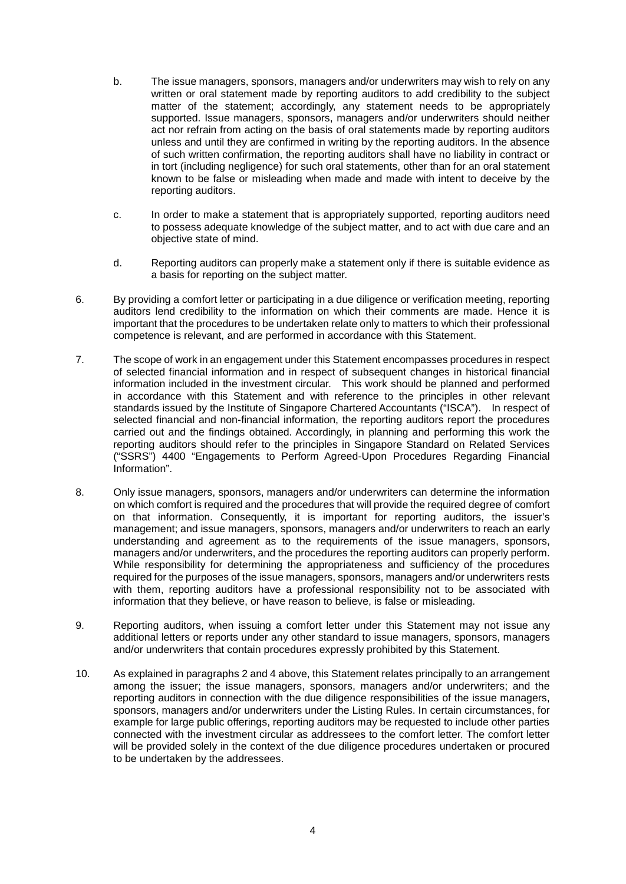- b. The issue managers, sponsors, managers and/or underwriters may wish to rely on any written or oral statement made by reporting auditors to add credibility to the subject matter of the statement; accordingly, any statement needs to be appropriately supported. Issue managers, sponsors, managers and/or underwriters should neither act nor refrain from acting on the basis of oral statements made by reporting auditors unless and until they are confirmed in writing by the reporting auditors. In the absence of such written confirmation, the reporting auditors shall have no liability in contract or in tort (including negligence) for such oral statements, other than for an oral statement known to be false or misleading when made and made with intent to deceive by the reporting auditors.
- c. In order to make a statement that is appropriately supported, reporting auditors need to possess adequate knowledge of the subject matter, and to act with due care and an objective state of mind.
- d. Reporting auditors can properly make a statement only if there is suitable evidence as a basis for reporting on the subject matter.
- 6. By providing a comfort letter or participating in a due diligence or verification meeting, reporting auditors lend credibility to the information on which their comments are made. Hence it is important that the procedures to be undertaken relate only to matters to which their professional competence is relevant, and are performed in accordance with this Statement.
- 7. The scope of work in an engagement under this Statement encompasses procedures in respect of selected financial information and in respect of subsequent changes in historical financial information included in the investment circular. This work should be planned and performed in accordance with this Statement and with reference to the principles in other relevant standards issued by the Institute of Singapore Chartered Accountants ("ISCA"). In respect of selected financial and non-financial information, the reporting auditors report the procedures carried out and the findings obtained. Accordingly, in planning and performing this work the reporting auditors should refer to the principles in Singapore Standard on Related Services ("SSRS") 4400 "Engagements to Perform Agreed-Upon Procedures Regarding Financial Information".
- 8. Only issue managers, sponsors, managers and/or underwriters can determine the information on which comfort is required and the procedures that will provide the required degree of comfort on that information. Consequently, it is important for reporting auditors, the issuer's management; and issue managers, sponsors, managers and/or underwriters to reach an early understanding and agreement as to the requirements of the issue managers, sponsors, managers and/or underwriters, and the procedures the reporting auditors can properly perform. While responsibility for determining the appropriateness and sufficiency of the procedures required for the purposes of the issue managers, sponsors, managers and/or underwriters rests with them, reporting auditors have a professional responsibility not to be associated with information that they believe, or have reason to believe, is false or misleading.
- 9. Reporting auditors, when issuing a comfort letter under this Statement may not issue any additional letters or reports under any other standard to issue managers, sponsors, managers and/or underwriters that contain procedures expressly prohibited by this Statement.
- 10. As explained in paragraphs 2 and 4 above, this Statement relates principally to an arrangement among the issuer; the issue managers, sponsors, managers and/or underwriters; and the reporting auditors in connection with the due diligence responsibilities of the issue managers, sponsors, managers and/or underwriters under the Listing Rules. In certain circumstances, for example for large public offerings, reporting auditors may be requested to include other parties connected with the investment circular as addressees to the comfort letter. The comfort letter will be provided solely in the context of the due diligence procedures undertaken or procured to be undertaken by the addressees.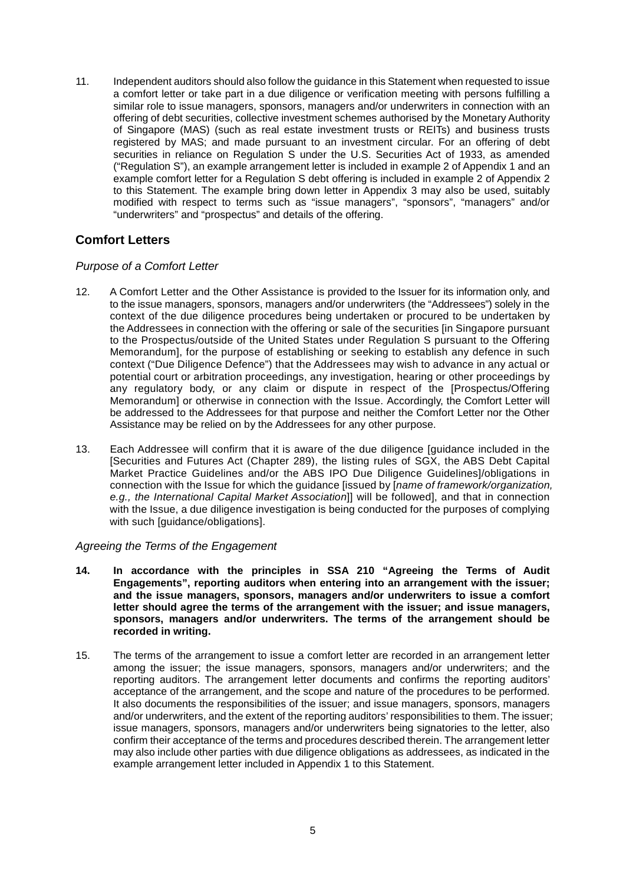11. Independent auditors should also follow the guidance in this Statement when requested to issue a comfort letter or take part in a due diligence or verification meeting with persons fulfilling a similar role to issue managers, sponsors, managers and/or underwriters in connection with an offering of debt securities, collective investment schemes authorised by the Monetary Authority of Singapore (MAS) (such as real estate investment trusts or REITs) and business trusts registered by MAS; and made pursuant to an investment circular. For an offering of debt securities in reliance on Regulation S under the U.S. Securities Act of 1933, as amended ("Regulation S"), an example arrangement letter is included in example 2 of Appendix 1 and an example comfort letter for a Regulation S debt offering is included in example 2 of Appendix 2 to this Statement. The example bring down letter in Appendix 3 may also be used, suitably modified with respect to terms such as "issue managers", "sponsors", "managers" and/or "underwriters" and "prospectus" and details of the offering.

## **Comfort Letters**

## *Purpose of a Comfort Letter*

- 12. A Comfort Letter and the Other Assistance is provided to the Issuer for its information only, and to the issue managers, sponsors, managers and/or underwriters (the "Addressees") solely in the context of the due diligence procedures being undertaken or procured to be undertaken by the Addressees in connection with the offering or sale of the securities [in Singapore pursuant to the Prospectus/outside of the United States under Regulation S pursuant to the Offering Memorandum], for the purpose of establishing or seeking to establish any defence in such context ("Due Diligence Defence") that the Addressees may wish to advance in any actual or potential court or arbitration proceedings, any investigation, hearing or other proceedings by any regulatory body, or any claim or dispute in respect of the [Prospectus/Offering Memorandum] or otherwise in connection with the Issue. Accordingly, the Comfort Letter will be addressed to the Addressees for that purpose and neither the Comfort Letter nor the Other Assistance may be relied on by the Addressees for any other purpose.
- 13. Each Addressee will confirm that it is aware of the due diligence [guidance included in the [Securities and Futures Act (Chapter 289), the listing rules of SGX, the ABS Debt Capital Market Practice Guidelines and/or the ABS IPO Due Diligence Guidelines]/obligations in connection with the Issue for which the guidance [issued by [*name of framework/organization, e.g., the International Capital Market Association*]] will be followed], and that in connection with the Issue, a due diligence investigation is being conducted for the purposes of complying with such [guidance/obligations].

#### *Agreeing the Terms of the Engagement*

- **14. In accordance with the principles in SSA 210 "Agreeing the Terms of Audit Engagements", reporting auditors when entering into an arrangement with the issuer; and the issue managers, sponsors, managers and/or underwriters to issue a comfort letter should agree the terms of the arrangement with the issuer; and issue managers, sponsors, managers and/or underwriters. The terms of the arrangement should be recorded in writing.**
- 15. The terms of the arrangement to issue a comfort letter are recorded in an arrangement letter among the issuer; the issue managers, sponsors, managers and/or underwriters; and the reporting auditors. The arrangement letter documents and confirms the reporting auditors' acceptance of the arrangement, and the scope and nature of the procedures to be performed. It also documents the responsibilities of the issuer; and issue managers, sponsors, managers and/or underwriters, and the extent of the reporting auditors' responsibilities to them. The issuer; issue managers, sponsors, managers and/or underwriters being signatories to the letter, also confirm their acceptance of the terms and procedures described therein. The arrangement letter may also include other parties with due diligence obligations as addressees, as indicated in the example arrangement letter included in Appendix 1 to this Statement.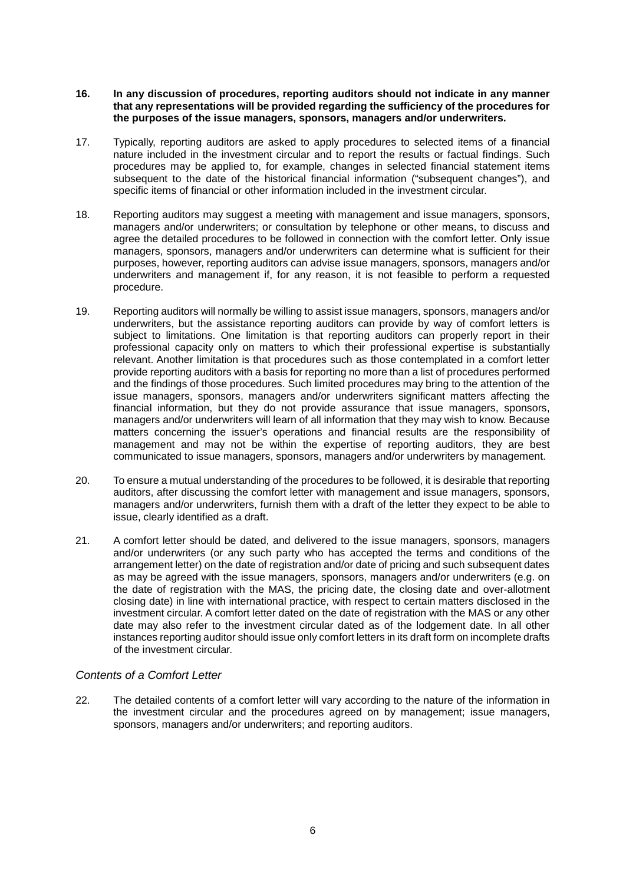#### **16. In any discussion of procedures, reporting auditors should not indicate in any manner that any representations will be provided regarding the sufficiency of the procedures for the purposes of the issue managers, sponsors, managers and/or underwriters.**

- 17. Typically, reporting auditors are asked to apply procedures to selected items of a financial nature included in the investment circular and to report the results or factual findings. Such procedures may be applied to, for example, changes in selected financial statement items subsequent to the date of the historical financial information ("subsequent changes"), and specific items of financial or other information included in the investment circular.
- 18. Reporting auditors may suggest a meeting with management and issue managers, sponsors, managers and/or underwriters; or consultation by telephone or other means, to discuss and agree the detailed procedures to be followed in connection with the comfort letter. Only issue managers, sponsors, managers and/or underwriters can determine what is sufficient for their purposes, however, reporting auditors can advise issue managers, sponsors, managers and/or underwriters and management if, for any reason, it is not feasible to perform a requested procedure.
- 19. Reporting auditors will normally be willing to assist issue managers, sponsors, managers and/or underwriters, but the assistance reporting auditors can provide by way of comfort letters is subject to limitations. One limitation is that reporting auditors can properly report in their professional capacity only on matters to which their professional expertise is substantially relevant. Another limitation is that procedures such as those contemplated in a comfort letter provide reporting auditors with a basis for reporting no more than a list of procedures performed and the findings of those procedures. Such limited procedures may bring to the attention of the issue managers, sponsors, managers and/or underwriters significant matters affecting the financial information, but they do not provide assurance that issue managers, sponsors, managers and/or underwriters will learn of all information that they may wish to know. Because matters concerning the issuer's operations and financial results are the responsibility of management and may not be within the expertise of reporting auditors, they are best communicated to issue managers, sponsors, managers and/or underwriters by management.
- 20. To ensure a mutual understanding of the procedures to be followed, it is desirable that reporting auditors, after discussing the comfort letter with management and issue managers, sponsors, managers and/or underwriters, furnish them with a draft of the letter they expect to be able to issue, clearly identified as a draft.
- 21. A comfort letter should be dated, and delivered to the issue managers, sponsors, managers and/or underwriters (or any such party who has accepted the terms and conditions of the arrangement letter) on the date of registration and/or date of pricing and such subsequent dates as may be agreed with the issue managers, sponsors, managers and/or underwriters (e.g. on the date of registration with the MAS, the pricing date, the closing date and over-allotment closing date) in line with international practice, with respect to certain matters disclosed in the investment circular. A comfort letter dated on the date of registration with the MAS or any other date may also refer to the investment circular dated as of the lodgement date. In all other instances reporting auditor should issue only comfort letters in its draft form on incomplete drafts of the investment circular.

#### *Contents of a Comfort Letter*

22. The detailed contents of a comfort letter will vary according to the nature of the information in the investment circular and the procedures agreed on by management; issue managers, sponsors, managers and/or underwriters; and reporting auditors.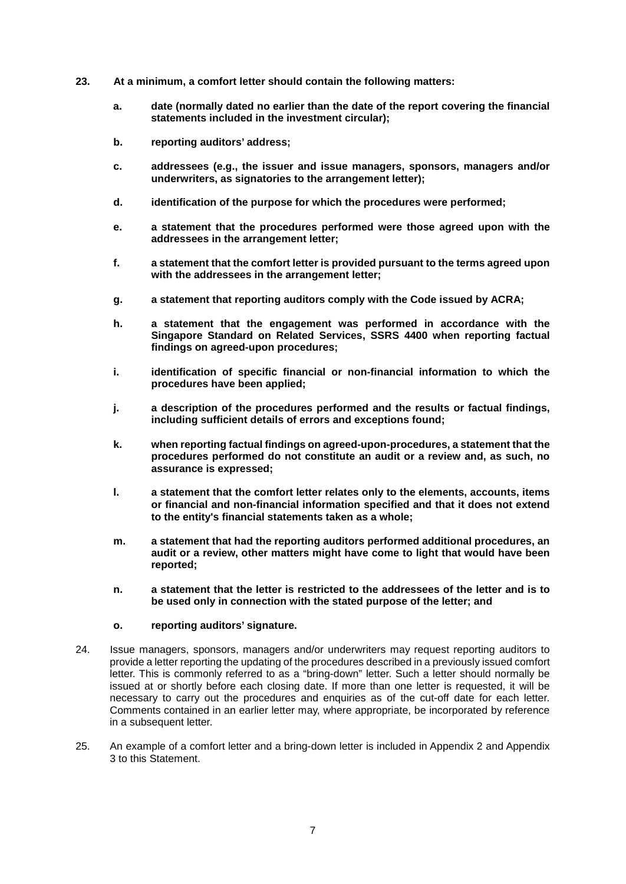- **23. At a minimum, a comfort letter should contain the following matters:**
	- **a. date (normally dated no earlier than the date of the report covering the financial statements included in the investment circular);**
	- **b. reporting auditors' address;**
	- **c. addressees (e.g., the issuer and issue managers, sponsors, managers and/or underwriters, as signatories to the arrangement letter);**
	- **d. identification of the purpose for which the procedures were performed;**
	- **e. a statement that the procedures performed were those agreed upon with the addressees in the arrangement letter;**
	- **f. a statement that the comfort letter is provided pursuant to the terms agreed upon with the addressees in the arrangement letter;**
	- **g. a statement that reporting auditors comply with the Code issued by ACRA;**
	- **h. a statement that the engagement was performed in accordance with the Singapore Standard on Related Services, SSRS 4400 when reporting factual findings on agreed-upon procedures;**
	- **i. identification of specific financial or non-financial information to which the procedures have been applied;**
	- **j. a description of the procedures performed and the results or factual findings, including sufficient details of errors and exceptions found;**
	- **k. when reporting factual findings on agreed-upon-procedures, a statement that the procedures performed do not constitute an audit or a review and, as such, no assurance is expressed;**
	- **l. a statement that the comfort letter relates only to the elements, accounts, items or financial and non-financial information specified and that it does not extend to the entity's financial statements taken as a whole;**
	- **m. a statement that had the reporting auditors performed additional procedures, an audit or a review, other matters might have come to light that would have been reported;**
	- **n. a statement that the letter is restricted to the addressees of the letter and is to be used only in connection with the stated purpose of the letter; and**
	- **o. reporting auditors' signature.**
- 24. Issue managers, sponsors, managers and/or underwriters may request reporting auditors to provide a letter reporting the updating of the procedures described in a previously issued comfort letter. This is commonly referred to as a "bring-down" letter. Such a letter should normally be issued at or shortly before each closing date. If more than one letter is requested, it will be necessary to carry out the procedures and enquiries as of the cut-off date for each letter. Comments contained in an earlier letter may, where appropriate, be incorporated by reference in a subsequent letter.
- 25. An example of a comfort letter and a bring-down letter is included in Appendix 2 and Appendix 3 to this Statement.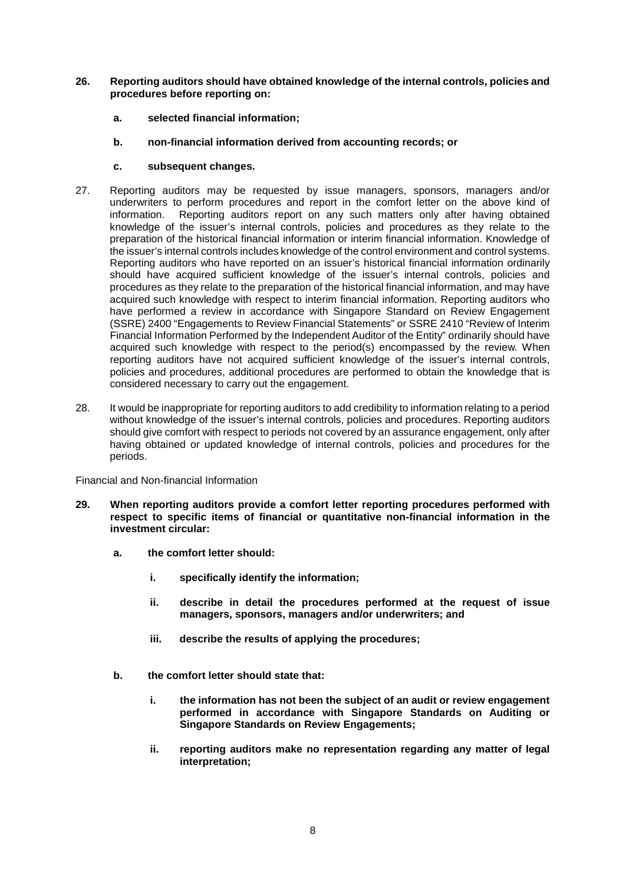- **26. Reporting auditors should have obtained knowledge of the internal controls, policies and procedures before reporting on:**
	- **a. selected financial information;**
	- **b. non-financial information derived from accounting records; or**
	- **c. subsequent changes.**
- 27. Reporting auditors may be requested by issue managers, sponsors, managers and/or underwriters to perform procedures and report in the comfort letter on the above kind of information. Reporting auditors report on any such matters only after having obtained knowledge of the issuer's internal controls, policies and procedures as they relate to the preparation of the historical financial information or interim financial information. Knowledge of the issuer's internal controls includes knowledge of the control environment and control systems. Reporting auditors who have reported on an issuer's historical financial information ordinarily should have acquired sufficient knowledge of the issuer's internal controls, policies and procedures as they relate to the preparation of the historical financial information, and may have acquired such knowledge with respect to interim financial information. Reporting auditors who have performed a review in accordance with Singapore Standard on Review Engagement (SSRE) 2400 "Engagements to Review Financial Statements" or SSRE 2410 "Review of Interim Financial Information Performed by the Independent Auditor of the Entity" ordinarily should have acquired such knowledge with respect to the period(s) encompassed by the review. When reporting auditors have not acquired sufficient knowledge of the issuer's internal controls, policies and procedures, additional procedures are performed to obtain the knowledge that is considered necessary to carry out the engagement.
- 28. It would be inappropriate for reporting auditors to add credibility to information relating to a period without knowledge of the issuer's internal controls, policies and procedures. Reporting auditors should give comfort with respect to periods not covered by an assurance engagement, only after having obtained or updated knowledge of internal controls, policies and procedures for the periods.

Financial and Non-financial Information

- **29. When reporting auditors provide a comfort letter reporting procedures performed with respect to specific items of financial or quantitative non-financial information in the investment circular:** 
	- **a. the comfort letter should:** 
		- **i. specifically identify the information;**
		- **ii. describe in detail the procedures performed at the request of issue managers, sponsors, managers and/or underwriters; and**
		- **iii. describe the results of applying the procedures;**
	- **b. the comfort letter should state that:** 
		- **i. the information has not been the subject of an audit or review engagement performed in accordance with Singapore Standards on Auditing or Singapore Standards on Review Engagements;**
		- **ii. reporting auditors make no representation regarding any matter of legal interpretation;**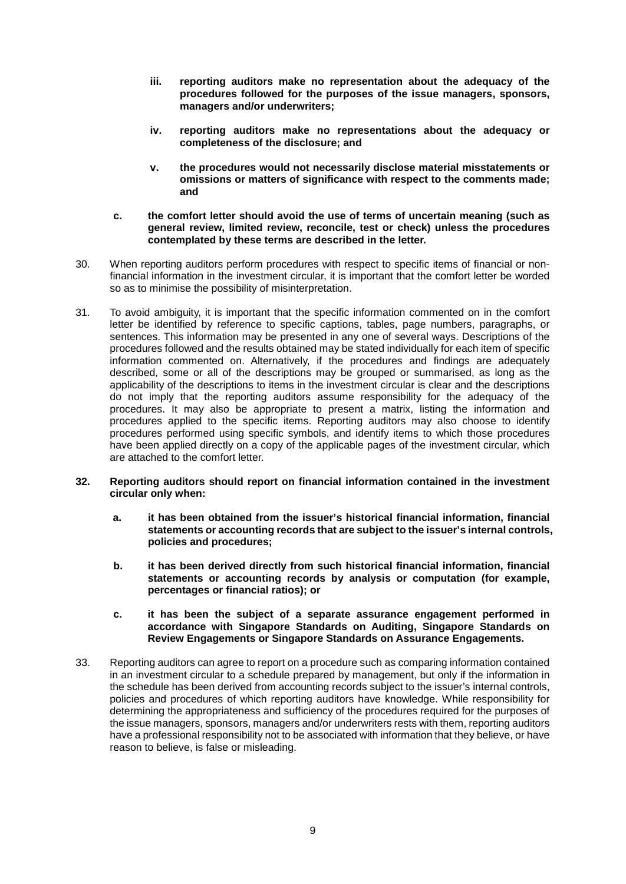- **iii. reporting auditors make no representation about the adequacy of the procedures followed for the purposes of the issue managers, sponsors, managers and/or underwriters;**
- **iv. reporting auditors make no representations about the adequacy or completeness of the disclosure; and**
- **v. the procedures would not necessarily disclose material misstatements or omissions or matters of significance with respect to the comments made; and**
- **c. the comfort letter should avoid the use of terms of uncertain meaning (such as general review, limited review, reconcile, test or check) unless the procedures contemplated by these terms are described in the letter.**
- 30. When reporting auditors perform procedures with respect to specific items of financial or nonfinancial information in the investment circular, it is important that the comfort letter be worded so as to minimise the possibility of misinterpretation.
- 31. To avoid ambiguity, it is important that the specific information commented on in the comfort letter be identified by reference to specific captions, tables, page numbers, paragraphs, or sentences. This information may be presented in any one of several ways. Descriptions of the procedures followed and the results obtained may be stated individually for each item of specific information commented on. Alternatively, if the procedures and findings are adequately described, some or all of the descriptions may be grouped or summarised, as long as the applicability of the descriptions to items in the investment circular is clear and the descriptions do not imply that the reporting auditors assume responsibility for the adequacy of the procedures. It may also be appropriate to present a matrix, listing the information and procedures applied to the specific items. Reporting auditors may also choose to identify procedures performed using specific symbols, and identify items to which those procedures have been applied directly on a copy of the applicable pages of the investment circular, which are attached to the comfort letter.

#### **32. Reporting auditors should report on financial information contained in the investment circular only when:**

- **a. it has been obtained from the issuer's historical financial information, financial statements or accounting records that are subject to the issuer's internal controls, policies and procedures;**
- **b. it has been derived directly from such historical financial information, financial statements or accounting records by analysis or computation (for example, percentages or financial ratios); or**
- **c. it has been the subject of a separate assurance engagement performed in accordance with Singapore Standards on Auditing, Singapore Standards on Review Engagements or Singapore Standards on Assurance Engagements.**
- 33. Reporting auditors can agree to report on a procedure such as comparing information contained in an investment circular to a schedule prepared by management, but only if the information in the schedule has been derived from accounting records subject to the issuer's internal controls, policies and procedures of which reporting auditors have knowledge. While responsibility for determining the appropriateness and sufficiency of the procedures required for the purposes of the issue managers, sponsors, managers and/or underwriters rests with them, reporting auditors have a professional responsibility not to be associated with information that they believe, or have reason to believe, is false or misleading.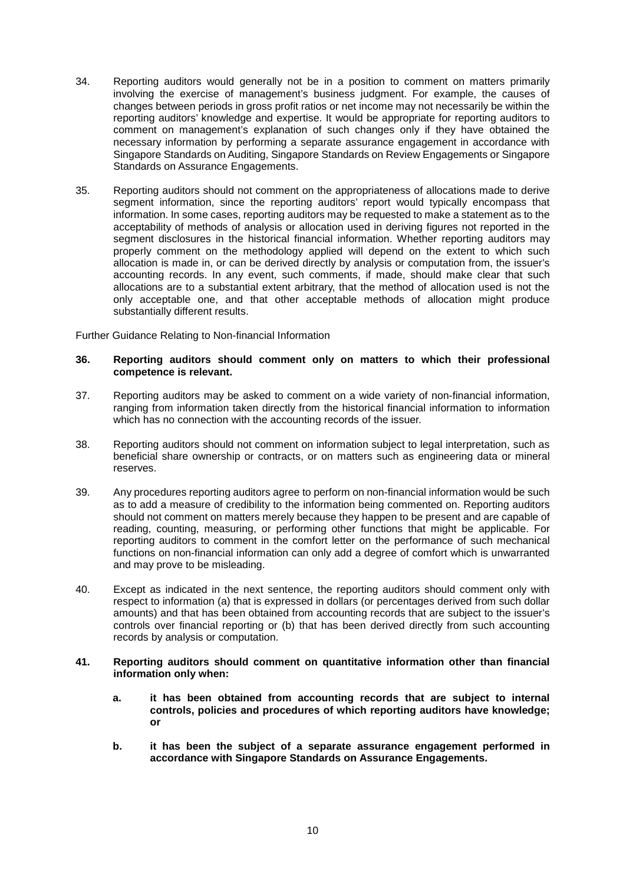- 34. Reporting auditors would generally not be in a position to comment on matters primarily involving the exercise of management's business judgment. For example, the causes of changes between periods in gross profit ratios or net income may not necessarily be within the reporting auditors' knowledge and expertise. It would be appropriate for reporting auditors to comment on management's explanation of such changes only if they have obtained the necessary information by performing a separate assurance engagement in accordance with Singapore Standards on Auditing, Singapore Standards on Review Engagements or Singapore Standards on Assurance Engagements.
- 35. Reporting auditors should not comment on the appropriateness of allocations made to derive segment information, since the reporting auditors' report would typically encompass that information. In some cases, reporting auditors may be requested to make a statement as to the acceptability of methods of analysis or allocation used in deriving figures not reported in the segment disclosures in the historical financial information. Whether reporting auditors may properly comment on the methodology applied will depend on the extent to which such allocation is made in, or can be derived directly by analysis or computation from, the issuer's accounting records. In any event, such comments, if made, should make clear that such allocations are to a substantial extent arbitrary, that the method of allocation used is not the only acceptable one, and that other acceptable methods of allocation might produce substantially different results.

Further Guidance Relating to Non-financial Information

#### **36. Reporting auditors should comment only on matters to which their professional competence is relevant.**

- 37. Reporting auditors may be asked to comment on a wide variety of non-financial information, ranging from information taken directly from the historical financial information to information which has no connection with the accounting records of the issuer.
- 38. Reporting auditors should not comment on information subject to legal interpretation, such as beneficial share ownership or contracts, or on matters such as engineering data or mineral reserves.
- 39. Any procedures reporting auditors agree to perform on non-financial information would be such as to add a measure of credibility to the information being commented on. Reporting auditors should not comment on matters merely because they happen to be present and are capable of reading, counting, measuring, or performing other functions that might be applicable. For reporting auditors to comment in the comfort letter on the performance of such mechanical functions on non-financial information can only add a degree of comfort which is unwarranted and may prove to be misleading.
- 40. Except as indicated in the next sentence, the reporting auditors should comment only with respect to information (a) that is expressed in dollars (or percentages derived from such dollar amounts) and that has been obtained from accounting records that are subject to the issuer's controls over financial reporting or (b) that has been derived directly from such accounting records by analysis or computation.

#### **41. Reporting auditors should comment on quantitative information other than financial information only when:**

- **a. it has been obtained from accounting records that are subject to internal controls, policies and procedures of which reporting auditors have knowledge; or**
- **b. it has been the subject of a separate assurance engagement performed in accordance with Singapore Standards on Assurance Engagements.**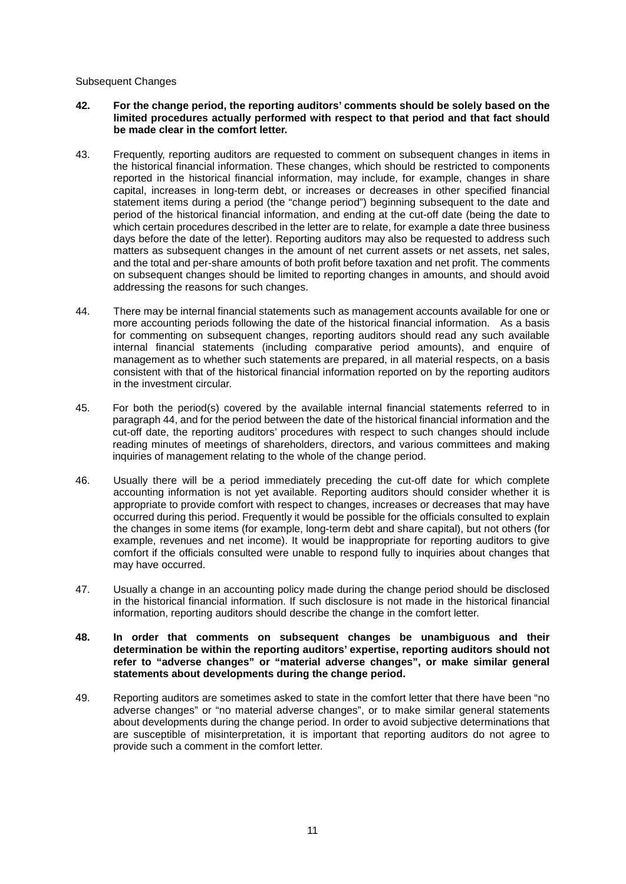#### Subsequent Changes

- **42. For the change period, the reporting auditors' comments should be solely based on the limited procedures actually performed with respect to that period and that fact should be made clear in the comfort letter.**
- 43. Frequently, reporting auditors are requested to comment on subsequent changes in items in the historical financial information. These changes, which should be restricted to components reported in the historical financial information, may include, for example, changes in share capital, increases in long-term debt, or increases or decreases in other specified financial statement items during a period (the "change period") beginning subsequent to the date and period of the historical financial information, and ending at the cut-off date (being the date to which certain procedures described in the letter are to relate, for example a date three business days before the date of the letter). Reporting auditors may also be requested to address such matters as subsequent changes in the amount of net current assets or net assets, net sales, and the total and per-share amounts of both profit before taxation and net profit. The comments on subsequent changes should be limited to reporting changes in amounts, and should avoid addressing the reasons for such changes.
- 44. There may be internal financial statements such as management accounts available for one or more accounting periods following the date of the historical financial information. As a basis for commenting on subsequent changes, reporting auditors should read any such available internal financial statements (including comparative period amounts), and enquire of management as to whether such statements are prepared, in all material respects, on a basis consistent with that of the historical financial information reported on by the reporting auditors in the investment circular.
- 45. For both the period(s) covered by the available internal financial statements referred to in paragraph 44, and for the period between the date of the historical financial information and the cut-off date, the reporting auditors' procedures with respect to such changes should include reading minutes of meetings of shareholders, directors, and various committees and making inquiries of management relating to the whole of the change period.
- 46. Usually there will be a period immediately preceding the cut-off date for which complete accounting information is not yet available. Reporting auditors should consider whether it is appropriate to provide comfort with respect to changes, increases or decreases that may have occurred during this period. Frequently it would be possible for the officials consulted to explain the changes in some items (for example, long-term debt and share capital), but not others (for example, revenues and net income). It would be inappropriate for reporting auditors to give comfort if the officials consulted were unable to respond fully to inquiries about changes that may have occurred.
- 47. Usually a change in an accounting policy made during the change period should be disclosed in the historical financial information. If such disclosure is not made in the historical financial information, reporting auditors should describe the change in the comfort letter.
- **48. In order that comments on subsequent changes be unambiguous and their determination be within the reporting auditors' expertise, reporting auditors should not refer to "adverse changes" or "material adverse changes", or make similar general statements about developments during the change period.**
- 49. Reporting auditors are sometimes asked to state in the comfort letter that there have been "no adverse changes" or "no material adverse changes", or to make similar general statements about developments during the change period. In order to avoid subjective determinations that are susceptible of misinterpretation, it is important that reporting auditors do not agree to provide such a comment in the comfort letter.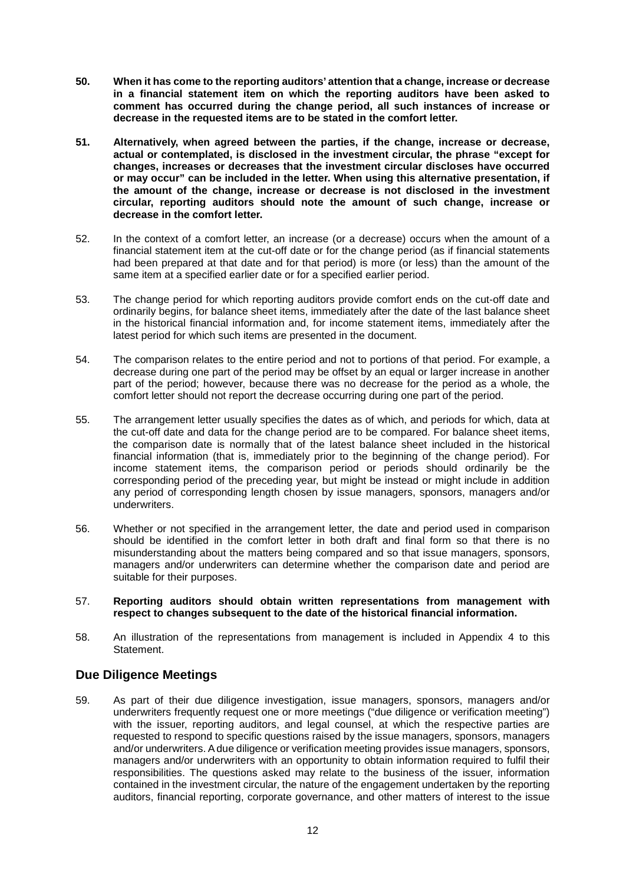- **50. When it has come to the reporting auditors' attention that a change, increase or decrease in a financial statement item on which the reporting auditors have been asked to comment has occurred during the change period, all such instances of increase or decrease in the requested items are to be stated in the comfort letter.**
- **51. Alternatively, when agreed between the parties, if the change, increase or decrease, actual or contemplated, is disclosed in the investment circular, the phrase "except for changes, increases or decreases that the investment circular discloses have occurred or may occur" can be included in the letter. When using this alternative presentation, if the amount of the change, increase or decrease is not disclosed in the investment circular, reporting auditors should note the amount of such change, increase or decrease in the comfort letter.**
- 52. In the context of a comfort letter, an increase (or a decrease) occurs when the amount of a financial statement item at the cut-off date or for the change period (as if financial statements had been prepared at that date and for that period) is more (or less) than the amount of the same item at a specified earlier date or for a specified earlier period.
- 53. The change period for which reporting auditors provide comfort ends on the cut-off date and ordinarily begins, for balance sheet items, immediately after the date of the last balance sheet in the historical financial information and, for income statement items, immediately after the latest period for which such items are presented in the document.
- 54. The comparison relates to the entire period and not to portions of that period. For example, a decrease during one part of the period may be offset by an equal or larger increase in another part of the period; however, because there was no decrease for the period as a whole, the comfort letter should not report the decrease occurring during one part of the period.
- 55. The arrangement letter usually specifies the dates as of which, and periods for which, data at the cut-off date and data for the change period are to be compared. For balance sheet items, the comparison date is normally that of the latest balance sheet included in the historical financial information (that is, immediately prior to the beginning of the change period). For income statement items, the comparison period or periods should ordinarily be the corresponding period of the preceding year, but might be instead or might include in addition any period of corresponding length chosen by issue managers, sponsors, managers and/or underwriters.
- 56. Whether or not specified in the arrangement letter, the date and period used in comparison should be identified in the comfort letter in both draft and final form so that there is no misunderstanding about the matters being compared and so that issue managers, sponsors, managers and/or underwriters can determine whether the comparison date and period are suitable for their purposes.
- 57. **Reporting auditors should obtain written representations from management with respect to changes subsequent to the date of the historical financial information.**
- 58. An illustration of the representations from management is included in Appendix 4 to this Statement.

## **Due Diligence Meetings**

59. As part of their due diligence investigation, issue managers, sponsors, managers and/or underwriters frequently request one or more meetings ("due diligence or verification meeting") with the issuer, reporting auditors, and legal counsel, at which the respective parties are requested to respond to specific questions raised by the issue managers, sponsors, managers and/or underwriters. A due diligence or verification meeting provides issue managers, sponsors, managers and/or underwriters with an opportunity to obtain information required to fulfil their responsibilities. The questions asked may relate to the business of the issuer, information contained in the investment circular, the nature of the engagement undertaken by the reporting auditors, financial reporting, corporate governance, and other matters of interest to the issue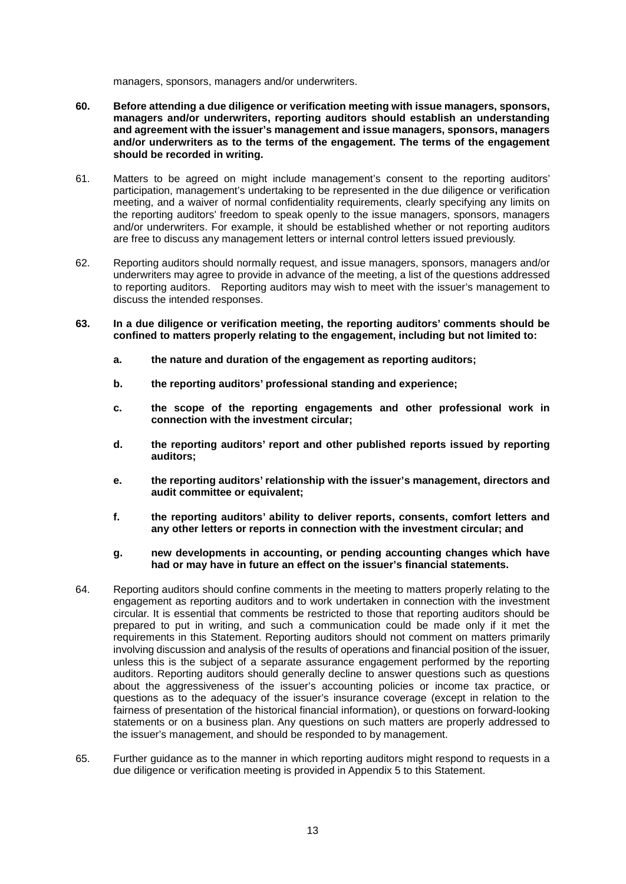managers, sponsors, managers and/or underwriters.

- **60. Before attending a due diligence or verification meeting with issue managers, sponsors, managers and/or underwriters, reporting auditors should establish an understanding and agreement with the issuer's management and issue managers, sponsors, managers and/or underwriters as to the terms of the engagement. The terms of the engagement should be recorded in writing.**
- 61. Matters to be agreed on might include management's consent to the reporting auditors' participation, management's undertaking to be represented in the due diligence or verification meeting, and a waiver of normal confidentiality requirements, clearly specifying any limits on the reporting auditors' freedom to speak openly to the issue managers, sponsors, managers and/or underwriters. For example, it should be established whether or not reporting auditors are free to discuss any management letters or internal control letters issued previously.
- 62. Reporting auditors should normally request, and issue managers, sponsors, managers and/or underwriters may agree to provide in advance of the meeting, a list of the questions addressed to reporting auditors. Reporting auditors may wish to meet with the issuer's management to discuss the intended responses.
- **63. In a due diligence or verification meeting, the reporting auditors' comments should be confined to matters properly relating to the engagement, including but not limited to:**
	- **a. the nature and duration of the engagement as reporting auditors;**
	- **b. the reporting auditors' professional standing and experience;**
	- **c. the scope of the reporting engagements and other professional work in connection with the investment circular;**
	- **d. the reporting auditors' report and other published reports issued by reporting auditors;**
	- **e. the reporting auditors' relationship with the issuer's management, directors and audit committee or equivalent;**
	- **f. the reporting auditors' ability to deliver reports, consents, comfort letters and any other letters or reports in connection with the investment circular; and**
	- **g. new developments in accounting, or pending accounting changes which have had or may have in future an effect on the issuer's financial statements.**
- 64. Reporting auditors should confine comments in the meeting to matters properly relating to the engagement as reporting auditors and to work undertaken in connection with the investment circular. It is essential that comments be restricted to those that reporting auditors should be prepared to put in writing, and such a communication could be made only if it met the requirements in this Statement. Reporting auditors should not comment on matters primarily involving discussion and analysis of the results of operations and financial position of the issuer, unless this is the subject of a separate assurance engagement performed by the reporting auditors. Reporting auditors should generally decline to answer questions such as questions about the aggressiveness of the issuer's accounting policies or income tax practice, or questions as to the adequacy of the issuer's insurance coverage (except in relation to the fairness of presentation of the historical financial information), or questions on forward-looking statements or on a business plan. Any questions on such matters are properly addressed to the issuer's management, and should be responded to by management.
- 65. Further guidance as to the manner in which reporting auditors might respond to requests in a due diligence or verification meeting is provided in Appendix 5 to this Statement.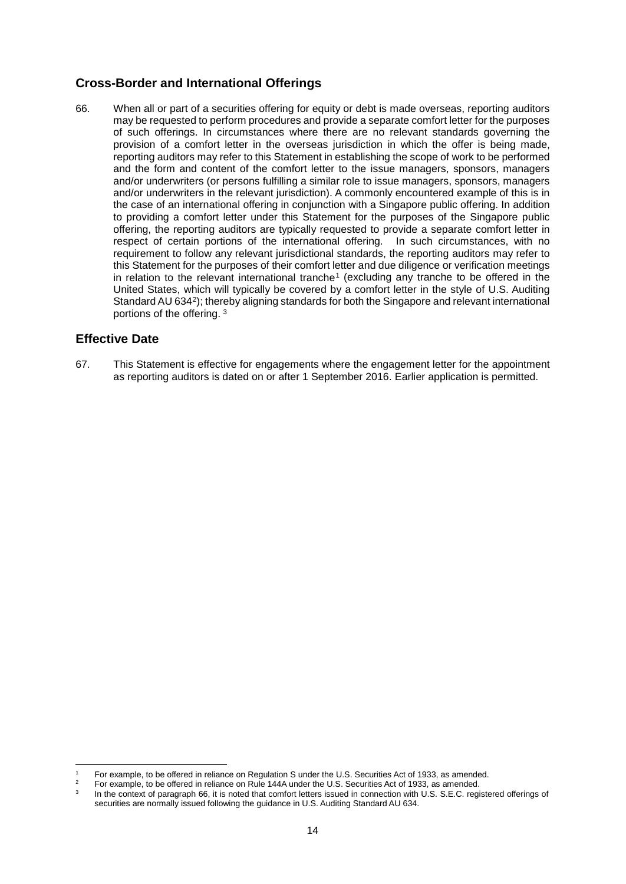## **Cross-Border and International Offerings**

66. When all or part of a securities offering for equity or debt is made overseas, reporting auditors may be requested to perform procedures and provide a separate comfort letter for the purposes of such offerings. In circumstances where there are no relevant standards governing the provision of a comfort letter in the overseas jurisdiction in which the offer is being made, reporting auditors may refer to this Statement in establishing the scope of work to be performed and the form and content of the comfort letter to the issue managers, sponsors, managers and/or underwriters (or persons fulfilling a similar role to issue managers, sponsors, managers and/or underwriters in the relevant jurisdiction). A commonly encountered example of this is in the case of an international offering in conjunction with a Singapore public offering. In addition to providing a comfort letter under this Statement for the purposes of the Singapore public offering, the reporting auditors are typically requested to provide a separate comfort letter in respect of certain portions of the international offering. In such circumstances, with no requirement to follow any relevant jurisdictional standards, the reporting auditors may refer to this Statement for the purposes of their comfort letter and due diligence or verification meetings in relation to the relevant international tranche<sup>1</sup> (excluding any tranche to be offered in the United States, which will typically be covered by a comfort letter in the style of U.S. Auditing Standard AU 6342); thereby aligning standards for both the Singapore and relevant international portions of the offering. <sup>3</sup>

## **Effective Date**

-

67. This Statement is effective for engagements where the engagement letter for the appointment as reporting auditors is dated on or after 1 September 2016. Earlier application is permitted.

<sup>&</sup>lt;sup>1</sup> For example, to be offered in reliance on Regulation S under the U.S. Securities Act of 1933, as amended.

<sup>&</sup>lt;sup>2</sup> For example, to be offered in reliance on Rule 144A under the U.S. Securities Act of 1933, as amended.

In the context of paragraph 66, it is noted that comfort letters issued in connection with U.S. S.E.C. registered offerings of securities are normally issued following the guidance in U.S. Auditing Standard AU 634.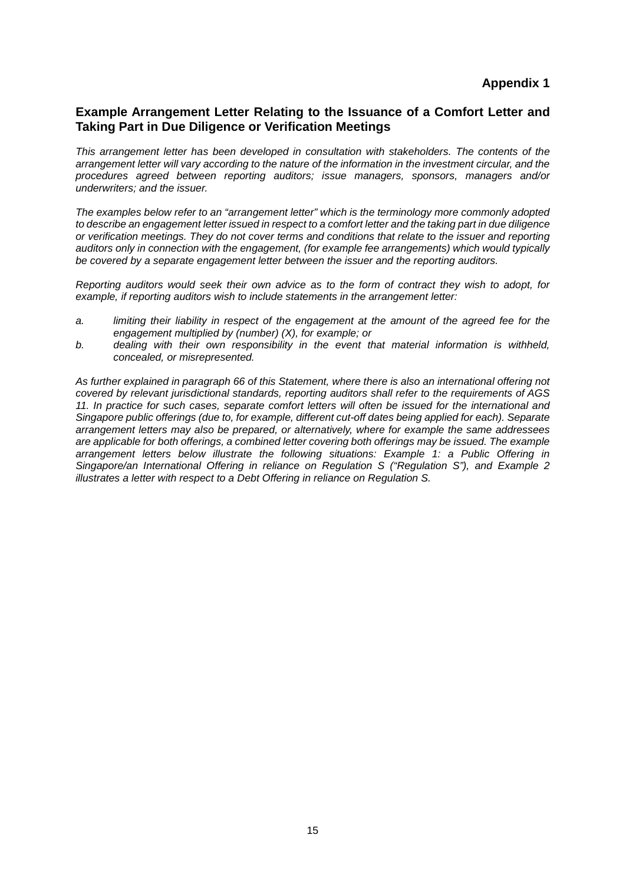## **Example Arrangement Letter Relating to the Issuance of a Comfort Letter and Taking Part in Due Diligence or Verification Meetings**

*This arrangement letter has been developed in consultation with stakeholders. The contents of the arrangement letter will vary according to the nature of the information in the investment circular, and the procedures agreed between reporting auditors; issue managers, sponsors, managers and/or underwriters; and the issuer.*

*The examples below refer to an "arrangement letter" which is the terminology more commonly adopted to describe an engagement letter issued in respect to a comfort letter and the taking part in due diligence or verification meetings. They do not cover terms and conditions that relate to the issuer and reporting*  auditors only in connection with the engagement, (for example fee arrangements) which would *typically be covered by a separate engagement letter between the issuer and the reporting auditors.* 

*Reporting auditors would seek their own advice as to the form of contract they wish to adopt, for example, if reporting auditors wish to include statements in the arrangement letter:*

- *a. limiting their liability in respect of the engagement at the amount of the agreed fee for the engagement multiplied by (number) (X), for example; or*
- *b. dealing with their own responsibility in the event that material information is withheld, concealed, or misrepresented.*

*As further explained in paragraph 66 of this Statement, where there is also an international offering not covered by relevant jurisdictional standards, reporting auditors shall refer to the requirements of AGS 11. In practice for such cases, separate comfort letters will often be issued for the international and Singapore public offerings (due to, for example, different cut-off dates being applied for each). Separate arrangement letters may also be prepared, or alternatively, where for example the same addressees are applicable for both offerings, a combined letter covering both offerings may be issued. The example arrangement letters below illustrate the following situations: Example 1: a Public Offering in Singapore/an International Offering in reliance on Regulation S ("Regulation S"), and Example 2 illustrates a letter with respect to a Debt Offering in reliance on Regulation S.*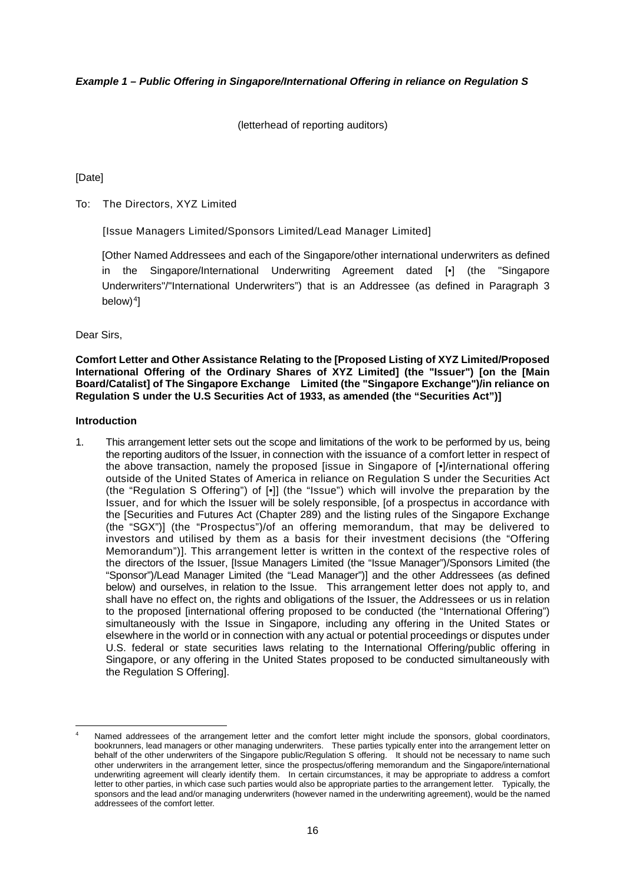#### *Example 1 – Public Offering in Singapore/International Offering in reliance on Regulation S*

(letterhead of reporting auditors)

#### [Date]

To: The Directors, XYZ Limited

[Issue Managers Limited/Sponsors Limited/Lead Manager Limited]

[Other Named Addressees and each of the Singapore/other international underwriters as defined the Singapore/International Underwriting Agreement dated [•] (the "Singapore Underwriters"/"International Underwriters") that is an Addressee (as defined in Paragraph 3  $below)$ <sup>4</sup>]

Dear Sirs,

**Comfort Letter and Other Assistance Relating to the [Proposed Listing of XYZ Limited/Proposed International Offering of the Ordinary Shares of XYZ Limited] (the "Issuer") [on the [Main Board/Catalist] of The Singapore Exchange Limited (the "Singapore Exchange")/in reliance on Regulation S under the U.S Securities Act of 1933, as amended (the "Securities Act")]**

#### **Introduction**

<u>.</u>

1. This arrangement letter sets out the scope and limitations of the work to be performed by us, being the reporting auditors of the Issuer, in connection with the issuance of a comfort letter in respect of the above transaction, namely the proposed [issue in Singapore of [•]/international offering outside of the United States of America in reliance on Regulation S under the Securities Act (the "Regulation S Offering") of [•]] (the "Issue") which will involve the preparation by the Issuer, and for which the Issuer will be solely responsible, [of a prospectus in accordance with the [Securities and Futures Act (Chapter 289) and the listing rules of the Singapore Exchange (the "SGX")] (the "Prospectus")/of an offering memorandum, that may be delivered to investors and utilised by them as a basis for their investment decisions (the "Offering Memorandum")]. This arrangement letter is written in the context of the respective roles of the directors of the Issuer, [Issue Managers Limited (the "Issue Manager")/Sponsors Limited (the "Sponsor")/Lead Manager Limited (the "Lead Manager")] and the other Addressees (as defined below) and ourselves, in relation to the Issue. This arrangement letter does not apply to, and shall have no effect on, the rights and obligations of the Issuer, the Addressees or us in relation to the proposed [international offering proposed to be conducted (the "International Offering") simultaneously with the Issue in Singapore, including any offering in the United States or elsewhere in the world or in connection with any actual or potential proceedings or disputes under U.S. federal or state securities laws relating to the International Offering/public offering in Singapore, or any offering in the United States proposed to be conducted simultaneously with the Regulation S Offering].

Named addressees of the arrangement letter and the comfort letter might include the sponsors, global coordinators, bookrunners, lead managers or other managing underwriters. These parties typically enter into the arrangement letter on behalf of the other underwriters of the Singapore public/Regulation S offering. It should not be necessary to name such other underwriters in the arrangement letter, since the prospectus/offering memorandum and the Singapore/international underwriting agreement will clearly identify them. In certain circumstances, it may be appropriate to address a comfort letter to other parties, in which case such parties would also be appropriate parties to the arrangement letter. Typically, the sponsors and the lead and/or managing underwriters (however named in the underwriting agreement), would be the named addressees of the comfort letter.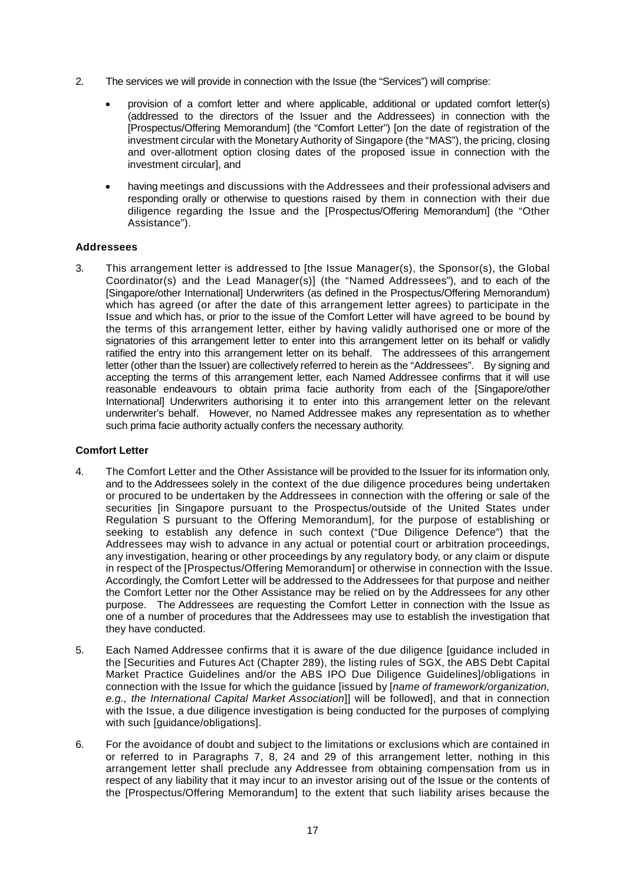- 2. The services we will provide in connection with the Issue (the "Services") will comprise:
	- provision of a comfort letter and where applicable, additional or updated comfort letter(s) (addressed to the directors of the Issuer and the Addressees) in connection with the [Prospectus/Offering Memorandum] (the "Comfort Letter") [on the date of registration of the investment circular with the Monetary Authority of Singapore (the "MAS"), the pricing, closing and over-allotment option closing dates of the proposed issue in connection with the investment circular], and
	- having meetings and discussions with the Addressees and their professional advisers and responding orally or otherwise to questions raised by them in connection with their due diligence regarding the Issue and the [Prospectus/Offering Memorandum] (the "Other Assistance").

#### **Addressees**

3. This arrangement letter is addressed to [the Issue Manager(s), the Sponsor(s), the Global Coordinator(s) and the Lead Manager(s)] (the "Named Addressees"), and to each of the [Singapore/other International] Underwriters (as defined in the Prospectus/Offering Memorandum) which has agreed (or after the date of this arrangement letter agrees) to participate in the Issue and which has, or prior to the issue of the Comfort Letter will have agreed to be bound by the terms of this arrangement letter, either by having validly authorised one or more of the signatories of this arrangement letter to enter into this arrangement letter on its behalf or validly ratified the entry into this arrangement letter on its behalf. The addressees of this arrangement letter (other than the Issuer) are collectively referred to herein as the "Addressees". By signing and accepting the terms of this arrangement letter, each Named Addressee confirms that it will use reasonable endeavours to obtain prima facie authority from each of the [Singapore/other International] Underwriters authorising it to enter into this arrangement letter on the relevant underwriter's behalf. However, no Named Addressee makes any representation as to whether such prima facie authority actually confers the necessary authority.

#### **Comfort Letter**

- 4. The Comfort Letter and the Other Assistance will be provided to the Issuer for its information only, and to the Addressees solely in the context of the due diligence procedures being undertaken or procured to be undertaken by the Addressees in connection with the offering or sale of the securities [in Singapore pursuant to the Prospectus/outside of the United States under Regulation S pursuant to the Offering Memorandum], for the purpose of establishing or seeking to establish any defence in such context ("Due Diligence Defence") that the Addressees may wish to advance in any actual or potential court or arbitration proceedings, any investigation, hearing or other proceedings by any regulatory body, or any claim or dispute in respect of the [Prospectus/Offering Memorandum] or otherwise in connection with the Issue. Accordingly, the Comfort Letter will be addressed to the Addressees for that purpose and neither the Comfort Letter nor the Other Assistance may be relied on by the Addressees for any other purpose. The Addressees are requesting the Comfort Letter in connection with the Issue as one of a number of procedures that the Addressees may use to establish the investigation that they have conducted.
- 5. Each Named Addressee confirms that it is aware of the due diligence [guidance included in the [Securities and Futures Act (Chapter 289), the listing rules of SGX, the ABS Debt Capital Market Practice Guidelines and/or the ABS IPO Due Diligence Guidelines]/obligations in connection with the Issue for which the guidance [issued by [*name of framework/organization, e.g., the International Capital Market Association*]] will be followed], and that in connection with the Issue, a due diligence investigation is being conducted for the purposes of complying with such [guidance/obligations].
- 6. For the avoidance of doubt and subject to the limitations or exclusions which are contained in or referred to in Paragraphs 7, 8, 24 and 29 of this arrangement letter, nothing in this arrangement letter shall preclude any Addressee from obtaining compensation from us in respect of any liability that it may incur to an investor arising out of the Issue or the contents of the [Prospectus/Offering Memorandum] to the extent that such liability arises because the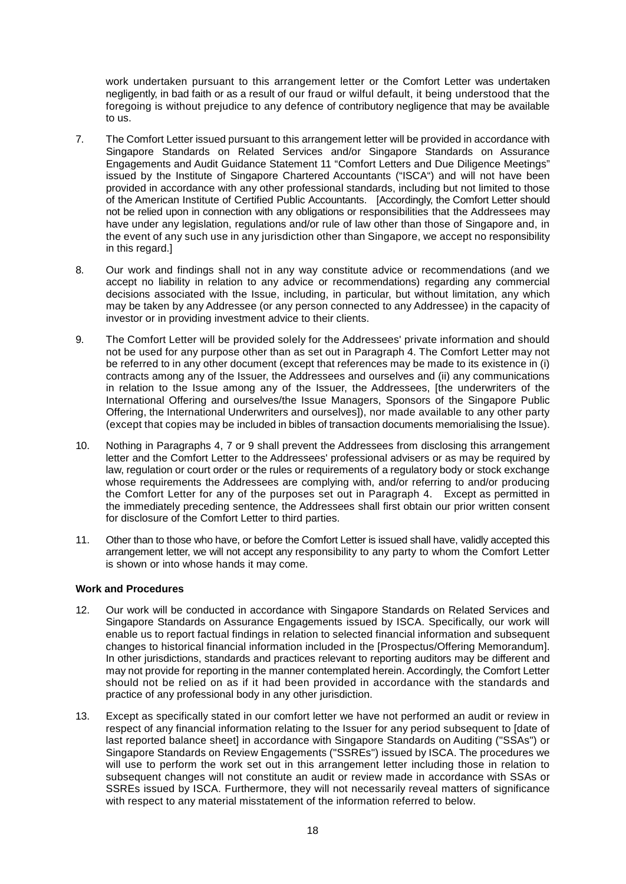work undertaken pursuant to this arrangement letter or the Comfort Letter was undertaken negligently, in bad faith or as a result of our fraud or wilful default, it being understood that the foregoing is without prejudice to any defence of contributory negligence that may be available to us.

- 7. The Comfort Letter issued pursuant to this arrangement letter will be provided in accordance with Singapore Standards on Related Services and/or Singapore Standards on Assurance Engagements and Audit Guidance Statement 11 "Comfort Letters and Due Diligence Meetings" issued by the Institute of Singapore Chartered Accountants ("ISCA") and will not have been provided in accordance with any other professional standards, including but not limited to those of the American Institute of Certified Public Accountants. [Accordingly, the Comfort Letter should not be relied upon in connection with any obligations or responsibilities that the Addressees may have under any legislation, regulations and/or rule of law other than those of Singapore and, in the event of any such use in any jurisdiction other than Singapore, we accept no responsibility in this regard.
- 8. Our work and findings shall not in any way constitute advice or recommendations (and we accept no liability in relation to any advice or recommendations) regarding any commercial decisions associated with the Issue, including, in particular, but without limitation, any which may be taken by any Addressee (or any person connected to any Addressee) in the capacity of investor or in providing investment advice to their clients.
- 9. The Comfort Letter will be provided solely for the Addressees' private information and should not be used for any purpose other than as set out in Paragraph 4. The Comfort Letter may not be referred to in any other document (except that references may be made to its existence in (i) contracts among any of the Issuer, the Addressees and ourselves and (ii) any communications in relation to the Issue among any of the Issuer, the Addressees, [the underwriters of the International Offering and ourselves/the Issue Managers, Sponsors of the Singapore Public Offering, the International Underwriters and ourselves]), nor made available to any other party (except that copies may be included in bibles of transaction documents memorialising the Issue).
- 10. Nothing in Paragraphs 4, 7 or 9 shall prevent the Addressees from disclosing this arrangement letter and the Comfort Letter to the Addressees' professional advisers or as may be required by law, regulation or court order or the rules or requirements of a regulatory body or stock exchange whose requirements the Addressees are complying with, and/or referring to and/or producing the Comfort Letter for any of the purposes set out in Paragraph 4. Except as permitted in the immediately preceding sentence, the Addressees shall first obtain our prior written consent for disclosure of the Comfort Letter to third parties.
- 11. Other than to those who have, or before the Comfort Letter is issued shall have, validly accepted this arrangement letter, we will not accept any responsibility to any party to whom the Comfort Letter is shown or into whose hands it may come.

#### **Work and Procedures**

- 12. Our work will be conducted in accordance with Singapore Standards on Related Services and Singapore Standards on Assurance Engagements issued by ISCA. Specifically, our work will enable us to report factual findings in relation to selected financial information and subsequent changes to historical financial information included in the [Prospectus/Offering Memorandum]. In other jurisdictions, standards and practices relevant to reporting auditors may be different and may not provide for reporting in the manner contemplated herein. Accordingly, the Comfort Letter should not be relied on as if it had been provided in accordance with the standards and practice of any professional body in any other jurisdiction.
- 13. Except as specifically stated in our comfort letter we have not performed an audit or review in respect of any financial information relating to the Issuer for any period subsequent to [date of last reported balance sheet] in accordance with Singapore Standards on Auditing ("SSAs") or Singapore Standards on Review Engagements ("SSREs") issued by ISCA. The procedures we will use to perform the work set out in this arrangement letter including those in relation to subsequent changes will not constitute an audit or review made in accordance with SSAs or SSREs issued by ISCA. Furthermore, they will not necessarily reveal matters of significance with respect to any material misstatement of the information referred to below.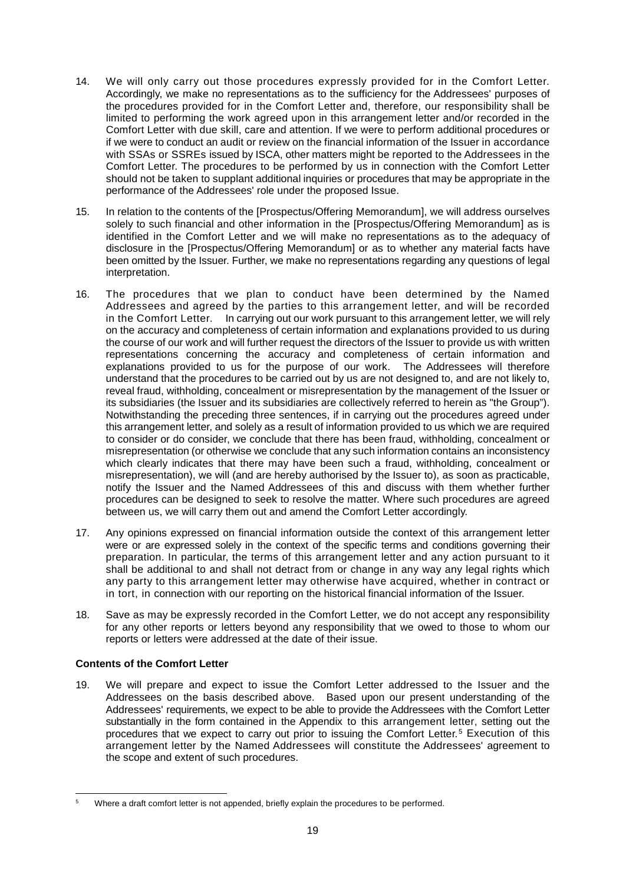- 14. We will only carry out those procedures expressly provided for in the Comfort Letter. Accordingly, we make no representations as to the sufficiency for the Addressees' purposes of the procedures provided for in the Comfort Letter and, therefore, our responsibility shall be limited to performing the work agreed upon in this arrangement letter and/or recorded in the Comfort Letter with due skill, care and attention. If we were to perform additional procedures or if we were to conduct an audit or review on the financial information of the Issuer in accordance with SSAs or SSREs issued by ISCA, other matters might be reported to the Addressees in the Comfort Letter. The procedures to be performed by us in connection with the Comfort Letter should not be taken to supplant additional inquiries or procedures that may be appropriate in the performance of the Addressees' role under the proposed Issue.
- 15. In relation to the contents of the [Prospectus/Offering Memorandum], we will address ourselves solely to such financial and other information in the [Prospectus/Offering Memorandum] as is identified in the Comfort Letter and we will make no representations as to the adequacy of disclosure in the [Prospectus/Offering Memorandum] or as to whether any material facts have been omitted by the Issuer. Further, we make no representations regarding any questions of legal interpretation.
- 16. The procedures that we plan to conduct have been determined by the Named Addressees and agreed by the parties to this arrangement letter, and will be recorded in the Comfort Letter. In carrying out our work pursuant to this arrangement letter, we will rely on the accuracy and completeness of certain information and explanations provided to us during the course of our work and will further request the directors of the Issuer to provide us with written representations concerning the accuracy and completeness of certain information and explanations provided to us for the purpose of our work. The Addressees will therefore understand that the procedures to be carried out by us are not designed to, and are not likely to, reveal fraud, withholding, concealment or misrepresentation by the management of the Issuer or its subsidiaries (the Issuer and its subsidiaries are collectively referred to herein as "the Group"). Notwithstanding the preceding three sentences, if in carrying out the procedures agreed under this arrangement letter, and solely as a result of information provided to us which we are required to consider or do consider, we conclude that there has been fraud, withholding, concealment or misrepresentation (or otherwise we conclude that any such information contains an inconsistency which clearly indicates that there may have been such a fraud, withholding, concealment or misrepresentation), we will (and are hereby authorised by the Issuer to), as soon as practicable, notify the Issuer and the Named Addressees of this and discuss with them whether further procedures can be designed to seek to resolve the matter. Where such procedures are agreed between us, we will carry them out and amend the Comfort Letter accordingly.
- 17. Any opinions expressed on financial information outside the context of this arrangement letter were or are expressed solely in the context of the specific terms and conditions governing their preparation. In particular, the terms of this arrangement letter and any action pursuant to it shall be additional to and shall not detract from or change in any way any legal rights which any party to this arrangement letter may otherwise have acquired, whether in contract or in tort, in connection with our reporting on the historical financial information of the Issuer.
- 18. Save as may be expressly recorded in the Comfort Letter, we do not accept any responsibility for any other reports or letters beyond any responsibility that we owed to those to whom our reports or letters were addressed at the date of their issue.

### **Contents of the Comfort Letter**

19. We will prepare and expect to issue the Comfort Letter addressed to the Issuer and the Addressees on the basis described above. Based upon our present understanding of the Addressees' requirements, we expect to be able to provide the Addressees with the Comfort Letter substantially in the form contained in the Appendix to this arrangement letter, setting out the procedures that we expect to carry out prior to issuing the Comfort Letter.<sup>5</sup> Execution of this arrangement letter by the Named Addressees will constitute the Addressees' agreement to the scope and extent of such procedures.

<sup>&</sup>lt;u>.</u> <sup>5</sup> Where a draft comfort letter is not appended, briefly explain the procedures to be performed.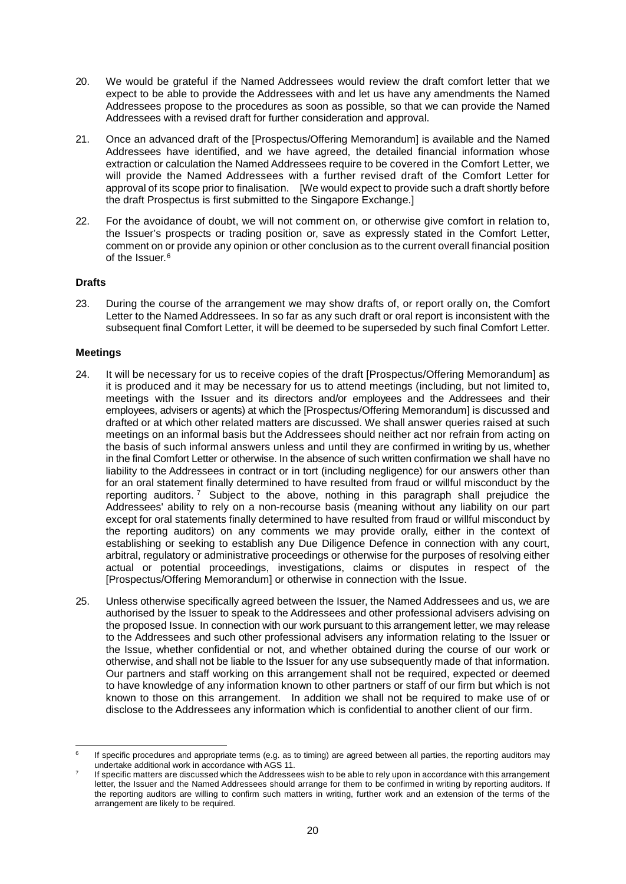- 20. We would be grateful if the Named Addressees would review the draft comfort letter that we expect to be able to provide the Addressees with and let us have any amendments the Named Addressees propose to the procedures as soon as possible, so that we can provide the Named Addressees with a revised draft for further consideration and approval.
- 21. Once an advanced draft of the [Prospectus/Offering Memorandum] is available and the Named Addressees have identified, and we have agreed, the detailed financial information whose extraction or calculation the Named Addressees require to be covered in the Comfort Letter, we will provide the Named Addressees with a further revised draft of the Comfort Letter for approval of its scope prior to finalisation. [We would expect to provide such a draft shortly before the draft Prospectus is first submitted to the Singapore Exchange.]
- 22. For the avoidance of doubt, we will not comment on, or otherwise give comfort in relation to, the Issuer's prospects or trading position or, save as expressly stated in the Comfort Letter, comment on or provide any opinion or other conclusion as to the current overall financial position of the Issuer  $6$

#### **Drafts**

23. During the course of the arrangement we may show drafts of, or report orally on, the Comfort Letter to the Named Addressees. In so far as any such draft or oral report is inconsistent with the subsequent final Comfort Letter, it will be deemed to be superseded by such final Comfort Letter.

## **Meetings**

- 24. It will be necessary for us to receive copies of the draft [Prospectus/Offering Memorandum] as it is produced and it may be necessary for us to attend meetings (including, but not limited to, meetings with the Issuer and its directors and/or employees and the Addressees and their employees, advisers or agents) at which the [Prospectus/Offering Memorandum] is discussed and drafted or at which other related matters are discussed. We shall answer queries raised at such meetings on an informal basis but the Addressees should neither act nor refrain from acting on the basis of such informal answers unless and until they are confirmed in writing by us, whether in the final Comfort Letter or otherwise. In the absence of such written confirmation we shall have no liability to the Addressees in contract or in tort (including negligence) for our answers other than for an oral statement finally determined to have resulted from fraud or willful misconduct by the reporting auditors. <sup>7</sup> Subject to the above, nothing in this paragraph shall prejudice the Addressees' ability to rely on a non-recourse basis (meaning without any liability on our part except for oral statements finally determined to have resulted from fraud or willful misconduct by the reporting auditors) on any comments we may provide orally, either in the context of establishing or seeking to establish any Due Diligence Defence in connection with any court, arbitral, regulatory or administrative proceedings or otherwise for the purposes of resolving either actual or potential proceedings, investigations, claims or disputes in respect of the [Prospectus/Offering Memorandum] or otherwise in connection with the Issue.
- 25. Unless otherwise specifically agreed between the Issuer, the Named Addressees and us, we are authorised by the Issuer to speak to the Addressees and other professional advisers advising on the proposed Issue. In connection with our work pursuant to this arrangement letter, we may release to the Addressees and such other professional advisers any information relating to the Issuer or the Issue, whether confidential or not, and whether obtained during the course of our work or otherwise, and shall not be liable to the Issuer for any use subsequently made of that information. Our partners and staff working on this arrangement shall not be required, expected or deemed to have knowledge of any information known to other partners or staff of our firm but which is not known to those on this arrangement. In addition we shall not be required to make use of or disclose to the Addressees any information which is confidential to another client of our firm.

<sup>-</sup>If specific procedures and appropriate terms (e.g. as to timing) are agreed between all parties, the reporting auditors may undertake additional work in accordance with AGS 11.

If specific matters are discussed which the Addressees wish to be able to rely upon in accordance with this arrangement letter, the Issuer and the Named Addressees should arrange for them to be confirmed in writing by reporting auditors. If the reporting auditors are willing to confirm such matters in writing, further work and an extension of the terms of the arrangement are likely to be required.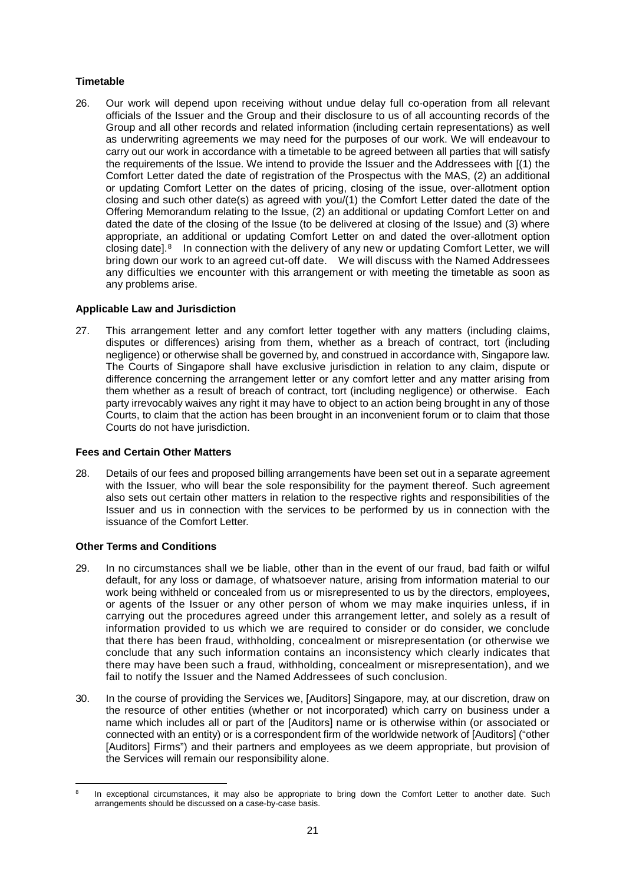## **Timetable**

26. Our work will depend upon receiving without undue delay full co-operation from all relevant officials of the Issuer and the Group and their disclosure to us of all accounting records of the Group and all other records and related information (including certain representations) as well as underwriting agreements we may need for the purposes of our work. We will endeavour to carry out our work in accordance with a timetable to be agreed between all parties that will satisfy the requirements of the Issue. We intend to provide the Issuer and the Addressees with [(1) the Comfort Letter dated the date of registration of the Prospectus with the MAS, (2) an additional or updating Comfort Letter on the dates of pricing, closing of the issue, over-allotment option closing and such other date(s) as agreed with you/(1) the Comfort Letter dated the date of the Offering Memorandum relating to the Issue, (2) an additional or updating Comfort Letter on and dated the date of the closing of the Issue (to be delivered at closing of the Issue) and (3) where appropriate, an additional or updating Comfort Letter on and dated the over-allotment option closing date].8 In connection with the delivery of any new or updating Comfort Letter, we will bring down our work to an agreed cut-off date. We will discuss with the Named Addressees any difficulties we encounter with this arrangement or with meeting the timetable as soon as any problems arise.

## **Applicable Law and Jurisdiction**

27. This arrangement letter and any comfort letter together with any matters (including claims, disputes or differences) arising from them, whether as a breach of contract, tort (including negligence) or otherwise shall be governed by, and construed in accordance with, Singapore law. The Courts of Singapore shall have exclusive jurisdiction in relation to any claim, dispute or difference concerning the arrangement letter or any comfort letter and any matter arising from them whether as a result of breach of contract, tort (including negligence) or otherwise. Each party irrevocably waives any right it may have to object to an action being brought in any of those Courts, to claim that the action has been brought in an inconvenient forum or to claim that those Courts do not have jurisdiction.

#### **Fees and Certain Other Matters**

28. Details of our fees and proposed billing arrangements have been set out in a separate agreement with the Issuer, who will bear the sole responsibility for the payment thereof. Such agreement also sets out certain other matters in relation to the respective rights and responsibilities of the Issuer and us in connection with the services to be performed by us in connection with the issuance of the Comfort Letter.

## **Other Terms and Conditions**

- 29. In no circumstances shall we be liable, other than in the event of our fraud, bad faith or wilful default, for any loss or damage, of whatsoever nature, arising from information material to our work being withheld or concealed from us or misrepresented to us by the directors, employees, or agents of the Issuer or any other person of whom we may make inquiries unless, if in carrying out the procedures agreed under this arrangement letter, and solely as a result of information provided to us which we are required to consider or do consider, we conclude that there has been fraud, withholding, concealment or misrepresentation (or otherwise we conclude that any such information contains an inconsistency which clearly indicates that there may have been such a fraud, withholding, concealment or misrepresentation), and we fail to notify the Issuer and the Named Addressees of such conclusion.
- 30. In the course of providing the Services we, [Auditors] Singapore, may, at our discretion, draw on the resource of other entities (whether or not incorporated) which carry on business under a name which includes all or part of the [Auditors] name or is otherwise within (or associated or connected with an entity) or is a correspondent firm of the worldwide network of [Auditors] ("other [Auditors] Firms") and their partners and employees as we deem appropriate, but provision of the Services will remain our responsibility alone.

<sup>-</sup>In exceptional circumstances, it may also be appropriate to bring down the Comfort Letter to another date. Such arrangements should be discussed on a case-by-case basis.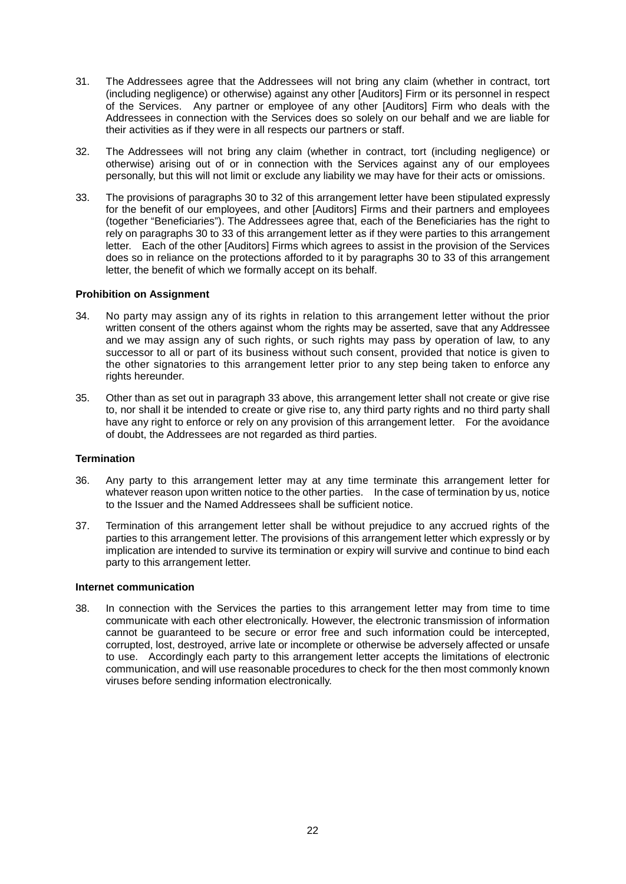- 31. The Addressees agree that the Addressees will not bring any claim (whether in contract, tort (including negligence) or otherwise) against any other [Auditors] Firm or its personnel in respect of the Services. Any partner or employee of any other [Auditors] Firm who deals with the Addressees in connection with the Services does so solely on our behalf and we are liable for their activities as if they were in all respects our partners or staff.
- 32. The Addressees will not bring any claim (whether in contract, tort (including negligence) or otherwise) arising out of or in connection with the Services against any of our employees personally, but this will not limit or exclude any liability we may have for their acts or omissions.
- 33. The provisions of paragraphs 30 to 32 of this arrangement letter have been stipulated expressly for the benefit of our employees, and other [Auditors] Firms and their partners and employees (together "Beneficiaries"). The Addressees agree that, each of the Beneficiaries has the right to rely on paragraphs 30 to 33 of this arrangement letter as if they were parties to this arrangement letter. Each of the other [Auditors] Firms which agrees to assist in the provision of the Services does so in reliance on the protections afforded to it by paragraphs 30 to 33 of this arrangement letter, the benefit of which we formally accept on its behalf.

#### **Prohibition on Assignment**

- 34. No party may assign any of its rights in relation to this arrangement letter without the prior written consent of the others against whom the rights may be asserted, save that any Addressee and we may assign any of such rights, or such rights may pass by operation of law, to any successor to all or part of its business without such consent, provided that notice is given to the other signatories to this arrangement letter prior to any step being taken to enforce any rights hereunder.
- 35. Other than as set out in paragraph 33 above, this arrangement letter shall not create or give rise to, nor shall it be intended to create or give rise to, any third party rights and no third party shall have any right to enforce or rely on any provision of this arrangement letter. For the avoidance of doubt, the Addressees are not regarded as third parties.

#### **Termination**

- 36. Any party to this arrangement letter may at any time terminate this arrangement letter for whatever reason upon written notice to the other parties. In the case of termination by us, notice to the Issuer and the Named Addressees shall be sufficient notice.
- 37. Termination of this arrangement letter shall be without prejudice to any accrued rights of the parties to this arrangement letter. The provisions of this arrangement letter which expressly or by implication are intended to survive its termination or expiry will survive and continue to bind each party to this arrangement letter.

#### **Internet communication**

38. In connection with the Services the parties to this arrangement letter may from time to time communicate with each other electronically. However, the electronic transmission of information cannot be guaranteed to be secure or error free and such information could be intercepted, corrupted, lost, destroyed, arrive late or incomplete or otherwise be adversely affected or unsafe to use. Accordingly each party to this arrangement letter accepts the limitations of electronic communication, and will use reasonable procedures to check for the then most commonly known viruses before sending information electronically.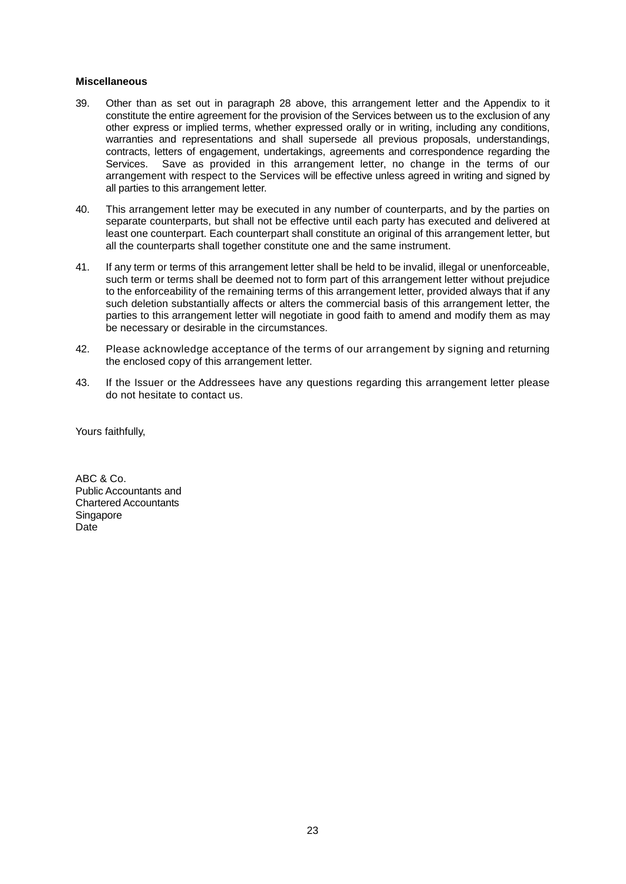#### **Miscellaneous**

- 39. Other than as set out in paragraph 28 above, this arrangement letter and the Appendix to it constitute the entire agreement for the provision of the Services between us to the exclusion of any other express or implied terms, whether expressed orally or in writing, including any conditions, warranties and representations and shall supersede all previous proposals, understandings, contracts, letters of engagement, undertakings, agreements and correspondence regarding the Services. Save as provided in this arrangement letter, no change in the terms of our arrangement with respect to the Services will be effective unless agreed in writing and signed by all parties to this arrangement letter.
- 40. This arrangement letter may be executed in any number of counterparts, and by the parties on separate counterparts, but shall not be effective until each party has executed and delivered at least one counterpart. Each counterpart shall constitute an original of this arrangement letter, but all the counterparts shall together constitute one and the same instrument.
- 41. If any term or terms of this arrangement letter shall be held to be invalid, illegal or unenforceable, such term or terms shall be deemed not to form part of this arrangement letter without prejudice to the enforceability of the remaining terms of this arrangement letter, provided always that if any such deletion substantially affects or alters the commercial basis of this arrangement letter, the parties to this arrangement letter will negotiate in good faith to amend and modify them as may be necessary or desirable in the circumstances.
- 42. Please acknowledge acceptance of the terms of our arrangement by signing and returning the enclosed copy of this arrangement letter.
- 43. If the Issuer or the Addressees have any questions regarding this arrangement letter please do not hesitate to contact us.

Yours faithfully,

ABC & Co. Public Accountants and Chartered Accountants **Singapore** Date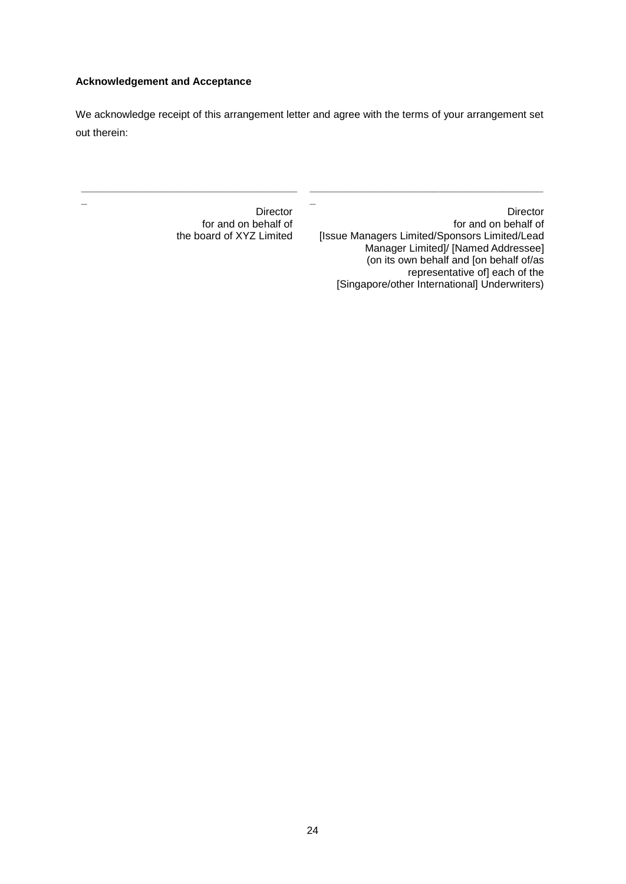## **Acknowledgement and Acceptance**

**\_**

**\_\_\_\_\_\_\_\_\_\_\_\_\_\_\_\_\_\_\_\_\_\_\_\_\_\_\_\_\_\_\_\_\_\_\_\_\_**

We acknowledge receipt of this arrangement letter and agree with the terms of your arrangement set out therein:

**\_**

Director for and on behalf of the board of XYZ Limited

Director for and on behalf of [Issue Managers Limited/Sponsors Limited/Lead Manager Limited]/ [Named Addressee] (on its own behalf and [on behalf of/as representative of] each of the [Singapore/other International] Underwriters)

**\_\_\_\_\_\_\_\_\_\_\_\_\_\_\_\_\_\_\_\_\_\_\_\_\_\_\_\_\_\_\_\_\_\_\_\_\_\_\_\_**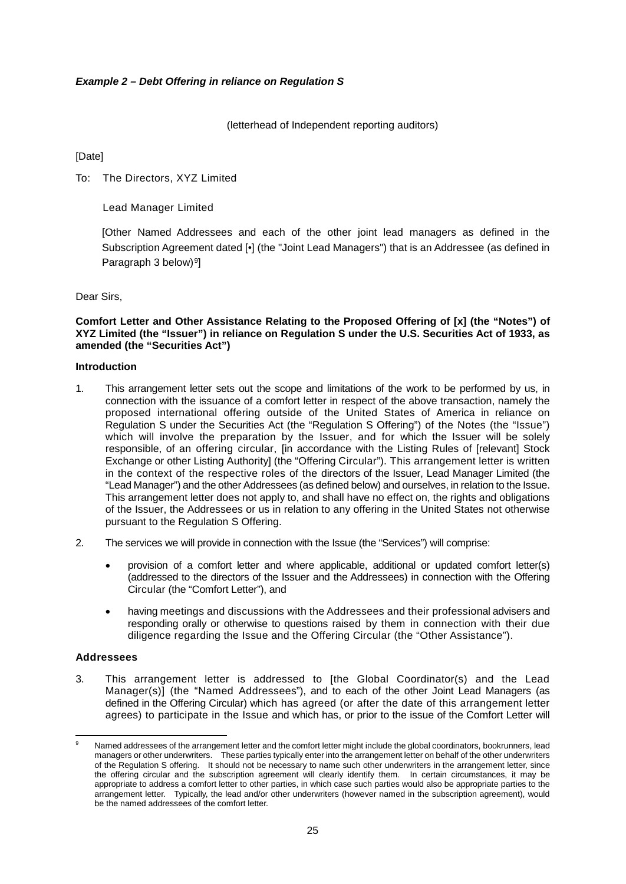#### *Example 2 – Debt Offering in reliance on Regulation S*

(letterhead of Independent reporting auditors)

[Date]

To: The Directors, XYZ Limited

#### Lead Manager Limited

[Other Named Addressees and each of the other joint lead managers as defined in the Subscription Agreement dated [•] (the "Joint Lead Managers") that is an Addressee (as defined in Paragraph 3 below)<sup>9</sup>]

Dear Sirs,

**Comfort Letter and Other Assistance Relating to the Proposed Offering of [x] (the "Notes") of XYZ Limited (the "Issuer") in reliance on Regulation S under the U.S. Securities Act of 1933, as amended (the "Securities Act")**

#### **Introduction**

- 1. This arrangement letter sets out the scope and limitations of the work to be performed by us, in connection with the issuance of a comfort letter in respect of the above transaction, namely the proposed international offering outside of the United States of America in reliance on Regulation S under the Securities Act (the "Regulation S Offering") of the Notes (the "Issue") which will involve the preparation by the Issuer, and for which the Issuer will be solely responsible, of an offering circular, [in accordance with the Listing Rules of [relevant] Stock Exchange or other Listing Authority] (the "Offering Circular"). This arrangement letter is written in the context of the respective roles of the directors of the Issuer, Lead Manager Limited (the "Lead Manager") and the other Addressees (as defined below) and ourselves, in relation to the Issue. This arrangement letter does not apply to, and shall have no effect on, the rights and obligations of the Issuer, the Addressees or us in relation to any offering in the United States not otherwise pursuant to the Regulation S Offering.
- 2. The services we will provide in connection with the Issue (the "Services") will comprise:
	- provision of a comfort letter and where applicable, additional or updated comfort letter(s) (addressed to the directors of the Issuer and the Addressees) in connection with the Offering Circular (the "Comfort Letter"), and
	- having meetings and discussions with the Addressees and their professional advisers and responding orally or otherwise to questions raised by them in connection with their due diligence regarding the Issue and the Offering Circular (the "Other Assistance").

#### **Addressees**

3. This arrangement letter is addressed to [the Global Coordinator(s) and the Lead Manager(s)] (the "Named Addressees"), and to each of the other Joint Lead Managers (as defined in the Offering Circular) which has agreed (or after the date of this arrangement letter agrees) to participate in the Issue and which has, or prior to the issue of the Comfort Letter will

<sup>&</sup>lt;u>.</u> Named addressees of the arrangement letter and the comfort letter might include the global coordinators, bookrunners, lead managers or other underwriters. These parties typically enter into the arrangement letter on behalf of the other underwriters of the Regulation S offering. It should not be necessary to name such other underwriters in the arrangement letter, since the offering circular and the subscription agreement will clearly identify them. In certain circumstances, it may be appropriate to address a comfort letter to other parties, in which case such parties would also be appropriate parties to the arrangement letter. Typically, the lead and/or other underwriters (however named in the subscription agreement), would be the named addressees of the comfort letter.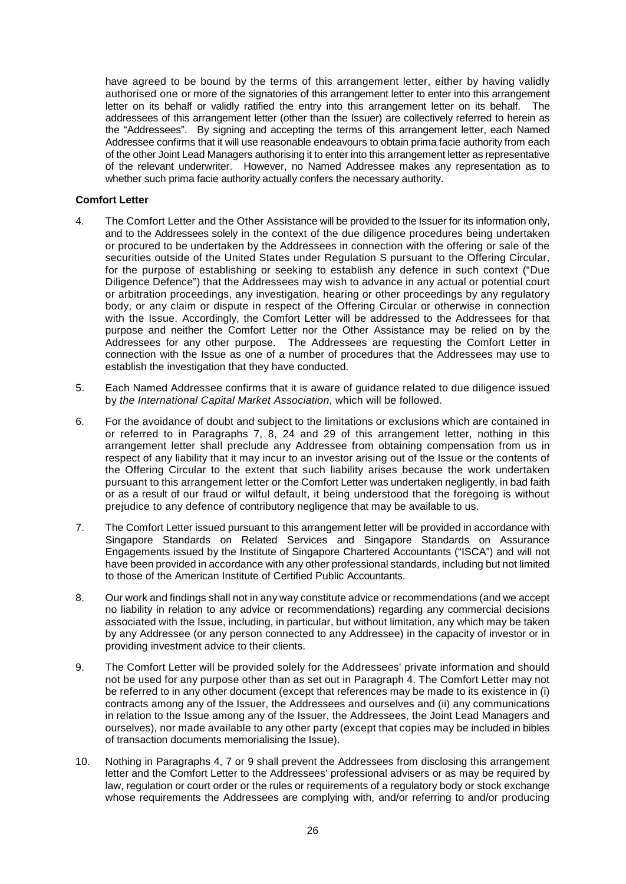have agreed to be bound by the terms of this arrangement letter, either by having validly authorised one or more of the signatories of this arrangement letter to enter into this arrangement letter on its behalf or validly ratified the entry into this arrangement letter on its behalf. The addressees of this arrangement letter (other than the Issuer) are collectively referred to herein as the "Addressees". By signing and accepting the terms of this arrangement letter, each Named Addressee confirms that it will use reasonable endeavours to obtain prima facie authority from each of the other Joint Lead Managers authorising it to enter into this arrangement letter as representative of the relevant underwriter. However, no Named Addressee makes any representation as to whether such prima facie authority actually confers the necessary authority.

#### **Comfort Letter**

- 4. The Comfort Letter and the Other Assistance will be provided to the Issuer for its information only, and to the Addressees solely in the context of the due diligence procedures being undertaken or procured to be undertaken by the Addressees in connection with the offering or sale of the securities outside of the United States under Regulation S pursuant to the Offering Circular, for the purpose of establishing or seeking to establish any defence in such context ("Due Diligence Defence") that the Addressees may wish to advance in any actual or potential court or arbitration proceedings, any investigation, hearing or other proceedings by any regulatory body, or any claim or dispute in respect of the Offering Circular or otherwise in connection with the Issue. Accordingly, the Comfort Letter will be addressed to the Addressees for that purpose and neither the Comfort Letter nor the Other Assistance may be relied on by the Addressees for any other purpose. The Addressees are requesting the Comfort Letter in connection with the Issue as one of a number of procedures that the Addressees may use to establish the investigation that they have conducted.
- 5. Each Named Addressee confirms that it is aware of guidance related to due diligence issued by *the International Capital Market Association*, which will be followed.
- 6. For the avoidance of doubt and subject to the limitations or exclusions which are contained in or referred to in Paragraphs 7, 8, 24 and 29 of this arrangement letter, nothing in this arrangement letter shall preclude any Addressee from obtaining compensation from us in respect of any liability that it may incur to an investor arising out of the Issue or the contents of the Offering Circular to the extent that such liability arises because the work undertaken pursuant to this arrangement letter or the Comfort Letter was undertaken negligently, in bad faith or as a result of our fraud or wilful default, it being understood that the foregoing is without prejudice to any defence of contributory negligence that may be available to us.
- 7. The Comfort Letter issued pursuant to this arrangement letter will be provided in accordance with Singapore Standards on Related Services and Singapore Standards on Assurance Engagements issued by the Institute of Singapore Chartered Accountants ("ISCA") and will not have been provided in accordance with any other professional standards, including but not limited to those of the American Institute of Certified Public Accountants.
- 8. Our work and findings shall not in any way constitute advice or recommendations (and we accept no liability in relation to any advice or recommendations) regarding any commercial decisions associated with the Issue, including, in particular, but without limitation, any which may be taken by any Addressee (or any person connected to any Addressee) in the capacity of investor or in providing investment advice to their clients.
- 9. The Comfort Letter will be provided solely for the Addressees' private information and should not be used for any purpose other than as set out in Paragraph 4. The Comfort Letter may not be referred to in any other document (except that references may be made to its existence in (i) contracts among any of the Issuer, the Addressees and ourselves and (ii) any communications in relation to the Issue among any of the Issuer, the Addressees, the Joint Lead Managers and ourselves), nor made available to any other party (except that copies may be included in bibles of transaction documents memorialising the Issue).
- 10. Nothing in Paragraphs 4, 7 or 9 shall prevent the Addressees from disclosing this arrangement letter and the Comfort Letter to the Addressees' professional advisers or as may be required by law, regulation or court order or the rules or requirements of a regulatory body or stock exchange whose requirements the Addressees are complying with, and/or referring to and/or producing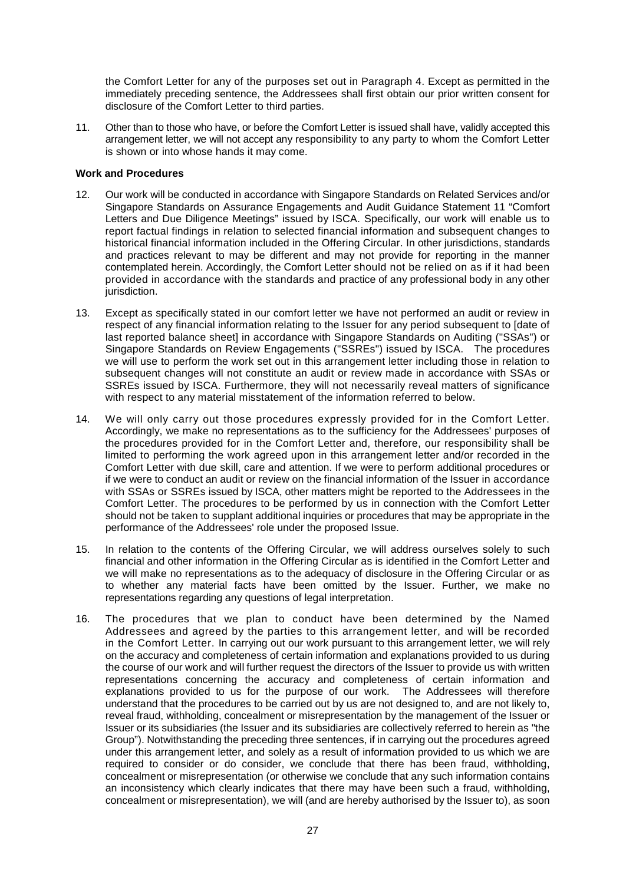the Comfort Letter for any of the purposes set out in Paragraph 4. Except as permitted in the immediately preceding sentence, the Addressees shall first obtain our prior written consent for disclosure of the Comfort Letter to third parties.

11. Other than to those who have, or before the Comfort Letter is issued shall have, validly accepted this arrangement letter, we will not accept any responsibility to any party to whom the Comfort Letter is shown or into whose hands it may come.

#### **Work and Procedures**

- 12. Our work will be conducted in accordance with Singapore Standards on Related Services and/or Singapore Standards on Assurance Engagements and Audit Guidance Statement 11 "Comfort Letters and Due Diligence Meetings" issued by ISCA. Specifically, our work will enable us to report factual findings in relation to selected financial information and subsequent changes to historical financial information included in the Offering Circular. In other jurisdictions, standards and practices relevant to may be different and may not provide for reporting in the manner contemplated herein. Accordingly, the Comfort Letter should not be relied on as if it had been provided in accordance with the standards and practice of any professional body in any other jurisdiction.
- 13. Except as specifically stated in our comfort letter we have not performed an audit or review in respect of any financial information relating to the Issuer for any period subsequent to [date of last reported balance sheet] in accordance with Singapore Standards on Auditing ("SSAs") or Singapore Standards on Review Engagements ("SSREs") issued by ISCA. The procedures we will use to perform the work set out in this arrangement letter including those in relation to subsequent changes will not constitute an audit or review made in accordance with SSAs or SSREs issued by ISCA. Furthermore, they will not necessarily reveal matters of significance with respect to any material misstatement of the information referred to below.
- 14. We will only carry out those procedures expressly provided for in the Comfort Letter. Accordingly, we make no representations as to the sufficiency for the Addressees' purposes of the procedures provided for in the Comfort Letter and, therefore, our responsibility shall be limited to performing the work agreed upon in this arrangement letter and/or recorded in the Comfort Letter with due skill, care and attention. If we were to perform additional procedures or if we were to conduct an audit or review on the financial information of the Issuer in accordance with SSAs or SSREs issued by ISCA, other matters might be reported to the Addressees in the Comfort Letter. The procedures to be performed by us in connection with the Comfort Letter should not be taken to supplant additional inquiries or procedures that may be appropriate in the performance of the Addressees' role under the proposed Issue.
- 15. In relation to the contents of the Offering Circular, we will address ourselves solely to such financial and other information in the Offering Circular as is identified in the Comfort Letter and we will make no representations as to the adequacy of disclosure in the Offering Circular or as to whether any material facts have been omitted by the Issuer. Further, we make no representations regarding any questions of legal interpretation.
- 16. The procedures that we plan to conduct have been determined by the Named Addressees and agreed by the parties to this arrangement letter, and will be recorded in the Comfort Letter. In carrying out our work pursuant to this arrangement letter, we will rely on the accuracy and completeness of certain information and explanations provided to us during the course of our work and will further request the directors of the Issuer to provide us with written representations concerning the accuracy and completeness of certain information and explanations provided to us for the purpose of our work. The Addressees will therefore understand that the procedures to be carried out by us are not designed to, and are not likely to, reveal fraud, withholding, concealment or misrepresentation by the management of the Issuer or Issuer or its subsidiaries (the Issuer and its subsidiaries are collectively referred to herein as "the Group"). Notwithstanding the preceding three sentences, if in carrying out the procedures agreed under this arrangement letter, and solely as a result of information provided to us which we are required to consider or do consider, we conclude that there has been fraud, withholding, concealment or misrepresentation (or otherwise we conclude that any such information contains an inconsistency which clearly indicates that there may have been such a fraud, withholding, concealment or misrepresentation), we will (and are hereby authorised by the Issuer to), as soon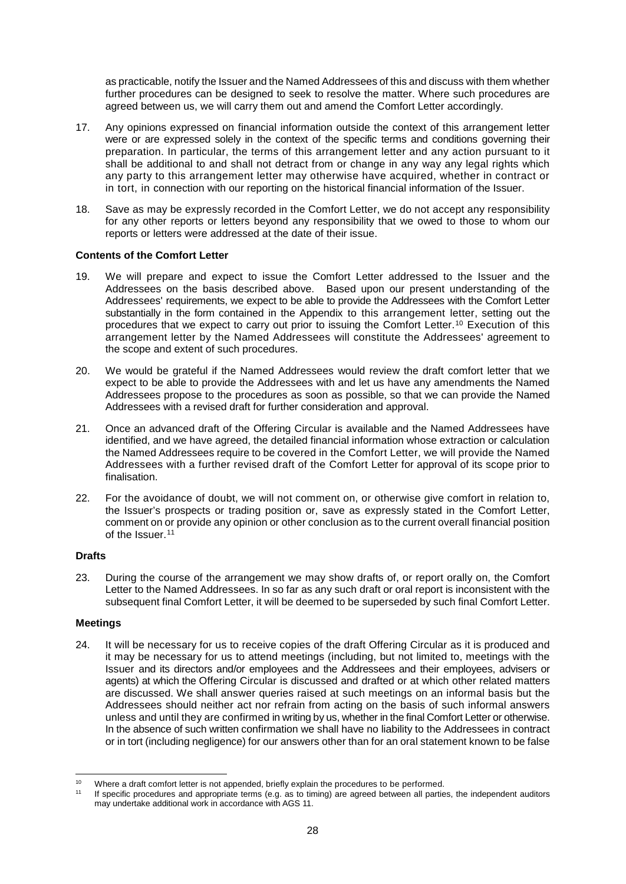as practicable, notify the Issuer and the Named Addressees of this and discuss with them whether further procedures can be designed to seek to resolve the matter. Where such procedures are agreed between us, we will carry them out and amend the Comfort Letter accordingly.

- 17. Any opinions expressed on financial information outside the context of this arrangement letter were or are expressed solely in the context of the specific terms and conditions governing their preparation. In particular, the terms of this arrangement letter and any action pursuant to it shall be additional to and shall not detract from or change in any way any legal rights which any party to this arrangement letter may otherwise have acquired, whether in contract or in tort, in connection with our reporting on the historical financial information of the Issuer.
- 18. Save as may be expressly recorded in the Comfort Letter, we do not accept any responsibility for any other reports or letters beyond any responsibility that we owed to those to whom our reports or letters were addressed at the date of their issue.

#### **Contents of the Comfort Letter**

- 19. We will prepare and expect to issue the Comfort Letter addressed to the Issuer and the Addressees on the basis described above. Based upon our present understanding of the Addressees' requirements, we expect to be able to provide the Addressees with the Comfort Letter substantially in the form contained in the Appendix to this arrangement letter, setting out the procedures that we expect to carry out prior to issuing the Comfort Letter.10 Execution of this arrangement letter by the Named Addressees will constitute the Addressees' agreement to the scope and extent of such procedures.
- 20. We would be grateful if the Named Addressees would review the draft comfort letter that we expect to be able to provide the Addressees with and let us have any amendments the Named Addressees propose to the procedures as soon as possible, so that we can provide the Named Addressees with a revised draft for further consideration and approval.
- 21. Once an advanced draft of the Offering Circular is available and the Named Addressees have identified, and we have agreed, the detailed financial information whose extraction or calculation the Named Addressees require to be covered in the Comfort Letter, we will provide the Named Addressees with a further revised draft of the Comfort Letter for approval of its scope prior to finalisation.
- 22. For the avoidance of doubt, we will not comment on, or otherwise give comfort in relation to, the Issuer's prospects or trading position or, save as expressly stated in the Comfort Letter, comment on or provide any opinion or other conclusion as to the current overall financial position of the Issuer.11

#### **Drafts**

23. During the course of the arrangement we may show drafts of, or report orally on, the Comfort Letter to the Named Addressees. In so far as any such draft or oral report is inconsistent with the subsequent final Comfort Letter, it will be deemed to be superseded by such final Comfort Letter.

#### **Meetings**

24. It will be necessary for us to receive copies of the draft Offering Circular as it is produced and it may be necessary for us to attend meetings (including, but not limited to, meetings with the Issuer and its directors and/or employees and the Addressees and their employees, advisers or agents) at which the Offering Circular is discussed and drafted or at which other related matters are discussed. We shall answer queries raised at such meetings on an informal basis but the Addressees should neither act nor refrain from acting on the basis of such informal answers unless and until they are confirmed in writing by us, whether in the final Comfort Letter or otherwise. In the absence of such written confirmation we shall have no liability to the Addressees in contract or in tort (including negligence) for our answers other than for an oral statement known to be false

 $10<sup>1</sup>$ Where a draft comfort letter is not appended, briefly explain the procedures to be performed.

<sup>11</sup> If specific procedures and appropriate terms (e.g. as to timing) are agreed between all parties, the independent auditors may undertake additional work in accordance with AGS 11.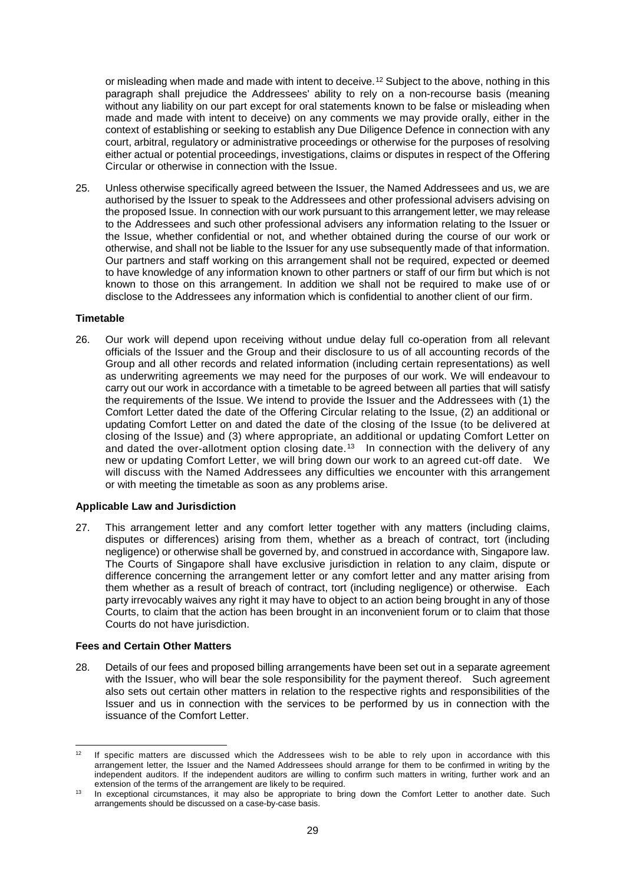or misleading when made and made with intent to deceive.12 Subject to the above, nothing in this paragraph shall prejudice the Addressees' ability to rely on a non-recourse basis (meaning without any liability on our part except for oral statements known to be false or misleading when made and made with intent to deceive) on any comments we may provide orally, either in the context of establishing or seeking to establish any Due Diligence Defence in connection with any court, arbitral, regulatory or administrative proceedings or otherwise for the purposes of resolving either actual or potential proceedings, investigations, claims or disputes in respect of the Offering Circular or otherwise in connection with the Issue.

25. Unless otherwise specifically agreed between the Issuer, the Named Addressees and us, we are authorised by the Issuer to speak to the Addressees and other professional advisers advising on the proposed Issue. In connection with our work pursuant to this arrangement letter, we may release to the Addressees and such other professional advisers any information relating to the Issuer or the Issue, whether confidential or not, and whether obtained during the course of our work or otherwise, and shall not be liable to the Issuer for any use subsequently made of that information. Our partners and staff working on this arrangement shall not be required, expected or deemed to have knowledge of any information known to other partners or staff of our firm but which is not known to those on this arrangement. In addition we shall not be required to make use of or disclose to the Addressees any information which is confidential to another client of our firm.

#### **Timetable**

26. Our work will depend upon receiving without undue delay full co-operation from all relevant officials of the Issuer and the Group and their disclosure to us of all accounting records of the Group and all other records and related information (including certain representations) as well as underwriting agreements we may need for the purposes of our work. We will endeavour to carry out our work in accordance with a timetable to be agreed between all parties that will satisfy the requirements of the Issue. We intend to provide the Issuer and the Addressees with (1) the Comfort Letter dated the date of the Offering Circular relating to the Issue, (2) an additional or updating Comfort Letter on and dated the date of the closing of the Issue (to be delivered at closing of the Issue) and (3) where appropriate, an additional or updating Comfort Letter on and dated the over-allotment option closing date.<sup>13</sup> In connection with the delivery of any new or updating Comfort Letter, we will bring down our work to an agreed cut-off date. We will discuss with the Named Addressees any difficulties we encounter with this arrangement or with meeting the timetable as soon as any problems arise.

#### **Applicable Law and Jurisdiction**

27. This arrangement letter and any comfort letter together with any matters (including claims, disputes or differences) arising from them, whether as a breach of contract, tort (including negligence) or otherwise shall be governed by, and construed in accordance with, Singapore law. The Courts of Singapore shall have exclusive jurisdiction in relation to any claim, dispute or difference concerning the arrangement letter or any comfort letter and any matter arising from them whether as a result of breach of contract, tort (including negligence) or otherwise. Each party irrevocably waives any right it may have to object to an action being brought in any of those Courts, to claim that the action has been brought in an inconvenient forum or to claim that those Courts do not have jurisdiction.

#### **Fees and Certain Other Matters**

28. Details of our fees and proposed billing arrangements have been set out in a separate agreement with the Issuer, who will bear the sole responsibility for the payment thereof. Such agreement also sets out certain other matters in relation to the respective rights and responsibilities of the Issuer and us in connection with the services to be performed by us in connection with the issuance of the Comfort Letter.

 $12$ <sup>12</sup> If specific matters are discussed which the Addressees wish to be able to rely upon in accordance with this arrangement letter, the Issuer and the Named Addressees should arrange for them to be confirmed in writing by the independent auditors. If the independent auditors are willing to confirm such matters in writing, further work and an extension of the terms of the arrangement are likely to be required.

<sup>&</sup>lt;sup>13</sup> In exceptional circumstances, it may also be appropriate to bring down the Comfort Letter to another date. Such arrangements should be discussed on a case-by-case basis.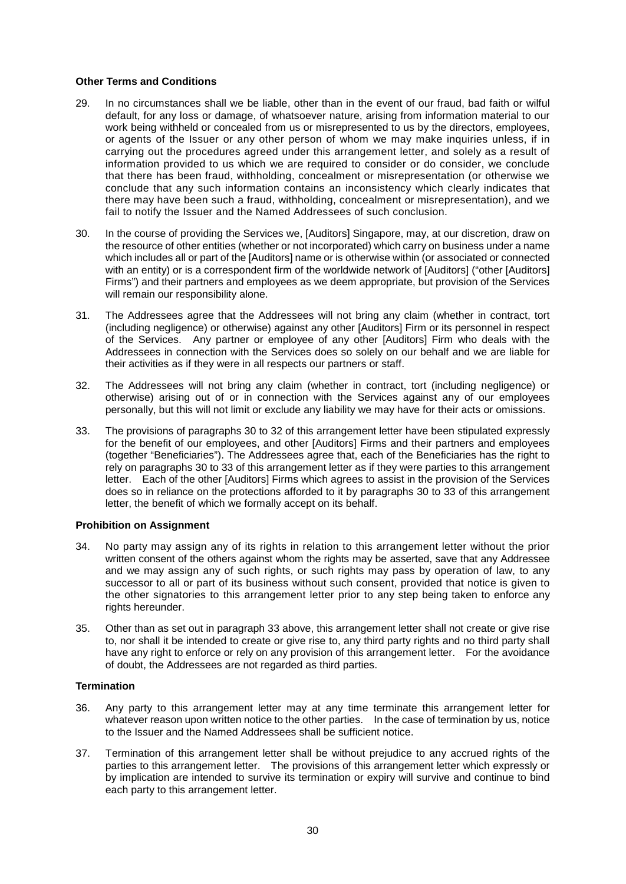#### **Other Terms and Conditions**

- 29. In no circumstances shall we be liable, other than in the event of our fraud, bad faith or wilful default, for any loss or damage, of whatsoever nature, arising from information material to our work being withheld or concealed from us or misrepresented to us by the directors, employees, or agents of the Issuer or any other person of whom we may make inquiries unless, if in carrying out the procedures agreed under this arrangement letter, and solely as a result of information provided to us which we are required to consider or do consider, we conclude that there has been fraud, withholding, concealment or misrepresentation (or otherwise we conclude that any such information contains an inconsistency which clearly indicates that there may have been such a fraud, withholding, concealment or misrepresentation), and we fail to notify the Issuer and the Named Addressees of such conclusion.
- 30. In the course of providing the Services we, [Auditors] Singapore, may, at our discretion, draw on the resource of other entities (whether or not incorporated) which carry on business under a name which includes all or part of the [Auditors] name or is otherwise within (or associated or connected with an entity) or is a correspondent firm of the worldwide network of [Auditors] ("other [Auditors] Firms") and their partners and employees as we deem appropriate, but provision of the Services will remain our responsibility alone.
- 31. The Addressees agree that the Addressees will not bring any claim (whether in contract, tort (including negligence) or otherwise) against any other [Auditors] Firm or its personnel in respect of the Services. Any partner or employee of any other [Auditors] Firm who deals with the Addressees in connection with the Services does so solely on our behalf and we are liable for their activities as if they were in all respects our partners or staff.
- 32. The Addressees will not bring any claim (whether in contract, tort (including negligence) or otherwise) arising out of or in connection with the Services against any of our employees personally, but this will not limit or exclude any liability we may have for their acts or omissions.
- 33. The provisions of paragraphs 30 to 32 of this arrangement letter have been stipulated expressly for the benefit of our employees, and other [Auditors] Firms and their partners and employees (together "Beneficiaries"). The Addressees agree that, each of the Beneficiaries has the right to rely on paragraphs 30 to 33 of this arrangement letter as if they were parties to this arrangement letter. Each of the other [Auditors] Firms which agrees to assist in the provision of the Services does so in reliance on the protections afforded to it by paragraphs 30 to 33 of this arrangement letter, the benefit of which we formally accept on its behalf.

#### **Prohibition on Assignment**

- 34. No party may assign any of its rights in relation to this arrangement letter without the prior written consent of the others against whom the rights may be asserted, save that any Addressee and we may assign any of such rights, or such rights may pass by operation of law, to any successor to all or part of its business without such consent, provided that notice is given to the other signatories to this arrangement letter prior to any step being taken to enforce any rights hereunder.
- 35. Other than as set out in paragraph 33 above, this arrangement letter shall not create or give rise to, nor shall it be intended to create or give rise to, any third party rights and no third party shall have any right to enforce or rely on any provision of this arrangement letter. For the avoidance of doubt, the Addressees are not regarded as third parties.

#### **Termination**

- 36. Any party to this arrangement letter may at any time terminate this arrangement letter for whatever reason upon written notice to the other parties. In the case of termination by us, notice to the Issuer and the Named Addressees shall be sufficient notice.
- 37. Termination of this arrangement letter shall be without prejudice to any accrued rights of the parties to this arrangement letter. The provisions of this arrangement letter which expressly or by implication are intended to survive its termination or expiry will survive and continue to bind each party to this arrangement letter.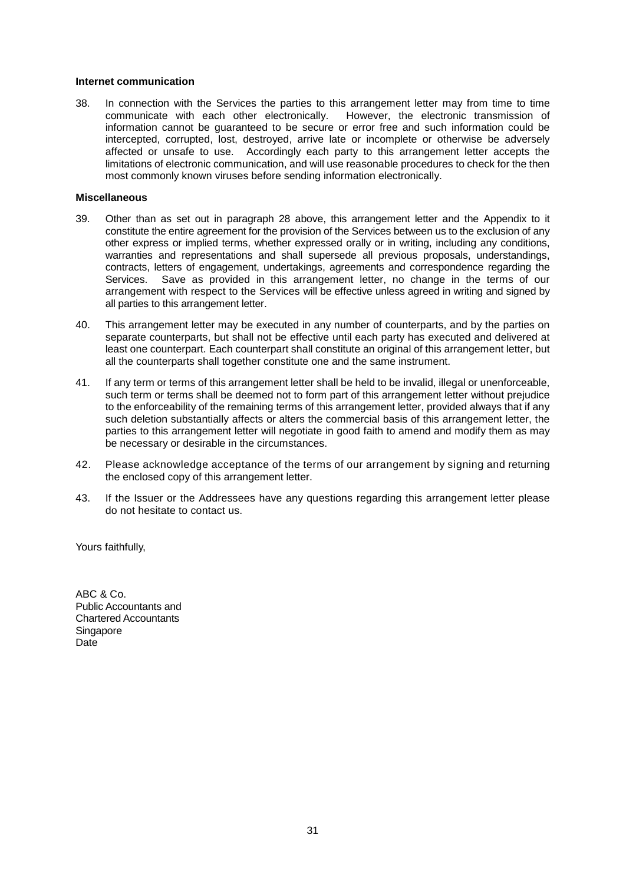#### **Internet communication**

38. In connection with the Services the parties to this arrangement letter may from time to time<br>communicate with each other electronically. However, the electronic transmission of However, the electronic transmission of information cannot be guaranteed to be secure or error free and such information could be intercepted, corrupted, lost, destroyed, arrive late or incomplete or otherwise be adversely affected or unsafe to use. Accordingly each party to this arrangement letter accepts the limitations of electronic communication, and will use reasonable procedures to check for the then most commonly known viruses before sending information electronically.

#### **Miscellaneous**

- 39. Other than as set out in paragraph 28 above, this arrangement letter and the Appendix to it constitute the entire agreement for the provision of the Services between us to the exclusion of any other express or implied terms, whether expressed orally or in writing, including any conditions, warranties and representations and shall supersede all previous proposals, understandings, contracts, letters of engagement, undertakings, agreements and correspondence regarding the Services. Save as provided in this arrangement letter, no change in the terms of our arrangement with respect to the Services will be effective unless agreed in writing and signed by all parties to this arrangement letter.
- 40. This arrangement letter may be executed in any number of counterparts, and by the parties on separate counterparts, but shall not be effective until each party has executed and delivered at least one counterpart. Each counterpart shall constitute an original of this arrangement letter, but all the counterparts shall together constitute one and the same instrument.
- 41. If any term or terms of this arrangement letter shall be held to be invalid, illegal or unenforceable, such term or terms shall be deemed not to form part of this arrangement letter without prejudice to the enforceability of the remaining terms of this arrangement letter, provided always that if any such deletion substantially affects or alters the commercial basis of this arrangement letter, the parties to this arrangement letter will negotiate in good faith to amend and modify them as may be necessary or desirable in the circumstances.
- 42. Please acknowledge acceptance of the terms of our arrangement by signing and returning the enclosed copy of this arrangement letter.
- 43. If the Issuer or the Addressees have any questions regarding this arrangement letter please do not hesitate to contact us.

Yours faithfully,

ABC & Co. Public Accountants and Chartered Accountants **Singapore** Date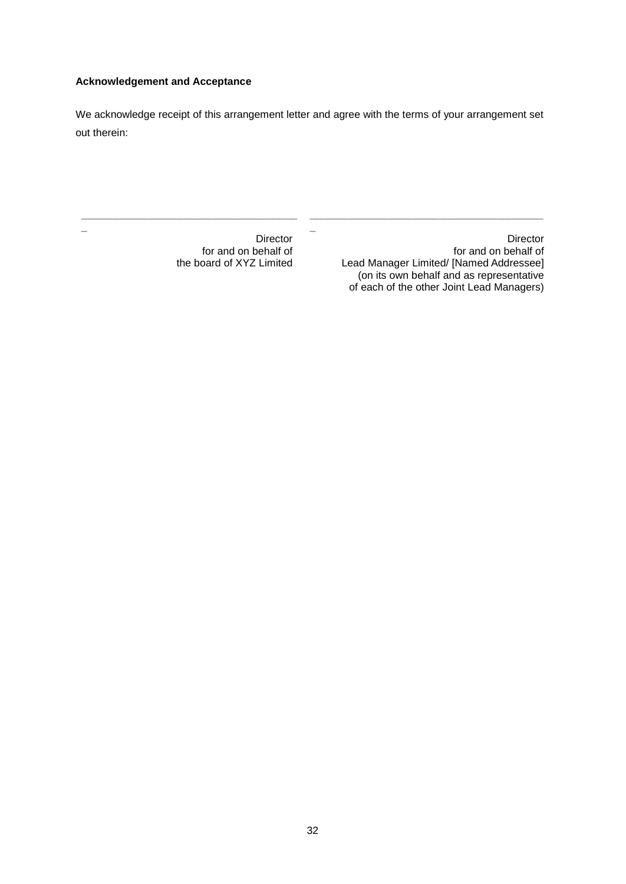## **Acknowledgement and Acceptance**

**\_\_\_\_\_\_\_\_\_\_\_\_\_\_\_\_\_\_\_\_\_\_\_\_\_\_\_\_\_\_\_\_\_\_\_\_\_**

**\_**

We acknowledge receipt of this arrangement letter and agree with the terms of your arrangement set out therein:

**\_**

**Director** for and on behalf of Lead Manager Limited/ [Named Addressee] (on its own behalf and as representative of each of the other Joint Lead Managers)

**\_\_\_\_\_\_\_\_\_\_\_\_\_\_\_\_\_\_\_\_\_\_\_\_\_\_\_\_\_\_\_\_\_\_\_\_\_\_\_\_**

Director for and on behalf of the board of XYZ Limited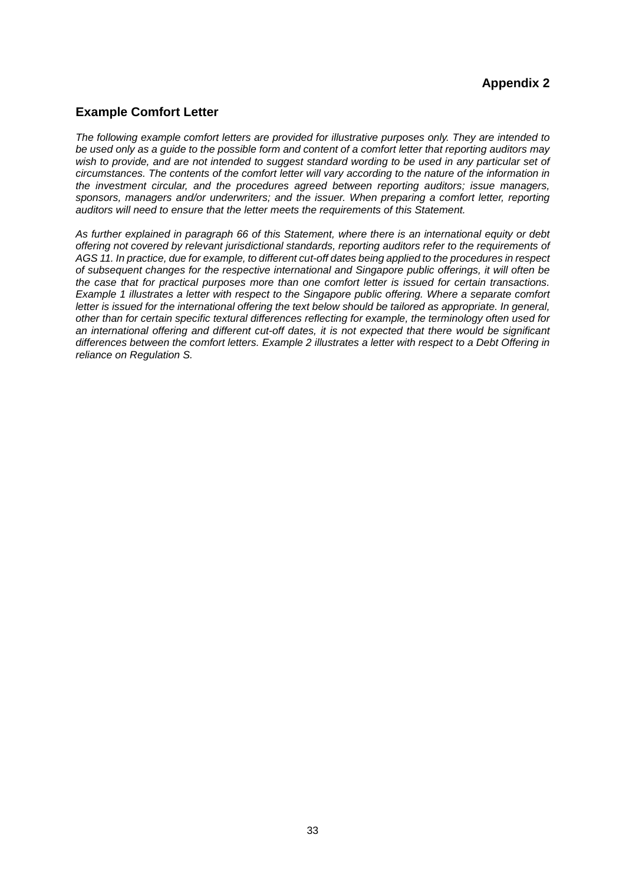## **Appendix 2**

## **Example Comfort Letter**

*The following example comfort letters are provided for illustrative purposes only. They are intended to be used only as a guide to the possible form and content of a comfort letter that reporting auditors may wish to provide, and are not intended to suggest standard wording to be used in any particular set of circumstances. The contents of the comfort letter will vary according to the nature of the information in the investment circular, and the procedures agreed between reporting auditors; issue managers, sponsors, managers and/or underwriters; and the issuer. When preparing a comfort letter, reporting auditors will need to ensure that the letter meets the requirements of this Statement.*

*As further explained in paragraph 66 of this Statement, where there is an international equity or debt offering not covered by relevant jurisdictional standards, reporting auditors refer to the requirements of AGS 11. In practice, due for example, to different cut-off dates being applied to the procedures in respect of subsequent changes for the respective international and Singapore public offerings, it will often be the case that for practical purposes more than one comfort letter is issued for certain transactions. Example 1 illustrates a letter with respect to the Singapore public offering. Where a separate comfort letter is issued for the international offering the text below should be tailored as appropriate. In general, other than for certain specific textural differences reflecting for example, the terminology often used for an international offering and different cut-off dates, it is not expected that there would be significant differences between the comfort letters. Example 2 illustrates a letter with respect to a Debt Offering in reliance on Regulation S.*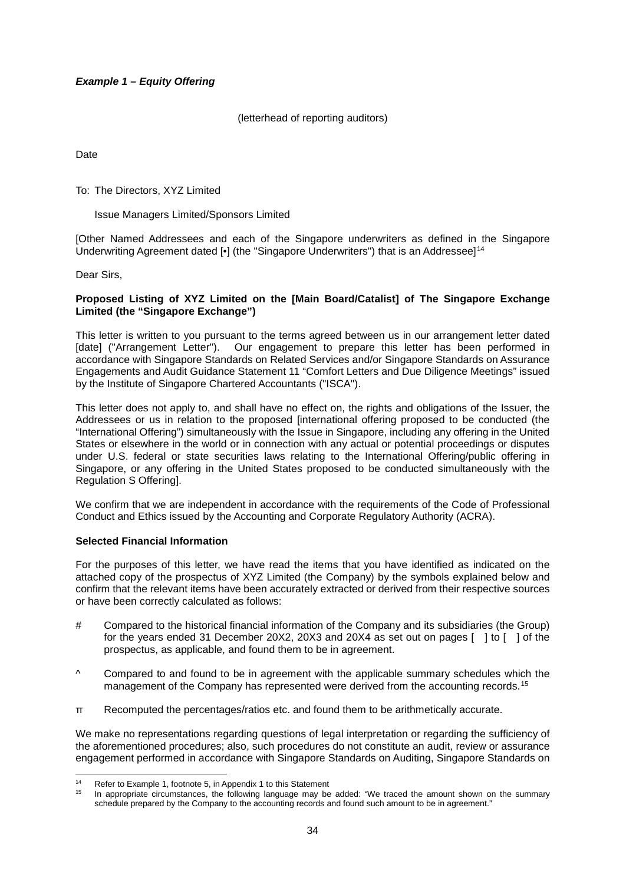## *Example 1 – Equity Offering*

(letterhead of reporting auditors)

Date

To: The Directors, XYZ Limited

#### Issue Managers Limited/Sponsors Limited

[Other Named Addressees and each of the Singapore underwriters as defined in the Singapore Underwriting Agreement dated  $\lceil \cdot \rceil$  (the "Singapore Underwriters") that is an Addressee 1<sup>14</sup>

Dear Sirs,

#### **Proposed Listing of XYZ Limited on the [Main Board/Catalist] of The Singapore Exchange Limited (the "Singapore Exchange")**

This letter is written to you pursuant to the terms agreed between us in our arrangement letter dated [date] ("Arrangement Letter"). Our engagement to prepare this letter has been performed in accordance with Singapore Standards on Related Services and/or Singapore Standards on Assurance Engagements and Audit Guidance Statement 11 "Comfort Letters and Due Diligence Meetings" issued by the Institute of Singapore Chartered Accountants ("ISCA").

This letter does not apply to, and shall have no effect on, the rights and obligations of the Issuer, the Addressees or us in relation to the proposed [international offering proposed to be conducted (the "International Offering") simultaneously with the Issue in Singapore, including any offering in the United States or elsewhere in the world or in connection with any actual or potential proceedings or disputes under U.S. federal or state securities laws relating to the International Offering/public offering in Singapore, or any offering in the United States proposed to be conducted simultaneously with the Regulation S Offering].

We confirm that we are independent in accordance with the requirements of the Code of Professional Conduct and Ethics issued by the Accounting and Corporate Regulatory Authority (ACRA).

#### **Selected Financial Information**

For the purposes of this letter, we have read the items that you have identified as indicated on the attached copy of the prospectus of XYZ Limited (the Company) by the symbols explained below and confirm that the relevant items have been accurately extracted or derived from their respective sources or have been correctly calculated as follows:

- # Compared to the historical financial information of the Company and its subsidiaries (the Group) for the years ended 31 December 20X2, 20X3 and 20X4 as set out on pages [ ] to [ ] of the prospectus, as applicable, and found them to be in agreement.
- ^ Compared to and found to be in agreement with the applicable summary schedules which the management of the Company has represented were derived from the accounting records.<sup>15</sup>
- π Recomputed the percentages/ratios etc. and found them to be arithmetically accurate.

We make no representations regarding questions of legal interpretation or regarding the sufficiency of the aforementioned procedures; also, such procedures do not constitute an audit, review or assurance engagement performed in accordance with Singapore Standards on Auditing, Singapore Standards on

 $14$ <sup>14</sup> Refer to Example 1, footnote 5, in Appendix 1 to this Statement

In appropriate circumstances, the following language may be added: "We traced the amount shown on the summary schedule prepared by the Company to the accounting records and found such amount to be in agreement."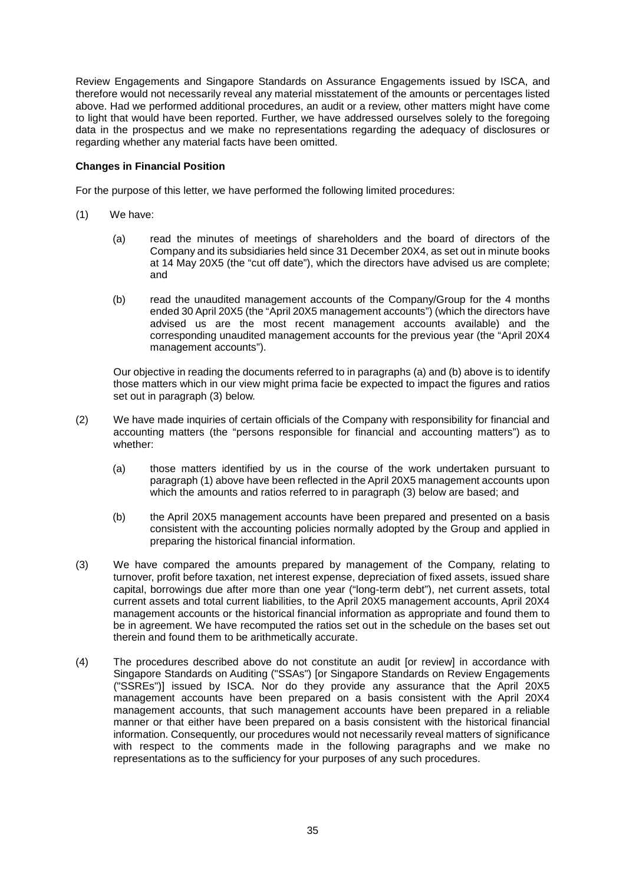Review Engagements and Singapore Standards on Assurance Engagements issued by ISCA, and therefore would not necessarily reveal any material misstatement of the amounts or percentages listed above. Had we performed additional procedures, an audit or a review, other matters might have come to light that would have been reported. Further, we have addressed ourselves solely to the foregoing data in the prospectus and we make no representations regarding the adequacy of disclosures or regarding whether any material facts have been omitted.

#### **Changes in Financial Position**

For the purpose of this letter, we have performed the following limited procedures:

- (1) We have:
	- (a) read the minutes of meetings of shareholders and the board of directors of the Company and its subsidiaries held since 31 December 20X4, as set out in minute books at 14 May 20X5 (the "cut off date"), which the directors have advised us are complete; and
	- (b) read the unaudited management accounts of the Company/Group for the 4 months ended 30 April 20X5 (the "April 20X5 management accounts") (which the directors have advised us are the most recent management accounts available) and the corresponding unaudited management accounts for the previous year (the "April 20X4 management accounts").

Our objective in reading the documents referred to in paragraphs (a) and (b) above is to identify those matters which in our view might prima facie be expected to impact the figures and ratios set out in paragraph (3) below.

- (2) We have made inquiries of certain officials of the Company with responsibility for financial and accounting matters (the "persons responsible for financial and accounting matters") as to whether:
	- (a) those matters identified by us in the course of the work undertaken pursuant to paragraph (1) above have been reflected in the April 20X5 management accounts upon which the amounts and ratios referred to in paragraph (3) below are based; and
	- (b) the April 20X5 management accounts have been prepared and presented on a basis consistent with the accounting policies normally adopted by the Group and applied in preparing the historical financial information.
- (3) We have compared the amounts prepared by management of the Company, relating to turnover, profit before taxation, net interest expense, depreciation of fixed assets, issued share capital, borrowings due after more than one year ("long-term debt"), net current assets, total current assets and total current liabilities, to the April 20X5 management accounts, April 20X4 management accounts or the historical financial information as appropriate and found them to be in agreement. We have recomputed the ratios set out in the schedule on the bases set out therein and found them to be arithmetically accurate.
- (4) The procedures described above do not constitute an audit [or review] in accordance with Singapore Standards on Auditing ("SSAs") [or Singapore Standards on Review Engagements ("SSREs")] issued by ISCA. Nor do they provide any assurance that the April 20X5 management accounts have been prepared on a basis consistent with the April 20X4 management accounts, that such management accounts have been prepared in a reliable manner or that either have been prepared on a basis consistent with the historical financial information. Consequently, our procedures would not necessarily reveal matters of significance with respect to the comments made in the following paragraphs and we make no representations as to the sufficiency for your purposes of any such procedures.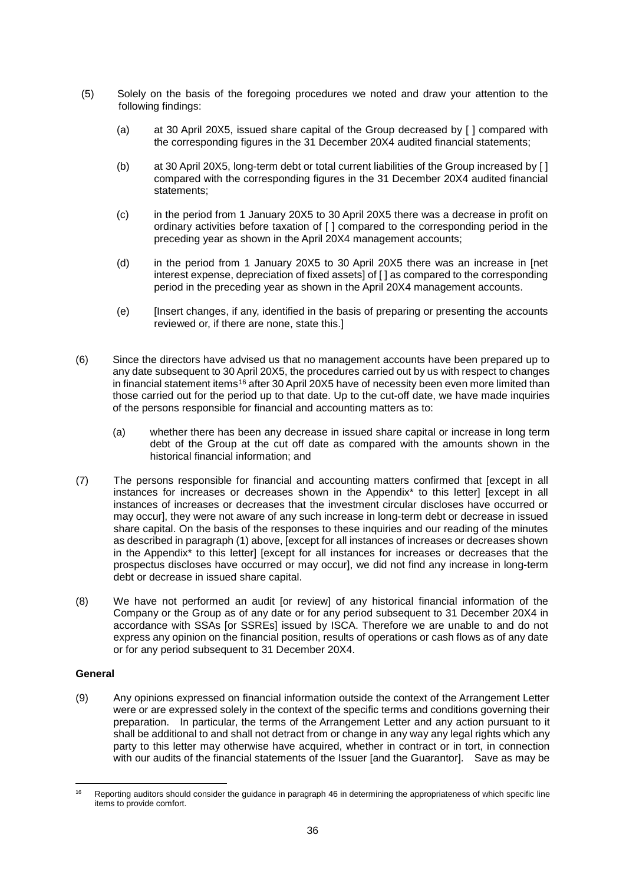- (5) Solely on the basis of the foregoing procedures we noted and draw your attention to the following findings:
	- (a) at 30 April 20X5, issued share capital of the Group decreased by [ ] compared with the corresponding figures in the 31 December 20X4 audited financial statements;
	- (b) at 30 April 20X5, long-term debt or total current liabilities of the Group increased by [ ] compared with the corresponding figures in the 31 December 20X4 audited financial statements;
	- (c) in the period from 1 January 20X5 to 30 April 20X5 there was a decrease in profit on ordinary activities before taxation of [ ] compared to the corresponding period in the preceding year as shown in the April 20X4 management accounts;
	- (d) in the period from 1 January 20X5 to 30 April 20X5 there was an increase in [net interest expense, depreciation of fixed assets] of [ ] as compared to the corresponding period in the preceding year as shown in the April 20X4 management accounts.
	- (e) [Insert changes, if any, identified in the basis of preparing or presenting the accounts reviewed or, if there are none, state this.]
- (6) Since the directors have advised us that no management accounts have been prepared up to any date subsequent to 30 April 20X5, the procedures carried out by us with respect to changes in financial statement items<sup>16</sup> after 30 April 20X5 have of necessity been even more limited than those carried out for the period up to that date. Up to the cut-off date, we have made inquiries of the persons responsible for financial and accounting matters as to:
	- (a) whether there has been any decrease in issued share capital or increase in long term debt of the Group at the cut off date as compared with the amounts shown in the historical financial information; and
- (7) The persons responsible for financial and accounting matters confirmed that [except in all instances for increases or decreases shown in the Appendix<sup>\*</sup> to this letter] [except in all instances of increases or decreases that the investment circular discloses have occurred or may occur], they were not aware of any such increase in long-term debt or decrease in issued share capital. On the basis of the responses to these inquiries and our reading of the minutes as described in paragraph (1) above, [except for all instances of increases or decreases shown in the Appendix\* to this letter] [except for all instances for increases or decreases that the prospectus discloses have occurred or may occur], we did not find any increase in long-term debt or decrease in issued share capital.
- (8) We have not performed an audit [or review] of any historical financial information of the Company or the Group as of any date or for any period subsequent to 31 December 20X4 in accordance with SSAs [or SSREs] issued by ISCA. Therefore we are unable to and do not express any opinion on the financial position, results of operations or cash flows as of any date or for any period subsequent to 31 December 20X4.

#### **General**

(9) Any opinions expressed on financial information outside the context of the Arrangement Letter were or are expressed solely in the context of the specific terms and conditions governing their preparation. In particular, the terms of the Arrangement Letter and any action pursuant to it shall be additional to and shall not detract from or change in any way any legal rights which any party to this letter may otherwise have acquired, whether in contract or in tort, in connection with our audits of the financial statements of the Issuer [and the Guarantor]. Save as may be

<sup>-</sup>Reporting auditors should consider the guidance in paragraph 46 in determining the appropriateness of which specific line items to provide comfort.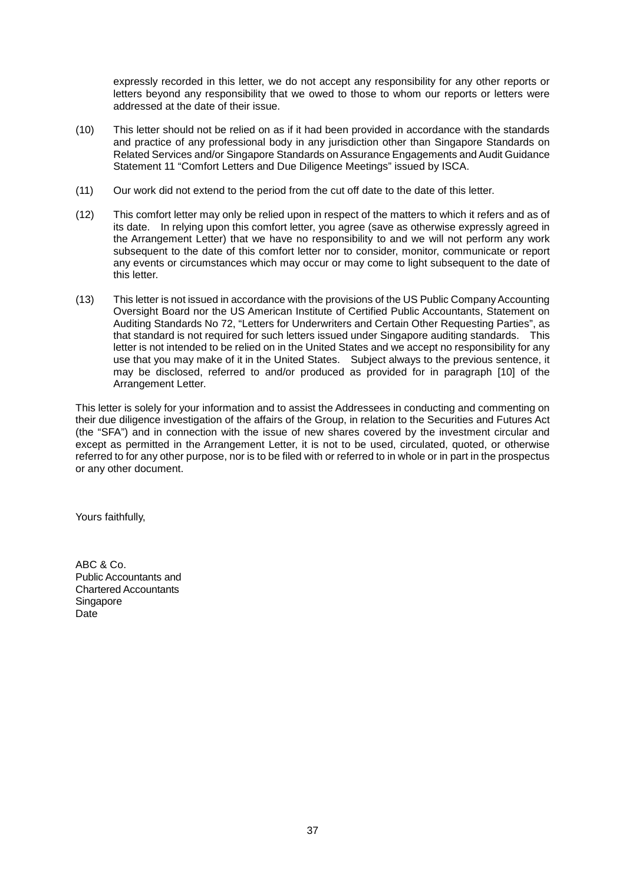expressly recorded in this letter, we do not accept any responsibility for any other reports or letters beyond any responsibility that we owed to those to whom our reports or letters were addressed at the date of their issue.

- (10) This letter should not be relied on as if it had been provided in accordance with the standards and practice of any professional body in any jurisdiction other than Singapore Standards on Related Services and/or Singapore Standards on Assurance Engagements and Audit Guidance Statement 11 "Comfort Letters and Due Diligence Meetings" issued by ISCA.
- (11) Our work did not extend to the period from the cut off date to the date of this letter.
- (12) This comfort letter may only be relied upon in respect of the matters to which it refers and as of its date. In relying upon this comfort letter, you agree (save as otherwise expressly agreed in the Arrangement Letter) that we have no responsibility to and we will not perform any work subsequent to the date of this comfort letter nor to consider, monitor, communicate or report any events or circumstances which may occur or may come to light subsequent to the date of this letter.
- (13) This letter is not issued in accordance with the provisions of the US Public Company Accounting Oversight Board nor the US American Institute of Certified Public Accountants, Statement on Auditing Standards No 72, "Letters for Underwriters and Certain Other Requesting Parties", as that standard is not required for such letters issued under Singapore auditing standards. This letter is not intended to be relied on in the United States and we accept no responsibility for any use that you may make of it in the United States. Subject always to the previous sentence, it may be disclosed, referred to and/or produced as provided for in paragraph [10] of the Arrangement Letter.

This letter is solely for your information and to assist the Addressees in conducting and commenting on their due diligence investigation of the affairs of the Group, in relation to the Securities and Futures Act (the "SFA") and in connection with the issue of new shares covered by the investment circular and except as permitted in the Arrangement Letter, it is not to be used, circulated, quoted, or otherwise referred to for any other purpose, nor is to be filed with or referred to in whole or in part in the prospectus or any other document.

Yours faithfully,

ABC & Co. Public Accountants and Chartered Accountants Singapore Date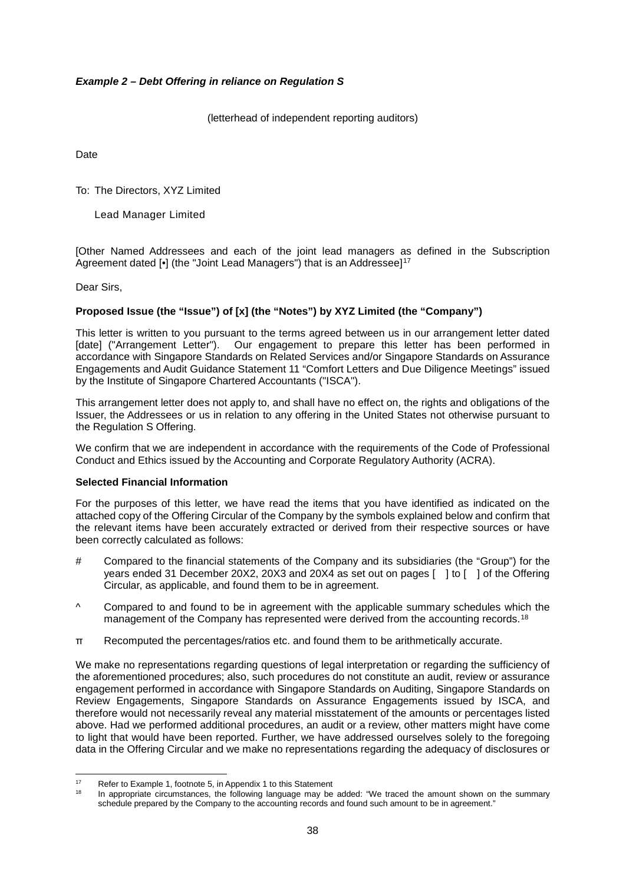## *Example 2 – Debt Offering in reliance on Regulation S*

(letterhead of independent reporting auditors)

Date

To: The Directors, XYZ Limited

Lead Manager Limited

[Other Named Addressees and each of the joint lead managers as defined in the Subscription Agreement dated [•] (the "Joint Lead Managers") that is an Addressee]<sup>17</sup>

Dear Sirs,

#### **Proposed Issue (the "Issue") of [x] (the "Notes") by XYZ Limited (the "Company")**

This letter is written to you pursuant to the terms agreed between us in our arrangement letter dated [date] ("Arrangement Letter"). Our engagement to prepare this letter has been performed in accordance with Singapore Standards on Related Services and/or Singapore Standards on Assurance Engagements and Audit Guidance Statement 11 "Comfort Letters and Due Diligence Meetings" issued by the Institute of Singapore Chartered Accountants ("ISCA").

This arrangement letter does not apply to, and shall have no effect on, the rights and obligations of the Issuer, the Addressees or us in relation to any offering in the United States not otherwise pursuant to the Regulation S Offering.

We confirm that we are independent in accordance with the requirements of the Code of Professional Conduct and Ethics issued by the Accounting and Corporate Regulatory Authority (ACRA).

#### **Selected Financial Information**

For the purposes of this letter, we have read the items that you have identified as indicated on the attached copy of the Offering Circular of the Company by the symbols explained below and confirm that the relevant items have been accurately extracted or derived from their respective sources or have been correctly calculated as follows:

- # Compared to the financial statements of the Company and its subsidiaries (the "Group") for the years ended 31 December 20X2, 20X3 and 20X4 as set out on pages [ ] to [ ] of the Offering Circular, as applicable, and found them to be in agreement.
- ^ Compared to and found to be in agreement with the applicable summary schedules which the management of the Company has represented were derived from the accounting records.<sup>18</sup>
- π Recomputed the percentages/ratios etc. and found them to be arithmetically accurate.

We make no representations regarding questions of legal interpretation or regarding the sufficiency of the aforementioned procedures; also, such procedures do not constitute an audit, review or assurance engagement performed in accordance with Singapore Standards on Auditing, Singapore Standards on Review Engagements, Singapore Standards on Assurance Engagements issued by ISCA, and therefore would not necessarily reveal any material misstatement of the amounts or percentages listed above. Had we performed additional procedures, an audit or a review, other matters might have come to light that would have been reported. Further, we have addressed ourselves solely to the foregoing data in the Offering Circular and we make no representations regarding the adequacy of disclosures or

 $17$ <sup>17</sup> Refer to Example 1, footnote 5, in Appendix 1 to this Statement<br><sup>18</sup> Propressive circumstances, the following Japanese may be

In appropriate circumstances, the following language may be added: "We traced the amount shown on the summary schedule prepared by the Company to the accounting records and found such amount to be in agreement."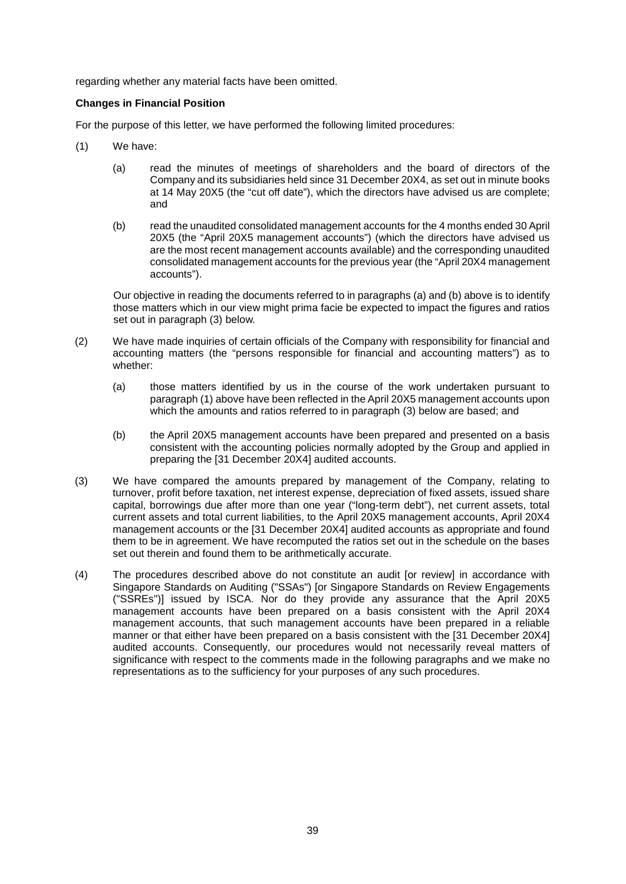regarding whether any material facts have been omitted.

#### **Changes in Financial Position**

For the purpose of this letter, we have performed the following limited procedures:

- (1) We have:
	- (a) read the minutes of meetings of shareholders and the board of directors of the Company and its subsidiaries held since 31 December 20X4, as set out in minute books at 14 May 20X5 (the "cut off date"), which the directors have advised us are complete; and
	- (b) read the unaudited consolidated management accounts for the 4 months ended 30 April 20X5 (the "April 20X5 management accounts") (which the directors have advised us are the most recent management accounts available) and the corresponding unaudited consolidated management accounts for the previous year (the "April 20X4 management accounts").

Our objective in reading the documents referred to in paragraphs (a) and (b) above is to identify those matters which in our view might prima facie be expected to impact the figures and ratios set out in paragraph (3) below.

- (2) We have made inquiries of certain officials of the Company with responsibility for financial and accounting matters (the "persons responsible for financial and accounting matters") as to whether:
	- (a) those matters identified by us in the course of the work undertaken pursuant to paragraph (1) above have been reflected in the April 20X5 management accounts upon which the amounts and ratios referred to in paragraph (3) below are based; and
	- (b) the April 20X5 management accounts have been prepared and presented on a basis consistent with the accounting policies normally adopted by the Group and applied in preparing the [31 December 20X4] audited accounts.
- (3) We have compared the amounts prepared by management of the Company, relating to turnover, profit before taxation, net interest expense, depreciation of fixed assets, issued share capital, borrowings due after more than one year ("long-term debt"), net current assets, total current assets and total current liabilities, to the April 20X5 management accounts, April 20X4 management accounts or the [31 December 20X4] audited accounts as appropriate and found them to be in agreement. We have recomputed the ratios set out in the schedule on the bases set out therein and found them to be arithmetically accurate.
- (4) The procedures described above do not constitute an audit [or review] in accordance with Singapore Standards on Auditing ("SSAs") [or Singapore Standards on Review Engagements ("SSREs")] issued by ISCA. Nor do they provide any assurance that the April 20X5 management accounts have been prepared on a basis consistent with the April 20X4 management accounts, that such management accounts have been prepared in a reliable manner or that either have been prepared on a basis consistent with the [31 December 20X4] audited accounts. Consequently, our procedures would not necessarily reveal matters of significance with respect to the comments made in the following paragraphs and we make no representations as to the sufficiency for your purposes of any such procedures.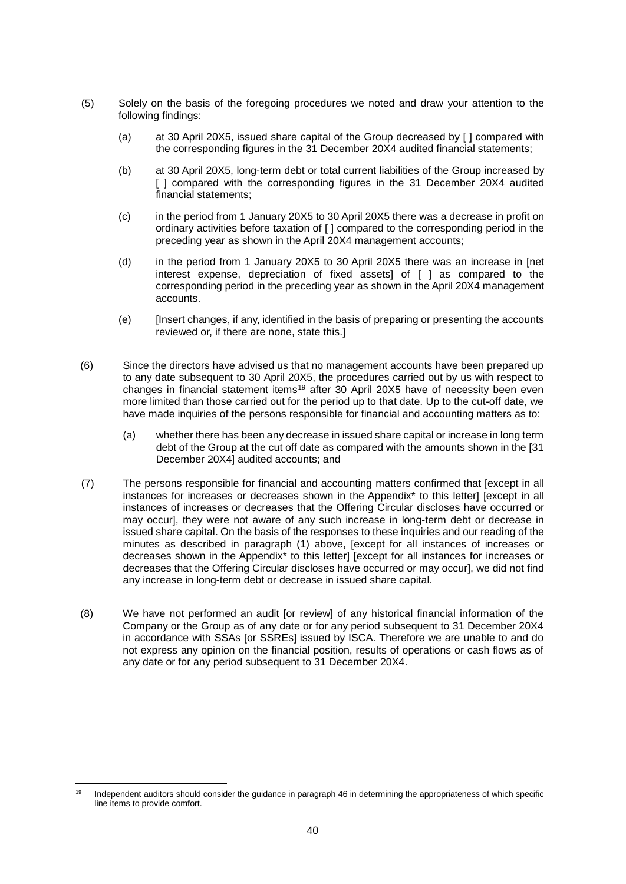- (5) Solely on the basis of the foregoing procedures we noted and draw your attention to the following findings:
	- (a) at 30 April 20X5, issued share capital of the Group decreased by [ ] compared with the corresponding figures in the 31 December 20X4 audited financial statements;
	- (b) at 30 April 20X5, long-term debt or total current liabilities of the Group increased by [ ] compared with the corresponding figures in the 31 December 20X4 audited financial statements;
	- (c) in the period from 1 January 20X5 to 30 April 20X5 there was a decrease in profit on ordinary activities before taxation of [ ] compared to the corresponding period in the preceding year as shown in the April 20X4 management accounts;
	- (d) in the period from 1 January 20X5 to 30 April 20X5 there was an increase in [net interest expense, depreciation of fixed assets] of [ ] as compared to the corresponding period in the preceding year as shown in the April 20X4 management accounts.
	- (e) [Insert changes, if any, identified in the basis of preparing or presenting the accounts reviewed or, if there are none, state this.]
- (6) Since the directors have advised us that no management accounts have been prepared up to any date subsequent to 30 April 20X5, the procedures carried out by us with respect to changes in financial statement items<sup>19</sup> after 30 April 20X5 have of necessity been even more limited than those carried out for the period up to that date. Up to the cut-off date, we have made inquiries of the persons responsible for financial and accounting matters as to:
	- (a) whether there has been any decrease in issued share capital or increase in long term debt of the Group at the cut off date as compared with the amounts shown in the [31 December 20X4] audited accounts; and
- (7) The persons responsible for financial and accounting matters confirmed that [except in all instances for increases or decreases shown in the Appendix\* to this letter] [except in all instances of increases or decreases that the Offering Circular discloses have occurred or may occur], they were not aware of any such increase in long-term debt or decrease in issued share capital. On the basis of the responses to these inquiries and our reading of the minutes as described in paragraph (1) above, [except for all instances of increases or decreases shown in the Appendix\* to this letter] [except for all instances for increases or decreases that the Offering Circular discloses have occurred or may occur], we did not find any increase in long-term debt or decrease in issued share capital.
- (8) We have not performed an audit [or review] of any historical financial information of the Company or the Group as of any date or for any period subsequent to 31 December 20X4 in accordance with SSAs [or SSREs] issued by ISCA. Therefore we are unable to and do not express any opinion on the financial position, results of operations or cash flows as of any date or for any period subsequent to 31 December 20X4.

<sup>-</sup>Independent auditors should consider the guidance in paragraph 46 in determining the appropriateness of which specific line items to provide comfort.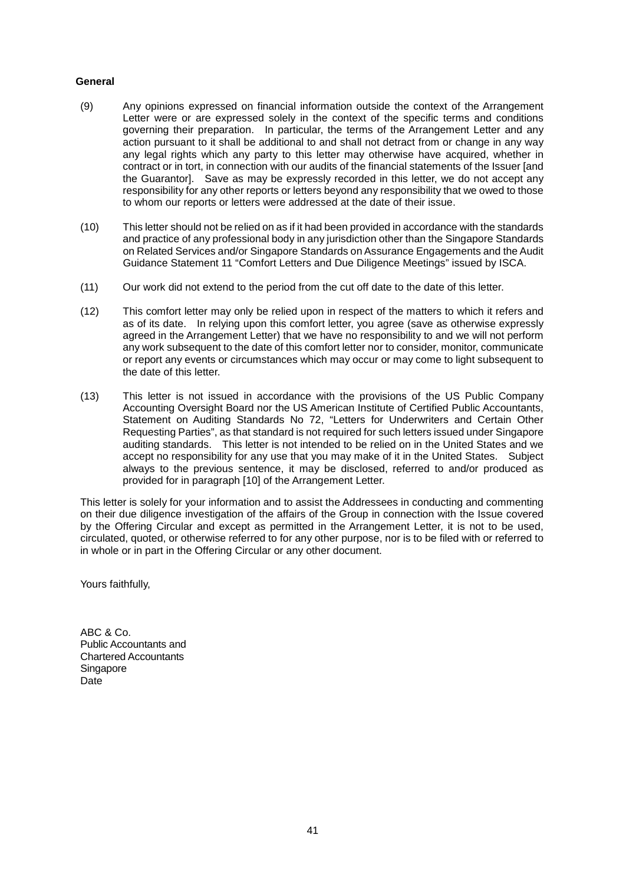#### **General**

- (9) Any opinions expressed on financial information outside the context of the Arrangement Letter were or are expressed solely in the context of the specific terms and conditions governing their preparation. In particular, the terms of the Arrangement Letter and any action pursuant to it shall be additional to and shall not detract from or change in any way any legal rights which any party to this letter may otherwise have acquired, whether in contract or in tort, in connection with our audits of the financial statements of the Issuer [and the Guarantor]. Save as may be expressly recorded in this letter, we do not accept any responsibility for any other reports or letters beyond any responsibility that we owed to those to whom our reports or letters were addressed at the date of their issue.
- (10) This letter should not be relied on as if it had been provided in accordance with the standards and practice of any professional body in any jurisdiction other than the Singapore Standards on Related Services and/or Singapore Standards on Assurance Engagements and the Audit Guidance Statement 11 "Comfort Letters and Due Diligence Meetings" issued by ISCA.
- (11) Our work did not extend to the period from the cut off date to the date of this letter.
- (12) This comfort letter may only be relied upon in respect of the matters to which it refers and as of its date. In relying upon this comfort letter, you agree (save as otherwise expressly agreed in the Arrangement Letter) that we have no responsibility to and we will not perform any work subsequent to the date of this comfort letter nor to consider, monitor, communicate or report any events or circumstances which may occur or may come to light subsequent to the date of this letter.
- (13) This letter is not issued in accordance with the provisions of the US Public Company Accounting Oversight Board nor the US American Institute of Certified Public Accountants, Statement on Auditing Standards No 72, "Letters for Underwriters and Certain Other Requesting Parties", as that standard is not required for such letters issued under Singapore auditing standards. This letter is not intended to be relied on in the United States and we accept no responsibility for any use that you may make of it in the United States. Subject always to the previous sentence, it may be disclosed, referred to and/or produced as provided for in paragraph [10] of the Arrangement Letter.

This letter is solely for your information and to assist the Addressees in conducting and commenting on their due diligence investigation of the affairs of the Group in connection with the Issue covered by the Offering Circular and except as permitted in the Arrangement Letter, it is not to be used, circulated, quoted, or otherwise referred to for any other purpose, nor is to be filed with or referred to in whole or in part in the Offering Circular or any other document.

Yours faithfully,

ABC & Co. Public Accountants and Chartered Accountants Singapore Date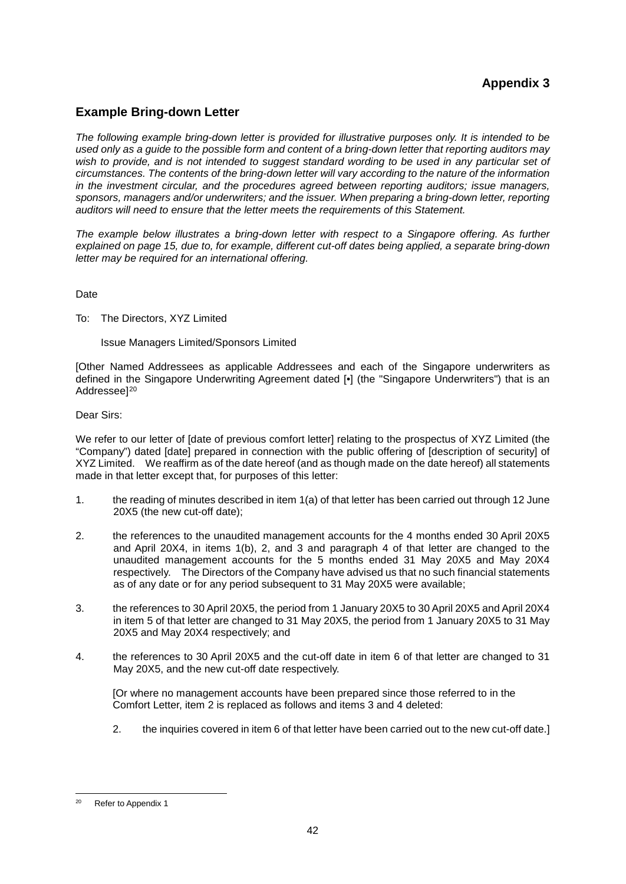# **Appendix 3**

## **Example Bring-down Letter**

*The following example bring-down letter is provided for illustrative purposes only. It is intended to be used only as a guide to the possible form and content of a bring-down letter that reporting auditors may wish to provide, and is not intended to suggest standard wording to be used in any particular set of circumstances. The contents of the bring-down letter will vary according to the nature of the information in the investment circular, and the procedures agreed between reporting auditors; issue managers, sponsors, managers and/or underwriters; and the issuer. When preparing a bring-down letter, reporting auditors will need to ensure that the letter meets the requirements of this Statement.*

*The example below illustrates a bring-down letter with respect to a Singapore offering. As further explained on page 15, due to, for example, different cut-off dates being applied, a separate bring-down letter may be required for an international offering.*

Date

To: The Directors, XYZ Limited

Issue Managers Limited/Sponsors Limited

[Other Named Addressees as applicable Addressees and each of the Singapore underwriters as defined in the Singapore Underwriting Agreement dated [•] (the "Singapore Underwriters") that is an Addressee]<sup>20</sup>

Dear Sirs:

We refer to our letter of [date of previous comfort letter] relating to the prospectus of XYZ Limited (the "Company") dated [date] prepared in connection with the public offering of [description of security] of XYZ Limited. We reaffirm as of the date hereof (and as though made on the date hereof) all statements made in that letter except that, for purposes of this letter:

- 1. the reading of minutes described in item 1(a) of that letter has been carried out through 12 June 20X5 (the new cut-off date);
- 2. the references to the unaudited management accounts for the 4 months ended 30 April 20X5 and April 20X4, in items 1(b), 2, and 3 and paragraph 4 of that letter are changed to the unaudited management accounts for the 5 months ended 31 May 20X5 and May 20X4 respectively. The Directors of the Company have advised us that no such financial statements as of any date or for any period subsequent to 31 May 20X5 were available;
- 3. the references to 30 April 20X5, the period from 1 January 20X5 to 30 April 20X5 and April 20X4 in item 5 of that letter are changed to 31 May 20X5, the period from 1 January 20X5 to 31 May 20X5 and May 20X4 respectively; and
- 4. the references to 30 April 20X5 and the cut-off date in item 6 of that letter are changed to 31 May 20X5, and the new cut-off date respectively.

[Or where no management accounts have been prepared since those referred to in the Comfort Letter, item 2 is replaced as follows and items 3 and 4 deleted:

2. the inquiries covered in item 6 of that letter have been carried out to the new cut-off date.]

<sup>&</sup>lt;u>.</u> Refer to Appendix 1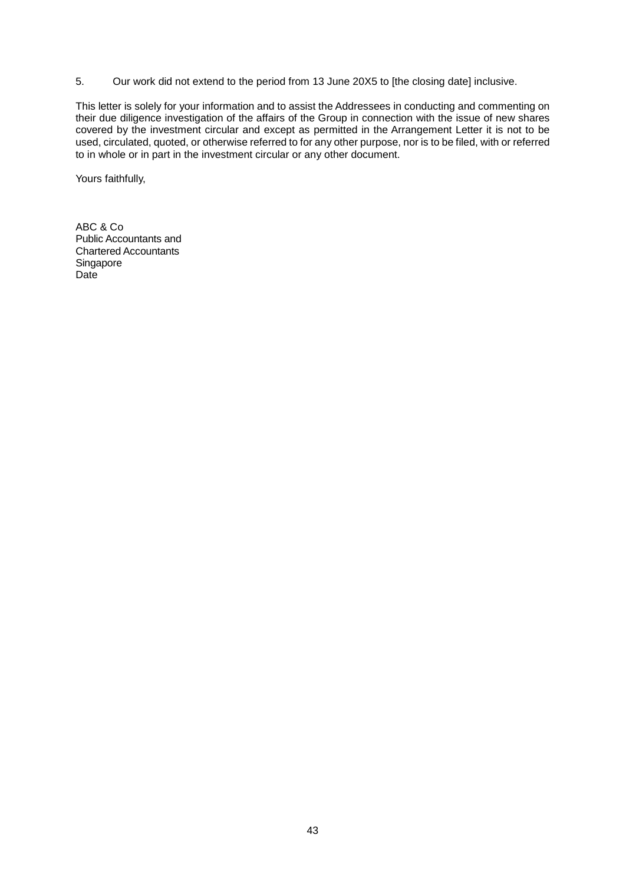5. Our work did not extend to the period from 13 June 20X5 to [the closing date] inclusive.

This letter is solely for your information and to assist the Addressees in conducting and commenting on their due diligence investigation of the affairs of the Group in connection with the issue of new shares covered by the investment circular and except as permitted in the Arrangement Letter it is not to be used, circulated, quoted, or otherwise referred to for any other purpose, nor is to be filed, with or referred to in whole or in part in the investment circular or any other document.

Yours faithfully,

ABC & Co Public Accountants and Chartered Accountants Singapore Date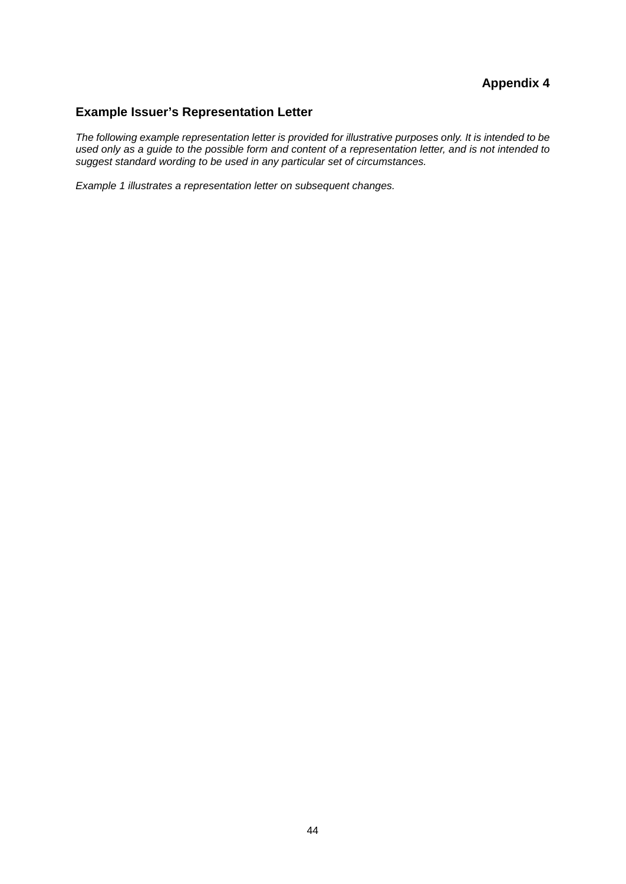# **Appendix 4**

# **Example Issuer's Representation Letter**

*The following example representation letter is provided for illustrative purposes only. It is intended to be used only as a guide to the possible form and content of a representation letter, and is not intended to suggest standard wording to be used in any particular set of circumstances.*

*Example 1 illustrates a representation letter on subsequent changes.*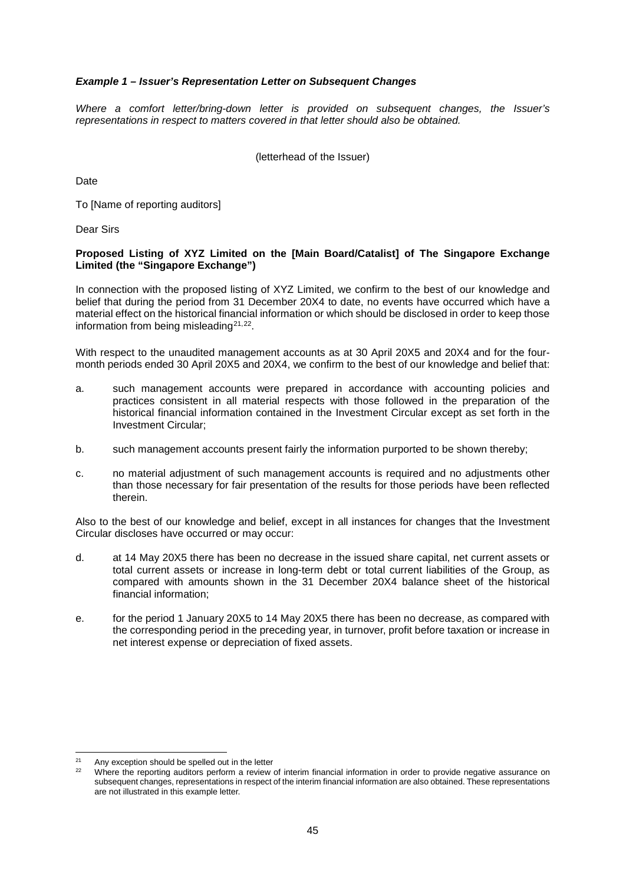#### *Example 1 – Issuer's Representation Letter on Subsequent Changes*

*Where a comfort letter/bring-down letter is provided on subsequent changes, the Issuer's representations in respect to matters covered in that letter should also be obtained.*

(letterhead of the Issuer)

**Date** 

To [Name of reporting auditors]

Dear Sirs

#### **Proposed Listing of XYZ Limited on the [Main Board/Catalist] of The Singapore Exchange Limited (the "Singapore Exchange")**

In connection with the proposed listing of XYZ Limited, we confirm to the best of our knowledge and belief that during the period from 31 December 20X4 to date, no events have occurred which have a material effect on the historical financial information or which should be disclosed in order to keep those information from being misleading $21,22$ .

With respect to the unaudited management accounts as at 30 April 20X5 and 20X4 and for the fourmonth periods ended 30 April 20X5 and 20X4, we confirm to the best of our knowledge and belief that:

- a. such management accounts were prepared in accordance with accounting policies and practices consistent in all material respects with those followed in the preparation of the historical financial information contained in the Investment Circular except as set forth in the Investment Circular;
- b. such management accounts present fairly the information purported to be shown thereby;
- c. no material adjustment of such management accounts is required and no adjustments other than those necessary for fair presentation of the results for those periods have been reflected therein.

Also to the best of our knowledge and belief, except in all instances for changes that the Investment Circular discloses have occurred or may occur:

- d. at 14 May 20X5 there has been no decrease in the issued share capital, net current assets or total current assets or increase in long-term debt or total current liabilities of the Group, as compared with amounts shown in the 31 December 20X4 balance sheet of the historical financial information;
- e. for the period 1 January 20X5 to 14 May 20X5 there has been no decrease, as compared with the corresponding period in the preceding year, in turnover, profit before taxation or increase in net interest expense or depreciation of fixed assets.

 $21$  $22$  Any exception should be spelled out in the letter

<sup>22</sup> Where the reporting auditors perform a review of interim financial information in order to provide negative assurance on subsequent changes, representations in respect of the interim financial information are also obtained. These representations are not illustrated in this example letter.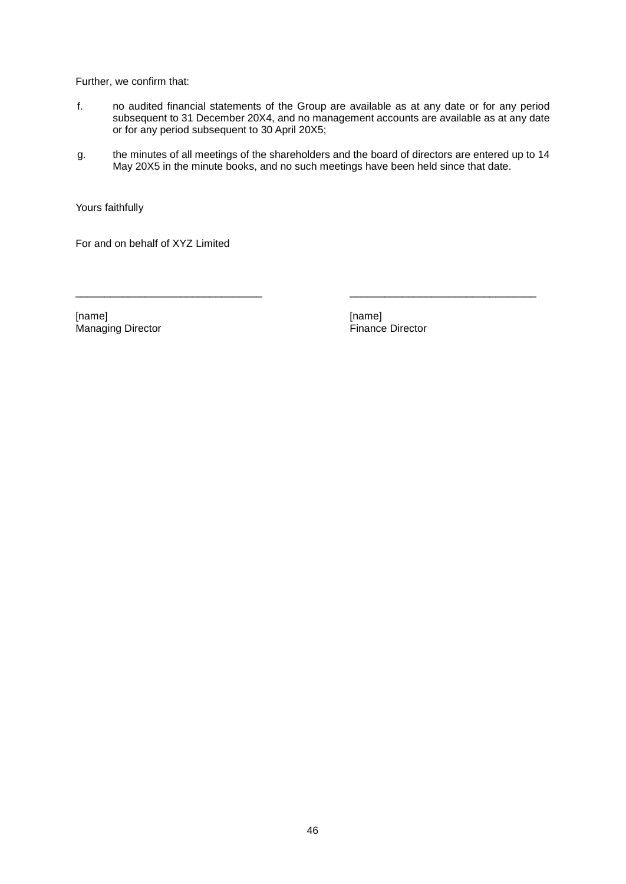Further, we confirm that:

- f. no audited financial statements of the Group are available as at any date or for any period subsequent to 31 December 20X4, and no management accounts are available as at any date or for any period subsequent to 30 April 20X5;
- g. the minutes of all meetings of the shareholders and the board of directors are entered up to 14 May 20X5 in the minute books, and no such meetings have been held since that date.

\_\_\_\_\_\_\_\_\_\_\_\_\_\_\_\_\_\_\_\_\_\_\_\_\_\_\_\_\_\_\_\_ \_\_\_\_\_\_\_\_\_\_\_\_\_\_\_\_\_\_\_\_\_\_\_\_\_\_\_\_\_\_\_\_

Yours faithfully

For and on behalf of XYZ Limited

[name] [name] Managing Director **Finance Director**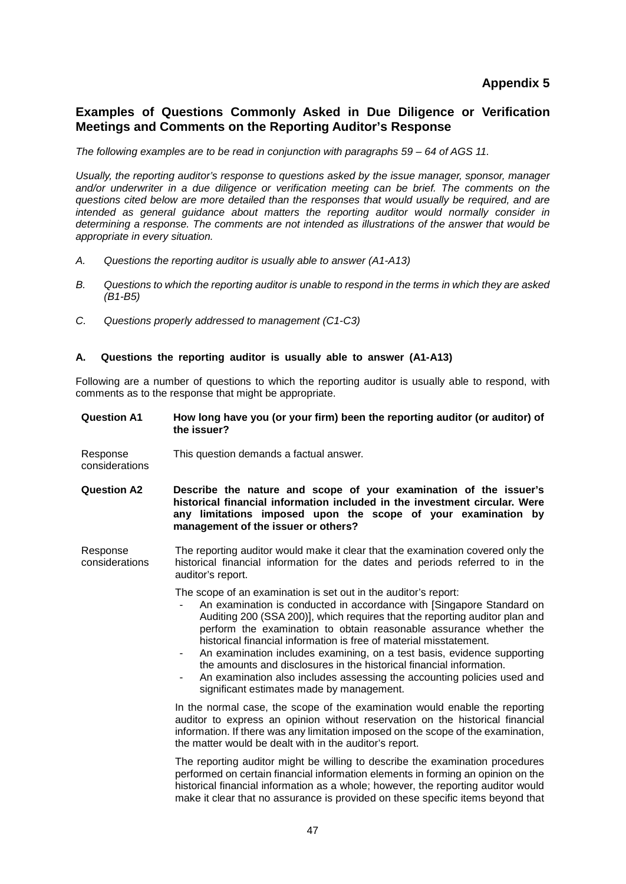## **Examples of Questions Commonly Asked in Due Diligence or Verification Meetings and Comments on the Reporting Auditor's Response**

*The following examples are to be read in conjunction with paragraphs 59 – 64 of AGS 11.*

*Usually, the reporting auditor's response to questions asked by the issue manager, sponsor, manager and/or underwriter in a due diligence or verification meeting can be brief. The comments on the questions cited below are more detailed than the responses that would usually be required, and are intended as general guidance about matters the reporting auditor would normally consider in determining a response. The comments are not intended as illustrations of the answer that would be appropriate in every situation.*

- *A. Questions the reporting auditor is usually able to answer (A1-A13)*
- *B. Questions to which the reporting auditor is unable to respond in the terms in which they are asked (B1-B5)*
- *C. Questions properly addressed to management (C1-C3)*

#### **A. Questions the reporting auditor is usually able to answer (A1-A13)**

Following are a number of questions to which the reporting auditor is usually able to respond, with comments as to the response that might be appropriate.

#### **Question A1 How long have you (or your firm) been the reporting auditor (or auditor) of the issuer?**

- Response considerations This question demands a factual answer.
- **Question A2 Describe the nature and scope of your examination of the issuer's historical financial information included in the investment circular. Were any limitations imposed upon the scope of your examination by management of the issuer or others?**
- Response considerations The reporting auditor would make it clear that the examination covered only the historical financial information for the dates and periods referred to in the auditor's report.

The scope of an examination is set out in the auditor's report:

- An examination is conducted in accordance with [Singapore Standard on Auditing 200 (SSA 200)], which requires that the reporting auditor plan and perform the examination to obtain reasonable assurance whether the historical financial information is free of material misstatement.
- An examination includes examining, on a test basis, evidence supporting the amounts and disclosures in the historical financial information.
- An examination also includes assessing the accounting policies used and significant estimates made by management.

In the normal case, the scope of the examination would enable the reporting auditor to express an opinion without reservation on the historical financial information. If there was any limitation imposed on the scope of the examination, the matter would be dealt with in the auditor's report.

The reporting auditor might be willing to describe the examination procedures performed on certain financial information elements in forming an opinion on the historical financial information as a whole; however, the reporting auditor would make it clear that no assurance is provided on these specific items beyond that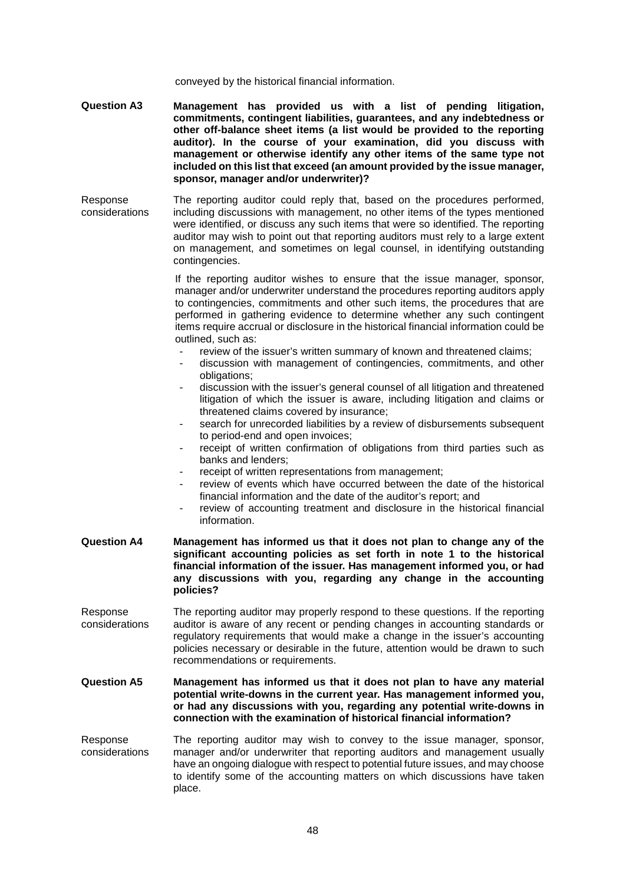conveyed by the historical financial information.

- **Question A3 Management has provided us with a list of pending litigation, commitments, contingent liabilities, guarantees, and any indebtedness or other off-balance sheet items (a list would be provided to the reporting auditor). In the course of your examination, did you discuss with management or otherwise identify any other items of the same type not included on this list that exceed (an amount provided by the issue manager, sponsor, manager and/or underwriter)?**
- Response considerations The reporting auditor could reply that, based on the procedures performed, including discussions with management, no other items of the types mentioned were identified, or discuss any such items that were so identified. The reporting auditor may wish to point out that reporting auditors must rely to a large extent on management, and sometimes on legal counsel, in identifying outstanding contingencies.

If the reporting auditor wishes to ensure that the issue manager, sponsor, manager and/or underwriter understand the procedures reporting auditors apply to contingencies, commitments and other such items, the procedures that are performed in gathering evidence to determine whether any such contingent items require accrual or disclosure in the historical financial information could be outlined, such as:

- review of the issuer's written summary of known and threatened claims;
- discussion with management of contingencies, commitments, and other obligations;
- discussion with the issuer's general counsel of all litigation and threatened litigation of which the issuer is aware, including litigation and claims or threatened claims covered by insurance;
- search for unrecorded liabilities by a review of disbursements subsequent to period-end and open invoices;
- receipt of written confirmation of obligations from third parties such as banks and lenders;
- receipt of written representations from management;
- review of events which have occurred between the date of the historical financial information and the date of the auditor's report; and
- review of accounting treatment and disclosure in the historical financial information.
- **Question A4 Management has informed us that it does not plan to change any of the significant accounting policies as set forth in note 1 to the historical financial information of the issuer. Has management informed you, or had any discussions with you, regarding any change in the accounting policies?**
- Response considerations The reporting auditor may properly respond to these questions. If the reporting auditor is aware of any recent or pending changes in accounting standards or regulatory requirements that would make a change in the issuer's accounting policies necessary or desirable in the future, attention would be drawn to such recommendations or requirements.
- **Question A5 Management has informed us that it does not plan to have any material potential write-downs in the current year. Has management informed you, or had any discussions with you, regarding any potential write-downs in connection with the examination of historical financial information?**
- Response considerations The reporting auditor may wish to convey to the issue manager, sponsor, manager and/or underwriter that reporting auditors and management usually have an ongoing dialogue with respect to potential future issues, and may choose to identify some of the accounting matters on which discussions have taken place.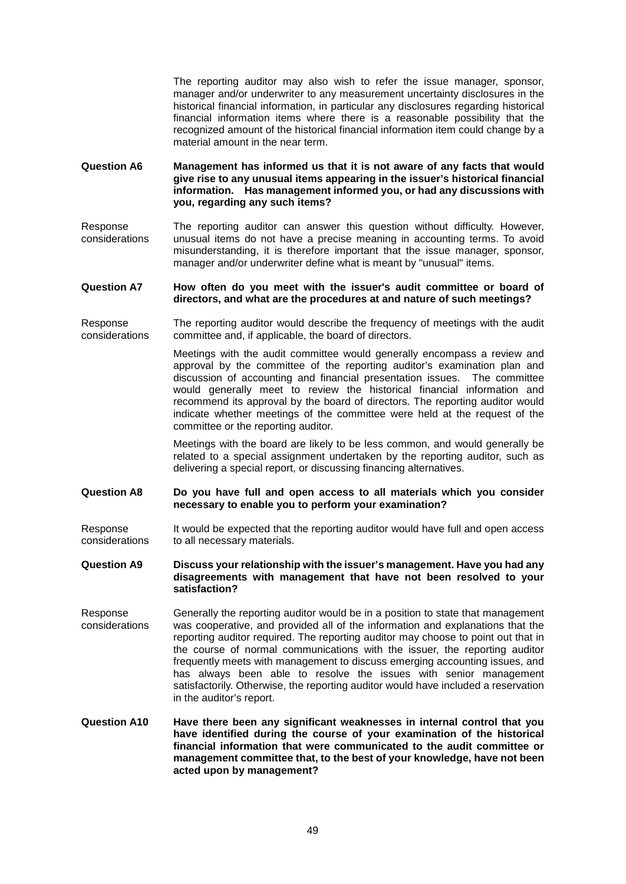The reporting auditor may also wish to refer the issue manager, sponsor, manager and/or underwriter to any measurement uncertainty disclosures in the historical financial information, in particular any disclosures regarding historical financial information items where there is a reasonable possibility that the recognized amount of the historical financial information item could change by a material amount in the near term.

**Question A6 Management has informed us that it is not aware of any facts that would give rise to any unusual items appearing in the issuer's historical financial information. Has management informed you, or had any discussions with you, regarding any such items?**

Response considerations The reporting auditor can answer this question without difficulty. However, unusual items do not have a precise meaning in accounting terms. To avoid misunderstanding, it is therefore important that the issue manager, sponsor, manager and/or underwriter define what is meant by "unusual" items.

#### **Question A7 How often do you meet with the issuer's audit committee or board of directors, and what are the procedures at and nature of such meetings?**

Response considerations The reporting auditor would describe the frequency of meetings with the audit committee and, if applicable, the board of directors.

> Meetings with the audit committee would generally encompass a review and approval by the committee of the reporting auditor's examination plan and discussion of accounting and financial presentation issues. The committee would generally meet to review the historical financial information and recommend its approval by the board of directors. The reporting auditor would indicate whether meetings of the committee were held at the request of the committee or the reporting auditor.

Meetings with the board are likely to be less common, and would generally be related to a special assignment undertaken by the reporting auditor, such as delivering a special report, or discussing financing alternatives.

**Question A8 Do you have full and open access to all materials which you consider necessary to enable you to perform your examination?**

Response considerations It would be expected that the reporting auditor would have full and open access to all necessary materials.

#### **Question A9 Discuss your relationship with the issuer's management. Have you had any disagreements with management that have not been resolved to your satisfaction?**

- Response considerations Generally the reporting auditor would be in a position to state that management was cooperative, and provided all of the information and explanations that the reporting auditor required. The reporting auditor may choose to point out that in the course of normal communications with the issuer, the reporting auditor frequently meets with management to discuss emerging accounting issues, and has always been able to resolve the issues with senior management satisfactorily. Otherwise, the reporting auditor would have included a reservation in the auditor's report.
- **Question A10 Have there been any significant weaknesses in internal control that you have identified during the course of your examination of the historical financial information that were communicated to the audit committee or management committee that, to the best of your knowledge, have not been acted upon by management?**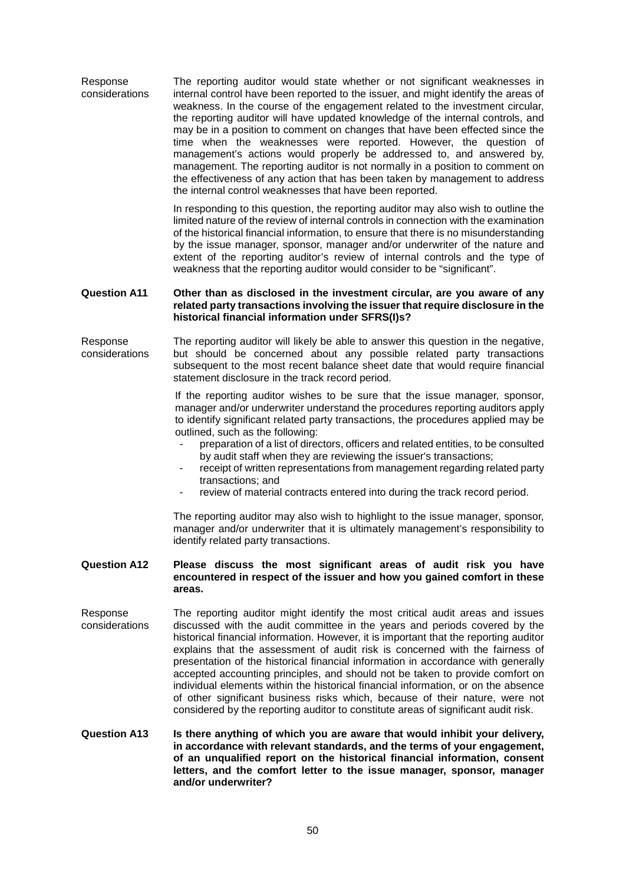Response considerations The reporting auditor would state whether or not significant weaknesses in internal control have been reported to the issuer, and might identify the areas of weakness. In the course of the engagement related to the investment circular, the reporting auditor will have updated knowledge of the internal controls, and may be in a position to comment on changes that have been effected since the time when the weaknesses were reported. However, the question of management's actions would properly be addressed to, and answered by, management. The reporting auditor is not normally in a position to comment on the effectiveness of any action that has been taken by management to address the internal control weaknesses that have been reported.

> In responding to this question, the reporting auditor may also wish to outline the limited nature of the review of internal controls in connection with the examination of the historical financial information, to ensure that there is no misunderstanding by the issue manager, sponsor, manager and/or underwriter of the nature and extent of the reporting auditor's review of internal controls and the type of weakness that the reporting auditor would consider to be "significant".

#### **Question A11 Other than as disclosed in the investment circular, are you aware of any related party transactions involving the issuer that require disclosure in the historical financial information under SFRS(I)s?**

Response considerations The reporting auditor will likely be able to answer this question in the negative, but should be concerned about any possible related party transactions subsequent to the most recent balance sheet date that would require financial statement disclosure in the track record period.

> If the reporting auditor wishes to be sure that the issue manager, sponsor, manager and/or underwriter understand the procedures reporting auditors apply to identify significant related party transactions, the procedures applied may be outlined, such as the following:

- preparation of a list of directors, officers and related entities, to be consulted by audit staff when they are reviewing the issuer's transactions;
- receipt of written representations from management regarding related party transactions; and
- review of material contracts entered into during the track record period.

The reporting auditor may also wish to highlight to the issue manager, sponsor, manager and/or underwriter that it is ultimately management's responsibility to identify related party transactions.

#### **Question A12 Please discuss the most significant areas of audit risk you have encountered in respect of the issuer and how you gained comfort in these areas.**

Response considerations The reporting auditor might identify the most critical audit areas and issues discussed with the audit committee in the years and periods covered by the historical financial information. However, it is important that the reporting auditor explains that the assessment of audit risk is concerned with the fairness of presentation of the historical financial information in accordance with generally accepted accounting principles, and should not be taken to provide comfort on individual elements within the historical financial information, or on the absence of other significant business risks which, because of their nature, were not considered by the reporting auditor to constitute areas of significant audit risk.

#### **Question A13 Is there anything of which you are aware that would inhibit your delivery, in accordance with relevant standards, and the terms of your engagement, of an unqualified report on the historical financial information, consent letters, and the comfort letter to the issue manager, sponsor, manager and/or underwriter?**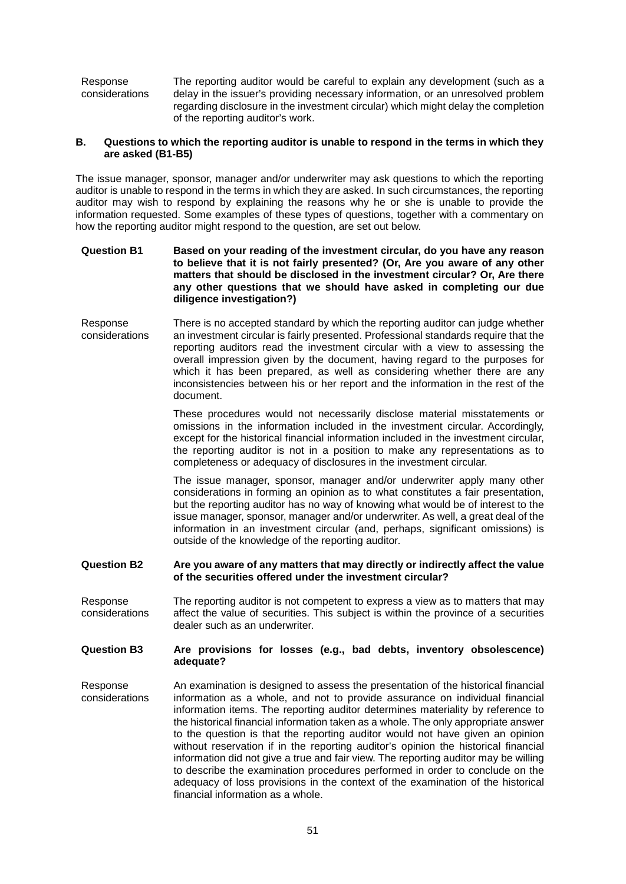Response considerations The reporting auditor would be careful to explain any development (such as a delay in the issuer's providing necessary information, or an unresolved problem regarding disclosure in the investment circular) which might delay the completion of the reporting auditor's work.

#### **B. Questions to which the reporting auditor is unable to respond in the terms in which they are asked (B1-B5)**

The issue manager, sponsor, manager and/or underwriter may ask questions to which the reporting auditor is unable to respond in the terms in which they are asked. In such circumstances, the reporting auditor may wish to respond by explaining the reasons why he or she is unable to provide the information requested. Some examples of these types of questions, together with a commentary on how the reporting auditor might respond to the question, are set out below.

#### **Question B1 Based on your reading of the investment circular, do you have any reason to believe that it is not fairly presented? (Or, Are you aware of any other matters that should be disclosed in the investment circular? Or, Are there any other questions that we should have asked in completing our due diligence investigation?)**

Response considerations There is no accepted standard by which the reporting auditor can judge whether an investment circular is fairly presented. Professional standards require that the reporting auditors read the investment circular with a view to assessing the overall impression given by the document, having regard to the purposes for which it has been prepared, as well as considering whether there are any inconsistencies between his or her report and the information in the rest of the document.

> These procedures would not necessarily disclose material misstatements or omissions in the information included in the investment circular. Accordingly, except for the historical financial information included in the investment circular, the reporting auditor is not in a position to make any representations as to completeness or adequacy of disclosures in the investment circular.

> The issue manager, sponsor, manager and/or underwriter apply many other considerations in forming an opinion as to what constitutes a fair presentation, but the reporting auditor has no way of knowing what would be of interest to the issue manager, sponsor, manager and/or underwriter. As well, a great deal of the information in an investment circular (and, perhaps, significant omissions) is outside of the knowledge of the reporting auditor.

#### **Question B2 Are you aware of any matters that may directly or indirectly affect the value of the securities offered under the investment circular?**

Response considerations The reporting auditor is not competent to express a view as to matters that may affect the value of securities. This subject is within the province of a securities dealer such as an underwriter.

#### **Question B3 Are provisions for losses (e.g., bad debts, inventory obsolescence) adequate?**

Response considerations An examination is designed to assess the presentation of the historical financial information as a whole, and not to provide assurance on individual financial information items. The reporting auditor determines materiality by reference to the historical financial information taken as a whole. The only appropriate answer to the question is that the reporting auditor would not have given an opinion without reservation if in the reporting auditor's opinion the historical financial information did not give a true and fair view. The reporting auditor may be willing to describe the examination procedures performed in order to conclude on the adequacy of loss provisions in the context of the examination of the historical financial information as a whole.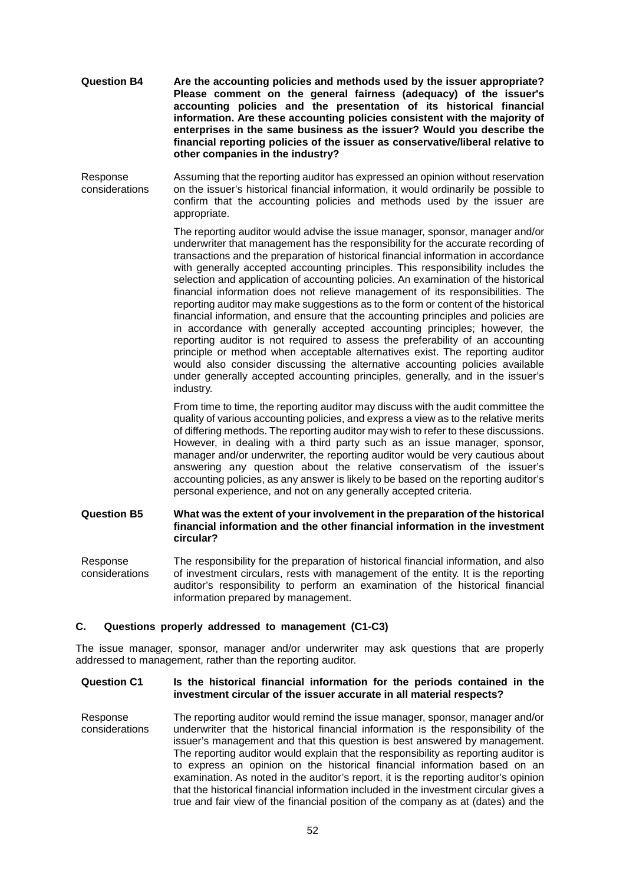- **Question B4 Are the accounting policies and methods used by the issuer appropriate? Please comment on the general fairness (adequacy) of the issuer's accounting policies and the presentation of its historical financial information. Are these accounting policies consistent with the majority of enterprises in the same business as the issuer? Would you describe the financial reporting policies of the issuer as conservative/liberal relative to other companies in the industry?**
- Response considerations Assuming that the reporting auditor has expressed an opinion without reservation on the issuer's historical financial information, it would ordinarily be possible to confirm that the accounting policies and methods used by the issuer are appropriate.

The reporting auditor would advise the issue manager, sponsor, manager and/or underwriter that management has the responsibility for the accurate recording of transactions and the preparation of historical financial information in accordance with generally accepted accounting principles. This responsibility includes the selection and application of accounting policies. An examination of the historical financial information does not relieve management of its responsibilities. The reporting auditor may make suggestions as to the form or content of the historical financial information, and ensure that the accounting principles and policies are in accordance with generally accepted accounting principles; however, the reporting auditor is not required to assess the preferability of an accounting principle or method when acceptable alternatives exist. The reporting auditor would also consider discussing the alternative accounting policies available under generally accepted accounting principles, generally, and in the issuer's industry.

From time to time, the reporting auditor may discuss with the audit committee the quality of various accounting policies, and express a view as to the relative merits of differing methods. The reporting auditor may wish to refer to these discussions. However, in dealing with a third party such as an issue manager, sponsor, manager and/or underwriter, the reporting auditor would be very cautious about answering any question about the relative conservatism of the issuer's accounting policies, as any answer is likely to be based on the reporting auditor's personal experience, and not on any generally accepted criteria.

#### **Question B5 What was the extent of your involvement in the preparation of the historical financial information and the other financial information in the investment circular?**

Response considerations The responsibility for the preparation of historical financial information, and also of investment circulars, rests with management of the entity. It is the reporting auditor's responsibility to perform an examination of the historical financial information prepared by management.

#### **C. Questions properly addressed to management (C1-C3)**

The issue manager, sponsor, manager and/or underwriter may ask questions that are properly addressed to management, rather than the reporting auditor.

#### **Question C1 Is the historical financial information for the periods contained in the investment circular of the issuer accurate in all material respects?**

Response considerations The reporting auditor would remind the issue manager, sponsor, manager and/or underwriter that the historical financial information is the responsibility of the issuer's management and that this question is best answered by management. The reporting auditor would explain that the responsibility as reporting auditor is to express an opinion on the historical financial information based on an examination. As noted in the auditor's report, it is the reporting auditor's opinion that the historical financial information included in the investment circular gives a true and fair view of the financial position of the company as at (dates) and the